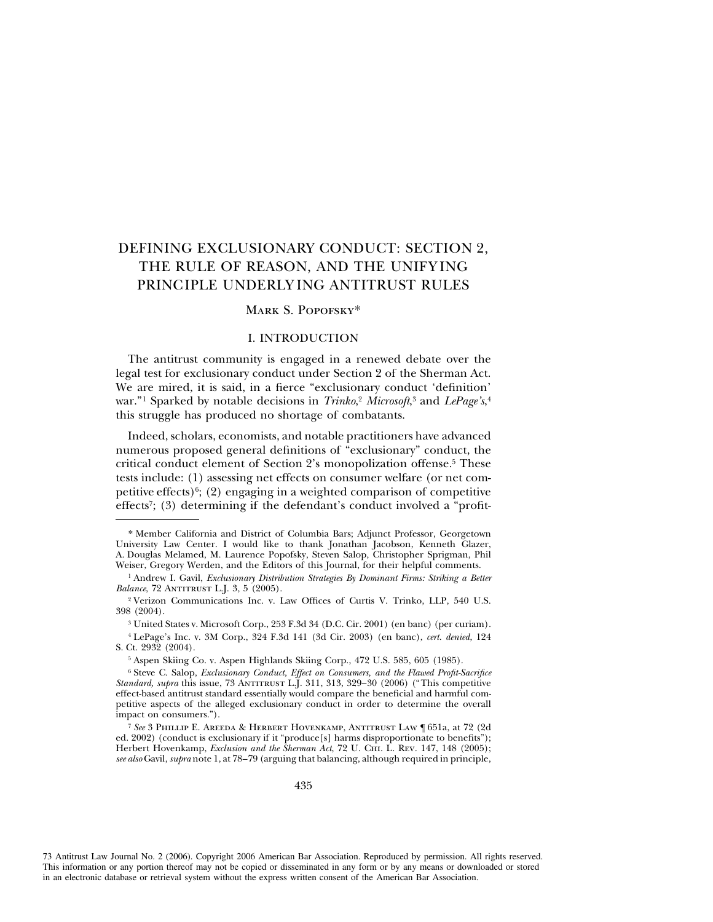# DEFINING EXCLUSIONARY CONDUCT: SECTION 2, THE RULE OF REASON, AND THE UNIFY ING PRINCIPLE UNDERLY ING ANTITRUST RULES

# MARK S. POPOFSKY\*

# I. INTRODUCTION

The antitrust community is engaged in a renewed debate over the legal test for exclusionary conduct under Section 2 of the Sherman Act. We are mired, it is said, in a fierce "exclusionary conduct 'definition' war." <sup>1</sup> Sparked by notable decisions in *Trinko*, <sup>2</sup> *Microsoft*, <sup>3</sup> and *LePage's*, 4 this struggle has produced no shortage of combatants.

Indeed, scholars, economists, and notable practitioners have advanced numerous proposed general definitions of "exclusionary" conduct, the critical conduct element of Section 2's monopolization offense.5 These tests include: (1) assessing net effects on consumer welfare (or net competitive effects)<sup> $6$ </sup>; (2) engaging in a weighted comparison of competitive effects<sup>7</sup>; (3) determining if the defendant's conduct involved a "profit-

73 Antitrust Law Journal No. 2 (2006). Copyright 2006 American Bar Association. Reproduced by permission. All rights reserved. This information or any portion thereof may not be copied or disseminated in any form or by any means or downloaded or stored in an electronic database or retrieval system without the express written consent of the American Bar Association.

<sup>\*</sup> Member California and District of Columbia Bars; Adjunct Professor, Georgetown University Law Center. I would like to thank Jonathan Jacobson, Kenneth Glazer, A. Douglas Melamed, M. Laurence Popofsky, Steven Salop, Christopher Sprigman, Phil Weiser, Gregory Werden, and the Editors of this Journal, for their helpful comments.

<sup>&</sup>lt;sup>1</sup> Andrew I. Gavil, *Exclusionary Distribution Strategies By Dominant Firms: Striking a Better Balance*, 72 ANTITRUST L.J. 3, 5 (2005).

<sup>2</sup> Verizon Communications Inc. v. Law Offices of Curtis V. Trinko, LLP, 540 U.S. 398 (2004).

<sup>3</sup> United States v. Microsoft Corp., 253 F.3d 34 (D.C. Cir. 2001) (en banc) (per curiam). <sup>4</sup> LePage's Inc. v. 3M Corp., 324 F.3d 141 (3d Cir. 2003) (en banc), *cert. denied*, 124 S. Ct. 2932 (2004).

<sup>5</sup> Aspen Skiing Co. v. Aspen Highlands Skiing Corp., 472 U.S. 585, 605 (1985).

<sup>6</sup> Steve C. Salop, *Exclusionary Conduct, Effect on Consumers, and the Flawed Profit-Sacrifice Standard, supra* this issue, 73 ANTITRUST L.J. 311, 313, 329-30 (2006) ("This competitive effect-based antitrust standard essentially would compare the beneficial and harmful competitive aspects of the alleged exclusionary conduct in order to determine the overall impact on consumers.").

<sup>7</sup> *See* 3 Phillip E. Areeda & Herbert Hovenkamp, Antitrust Law ¶ 651a, at 72 (2d ed. 2002) (conduct is exclusionary if it "produce[s] harms disproportionate to benefits"); Herbert Hovenkamp, *Exclusion and the Sherman Act*, 72 U. Chi. L. Rev. 147, 148 (2005); *see also* Gavil, *supra* note 1, at 78–79 (arguing that balancing, although required in principle,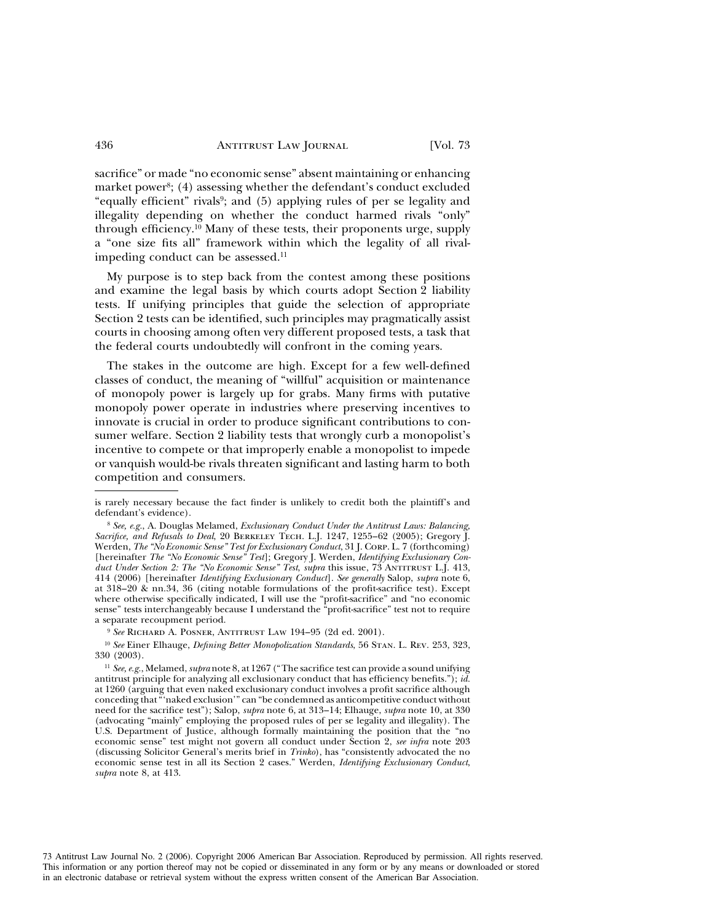sacrifice" or made "no economic sense" absent maintaining or enhancing market power<sup>8</sup>; (4) assessing whether the defendant's conduct excluded "equally efficient" rivals<sup>9</sup>; and (5) applying rules of per se legality and illegality depending on whether the conduct harmed rivals "only" through efficiency.10 Many of these tests, their proponents urge, supply a "one size fits all" framework within which the legality of all rivalimpeding conduct can be assessed.<sup>11</sup>

My purpose is to step back from the contest among these positions and examine the legal basis by which courts adopt Section 2 liability tests. If unifying principles that guide the selection of appropriate Section 2 tests can be identified, such principles may pragmatically assist courts in choosing among often very different proposed tests, a task that the federal courts undoubtedly will confront in the coming years.

The stakes in the outcome are high. Except for a few well-defined classes of conduct, the meaning of "willful" acquisition or maintenance of monopoly power is largely up for grabs. Many firms with putative monopoly power operate in industries where preserving incentives to innovate is crucial in order to produce significant contributions to consumer welfare. Section 2 liability tests that wrongly curb a monopolist's incentive to compete or that improperly enable a monopolist to impede or vanquish would-be rivals threaten significant and lasting harm to both competition and consumers.

<sup>9</sup> *See* Richard A. Posner, Antitrust Law 194–95 (2d ed. 2001).

<sup>10</sup> See Einer Elhauge, *Defining Better Monopolization Standards*, 56 STAN. L. REV. 253, 323, 330 (2003).

is rarely necessary because the fact finder is unlikely to credit both the plaintiff's and defendant's evidence).

<sup>8</sup> *See, e.g.*, A. Douglas Melamed, *Exclusionary Conduct Under the Antitrust Laws: Balancing, Sacrifice, and Refusals to Deal*, 20 Berkeley Tech. L.J. 1247, 1255–62 (2005); Gregory J. Werden, *The "No Economic Sense" Test for Exclusionary Conduct*, 31 J. Corp. L. 7 (forthcoming) [hereinafter *The "No Economic Sense" Test*]; Gregory J. Werden, *Identifying Exclusionary Conduct Under Section 2: The "No Economic Sense" Test*, *supra* this issue, 73 Antitrust L.J. 413, 414 (2006) [hereinafter *Identifying Exclusionary Conduct*]. *See generally* Salop, *supra* note 6, at 318–20 & nn.34, 36 (citing notable formulations of the profit-sacrifice test). Except where otherwise specifically indicated, I will use the "profit-sacrifice" and "no economic sense" tests interchangeably because I understand the "profit-sacrifice" test not to require a separate recoupment period.

<sup>11</sup> *See, e.g.*, Melamed,*supra* note 8, at 1267 ("The sacrifice test can provide a sound unifying antitrust principle for analyzing all exclusionary conduct that has efficiency benefits."); *id.* at 1260 (arguing that even naked exclusionary conduct involves a profit sacrifice although conceding that "'naked exclusion'" can "be condemned as anticompetitive conduct without need for the sacrifice test"); Salop, *supra* note 6, at 313–14; Elhauge, *supra* note 10, at 330 (advocating "mainly" employing the proposed rules of per se legality and illegality). The U.S. Department of Justice, although formally maintaining the position that the "no economic sense" test might not govern all conduct under Section 2, *see infra* note 203 (discussing Solicitor General's merits brief in *Trinko*), has "consistently advocated the no economic sense test in all its Section 2 cases." Werden, *Identifying Exclusionary Conduct*, *supra* note 8, at 413.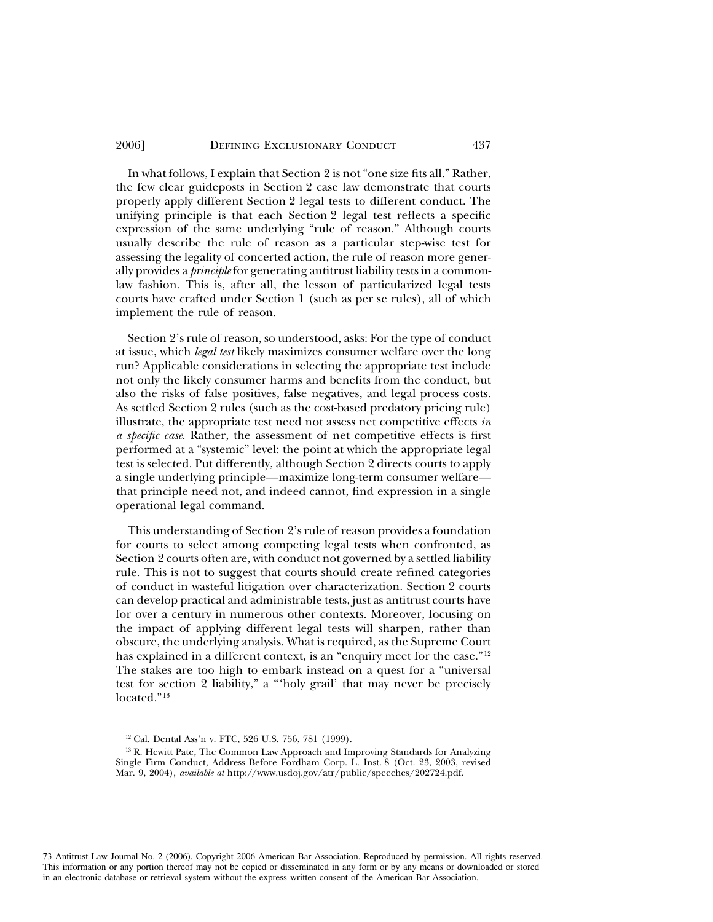In what follows, I explain that Section 2 is not "one size fits all." Rather, the few clear guideposts in Section 2 case law demonstrate that courts properly apply different Section 2 legal tests to different conduct. The unifying principle is that each Section 2 legal test reflects a specific expression of the same underlying "rule of reason." Although courts usually describe the rule of reason as a particular step-wise test for assessing the legality of concerted action, the rule of reason more generally provides a *principle* for generating antitrust liability tests in a commonlaw fashion. This is, after all, the lesson of particularized legal tests courts have crafted under Section 1 (such as per se rules), all of which implement the rule of reason.

Section 2's rule of reason, so understood, asks: For the type of conduct at issue, which *legal test* likely maximizes consumer welfare over the long run? Applicable considerations in selecting the appropriate test include not only the likely consumer harms and benefits from the conduct, but also the risks of false positives, false negatives, and legal process costs. As settled Section 2 rules (such as the cost-based predatory pricing rule) illustrate, the appropriate test need not assess net competitive effects *in a specific case*. Rather, the assessment of net competitive effects is first performed at a "systemic" level: the point at which the appropriate legal test is selected. Put differently, although Section 2 directs courts to apply a single underlying principle—maximize long-term consumer welfare that principle need not, and indeed cannot, find expression in a single operational legal command.

This understanding of Section 2's rule of reason provides a foundation for courts to select among competing legal tests when confronted, as Section 2 courts often are, with conduct not governed by a settled liability rule. This is not to suggest that courts should create refined categories of conduct in wasteful litigation over characterization. Section 2 courts can develop practical and administrable tests, just as antitrust courts have for over a century in numerous other contexts. Moreover, focusing on the impact of applying different legal tests will sharpen, rather than obscure, the underlying analysis. What is required, as the Supreme Court has explained in a different context, is an "enquiry meet for the case."<sup>12</sup> The stakes are too high to embark instead on a quest for a "universal test for section 2 liability," a "'holy grail' that may never be precisely located."<sup>13</sup>

<sup>12</sup> Cal. Dental Ass'n v. FTC, 526 U.S. 756, 781 (1999).

<sup>&</sup>lt;sup>13</sup> R. Hewitt Pate, The Common Law Approach and Improving Standards for Analyzing Single Firm Conduct, Address Before Fordham Corp. L. Inst. 8 (Oct. 23, 2003, revised Mar. 9, 2004), *available at* http://www.usdoj.gov/atr/public/speeches/202724.pdf.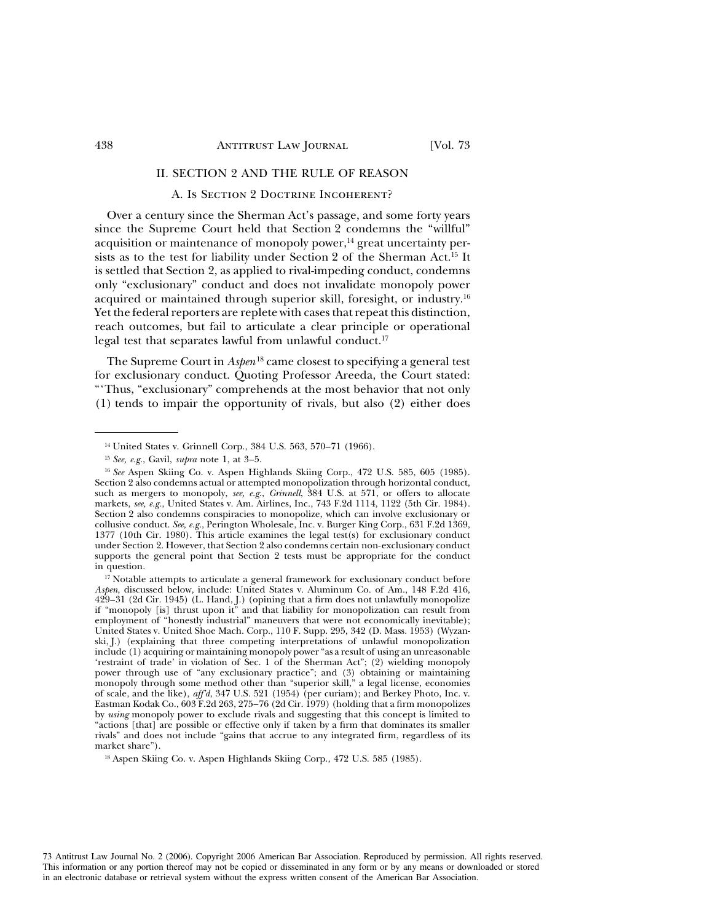### II. SECTION 2 AND THE RULE OF REASON

### A. Is Section 2 Doctrine Incoherent?

Over a century since the Sherman Act's passage, and some forty years since the Supreme Court held that Section 2 condemns the "willful" acquisition or maintenance of monopoly power,<sup>14</sup> great uncertainty persists as to the test for liability under Section 2 of the Sherman Act.<sup>15</sup> It is settled that Section 2, as applied to rival-impeding conduct, condemns only "exclusionary" conduct and does not invalidate monopoly power acquired or maintained through superior skill, foresight, or industry.16 Yet the federal reporters are replete with cases that repeat this distinction, reach outcomes, but fail to articulate a clear principle or operational legal test that separates lawful from unlawful conduct.<sup>17</sup>

The Supreme Court in *Aspen*<sup>18</sup> came closest to specifying a general test for exclusionary conduct. Quoting Professor Areeda, the Court stated: "'Thus, "exclusionary" comprehends at the most behavior that not only (1) tends to impair the opportunity of rivals, but also (2) either does

<sup>14</sup> United States v. Grinnell Corp., 384 U.S. 563, 570–71 (1966).

<sup>15</sup> *See, e.g.*, Gavil, *supra* note 1, at 3–5.

<sup>16</sup> *See* Aspen Skiing Co. v. Aspen Highlands Skiing Corp., 472 U.S. 585, 605 (1985). Section 2 also condemns actual or attempted monopolization through horizontal conduct, such as mergers to monopoly, *see, e.g*., *Grinnell*, 384 U.S. at 571, or offers to allocate markets, *see, e.g.*, United States v. Am. Airlines, Inc., 743 F.2d 1114, 1122 (5th Cir. 1984). Section 2 also condemns conspiracies to monopolize, which can involve exclusionary or collusive conduct. *See, e.g.*, Perington Wholesale, Inc. v. Burger King Corp., 631 F.2d 1369, 1377 (10th Cir. 1980). This article examines the legal test(s) for exclusionary conduct under Section 2. However, that Section 2 also condemns certain non-exclusionary conduct supports the general point that Section 2 tests must be appropriate for the conduct in question.

 $^{\rm 17}$  Notable attempts to articulate a general framework for exclusionary conduct before *Aspen*, discussed below, include: United States v. Aluminum Co. of Am., 148 F.2d 416, 429–31 (2d Cir. 1945) (L. Hand, J.) (opining that a firm does not unlawfully monopolize if "monopoly [is] thrust upon it" and that liability for monopolization can result from employment of "honestly industrial" maneuvers that were not economically inevitable); United States v. United Shoe Mach. Corp., 110 F. Supp. 295, 342 (D. Mass. 1953) (Wyzanski, J.) (explaining that three competing interpretations of unlawful monopolization include (1) acquiring or maintaining monopoly power "as a result of using an unreasonable 'restraint of trade' in violation of Sec. 1 of the Sherman Act"; (2) wielding monopoly power through use of "any exclusionary practice"; and (3) obtaining or maintaining monopoly through some method other than "superior skill," a legal license, economies of scale, and the like), *aff'd*, 347 U.S. 521 (1954) (per curiam); and Berkey Photo, Inc. v. Eastman Kodak Co., 603 F.2d 263, 275–76 (2d Cir. 1979) (holding that a firm monopolizes by *using* monopoly power to exclude rivals and suggesting that this concept is limited to "actions [that] are possible or effective only if taken by a firm that dominates its smaller rivals" and does not include "gains that accrue to any integrated firm, regardless of its market share").

<sup>&</sup>lt;sup>18</sup> Aspen Skiing Co. v. Aspen Highlands Skiing Corp., 472 U.S. 585 (1985).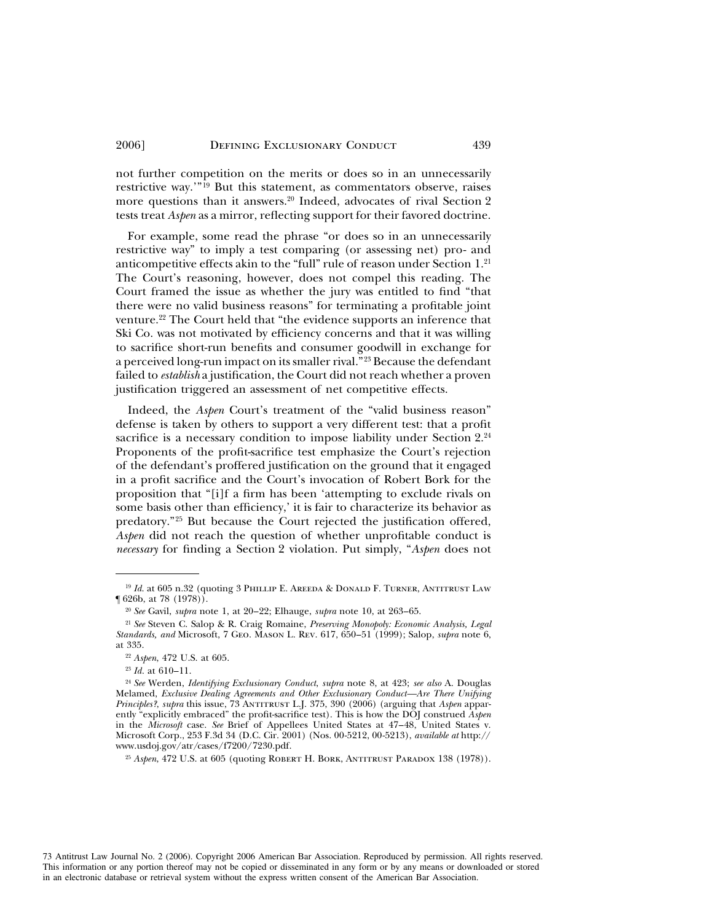not further competition on the merits or does so in an unnecessarily restrictive way.'"19 But this statement, as commentators observe, raises more questions than it answers.20 Indeed, advocates of rival Section 2 tests treat *Aspen* as a mirror, reflecting support for their favored doctrine.

For example, some read the phrase "or does so in an unnecessarily restrictive way" to imply a test comparing (or assessing net) pro- and anticompetitive effects akin to the "full" rule of reason under Section 1.21 The Court's reasoning, however, does not compel this reading. The Court framed the issue as whether the jury was entitled to find "that there were no valid business reasons" for terminating a profitable joint venture.22 The Court held that "the evidence supports an inference that Ski Co. was not motivated by efficiency concerns and that it was willing to sacrifice short-run benefits and consumer goodwill in exchange for a perceived long-run impact on its smaller rival.<sup>"23</sup> Because the defendant failed to *establish* a justification, the Court did not reach whether a proven justification triggered an assessment of net competitive effects.

Indeed, the *Aspen* Court's treatment of the "valid business reason" defense is taken by others to support a very different test: that a profit sacrifice is a necessary condition to impose liability under Section 2.<sup>24</sup> Proponents of the profit-sacrifice test emphasize the Court's rejection of the defendant's proffered justification on the ground that it engaged in a profit sacrifice and the Court's invocation of Robert Bork for the proposition that "[i]f a firm has been 'attempting to exclude rivals on some basis other than efficiency,' it is fair to characterize its behavior as predatory."25 But because the Court rejected the justification offered, *Aspen* did not reach the question of whether unprofitable conduct is *necessary* for finding a Section 2 violation. Put simply, "*Aspen* does not

<sup>&</sup>lt;sup>19</sup> *Id.* at 605 n.32 (quoting 3 PHILLIP E. AREEDA & DONALD F. TURNER, ANTITRUST LAW ¶ 626b, at 78 (1978)).

<sup>20</sup> *See* Gavil, *supra* note 1, at 20–22; Elhauge, *supra* note 10, at 263–65.

<sup>21</sup> *See* Steven C. Salop & R. Craig Romaine, *Preserving Monopoly: Economic Analysis, Legal Standards, and* Microsoft, 7 Geo. Mason L. Rev. 617, 650–51 (1999); Salop, *supra* note 6, at 335.

<sup>22</sup> *Aspen*, 472 U.S. at 605.

<sup>23</sup> *Id.* at 610–11.

<sup>24</sup> *See* Werden, *Identifying Exclusionary Conduct*, *supra* note 8, at 423; *see also* A. Douglas Melamed, *Exclusive Dealing Agreements and Other Exclusionary Conduct—Are There Unifying Principles?, supra* this issue, 73 ANTITRUST L.J. 375, 390 (2006) (arguing that *Aspen* apparently "explicitly embraced" the profit-sacrifice test). This is how the DOJ construed *Aspen* in the *Microsoft* case. *See* Brief of Appellees United States at 47–48, United States v. Microsoft Corp., 253 F.3d 34 (D.C. Cir. 2001) (Nos. 00-5212, 00-5213), *available at* http:// www.usdoj.gov/atr/cases/f7200/7230.pdf.

<sup>&</sup>lt;sup>25</sup> *Aspen*, 472 U.S. at 605 (quoting ROBERT H. BORK, ANTITRUST PARADOX 138 (1978)).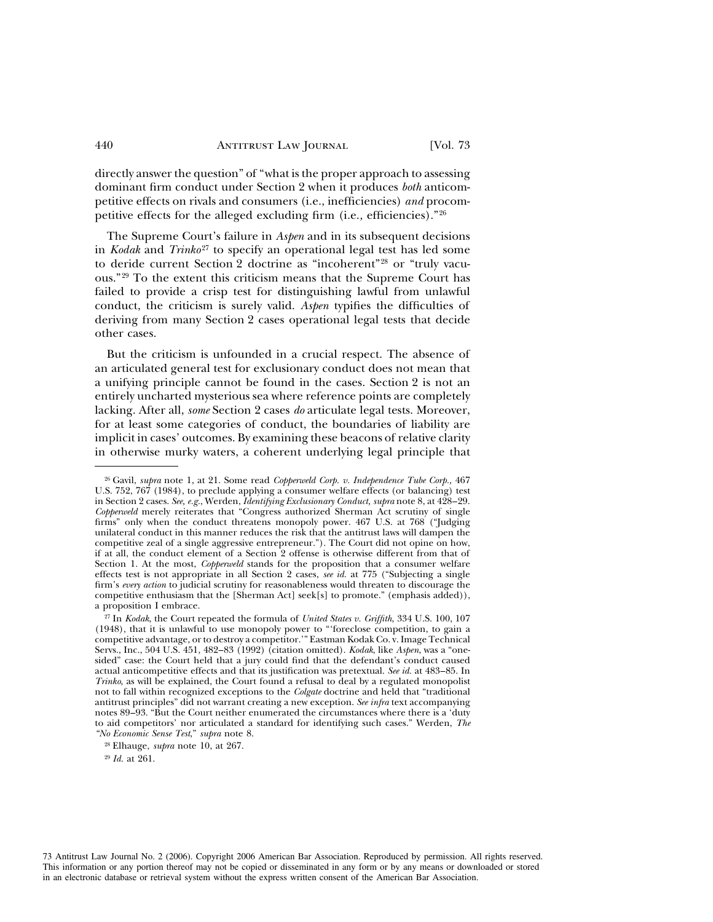directly answer the question" of "what is the proper approach to assessing dominant firm conduct under Section 2 when it produces *both* anticompetitive effects on rivals and consumers (i.e., inefficiencies) *and* procompetitive effects for the alleged excluding firm (i.e.*,* efficiencies)."26

The Supreme Court's failure in *Aspen* and in its subsequent decisions in *Kodak* and *Trinko<sup>27</sup>* to specify an operational legal test has led some to deride current Section 2 doctrine as "incoherent"28 or "truly vacuous." <sup>29</sup> To the extent this criticism means that the Supreme Court has failed to provide a crisp test for distinguishing lawful from unlawful conduct, the criticism is surely valid. *Aspen* typifies the difficulties of deriving from many Section 2 cases operational legal tests that decide other cases.

But the criticism is unfounded in a crucial respect. The absence of an articulated general test for exclusionary conduct does not mean that a unifying principle cannot be found in the cases. Section 2 is not an entirely uncharted mysterious sea where reference points are completely lacking. After all, *some* Section 2 cases *do* articulate legal tests. Moreover, for at least some categories of conduct, the boundaries of liability are implicit in cases' outcomes. By examining these beacons of relative clarity in otherwise murky waters, a coherent underlying legal principle that

<sup>26</sup> Gavil, *supra* note 1, at 21. Some read *Copperweld Corp. v. Independence Tube Corp.,* 467 U.S. 752, 767 (1984), to preclude applying a consumer welfare effects (or balancing) test in Section 2 cases. *See, e.g.*, Werden, *Identifying Exclusionary Conduct, supra* note 8, at 428–29. *Copperweld* merely reiterates that "Congress authorized Sherman Act scrutiny of single firms" only when the conduct threatens monopoly power. 467 U.S. at 768 ("Judging unilateral conduct in this manner reduces the risk that the antitrust laws will dampen the competitive zeal of a single aggressive entrepreneur."). The Court did not opine on how, if at all, the conduct element of a Section 2 offense is otherwise different from that of Section 1. At the most, *Copperweld* stands for the proposition that a consumer welfare effects test is not appropriate in all Section 2 cases, *see id.* at 775 ("Subjecting a single firm's *every action* to judicial scrutiny for reasonableness would threaten to discourage the competitive enthusiasm that the [Sherman Act] seek[s] to promote." (emphasis added)), a proposition I embrace.

<sup>27</sup> In *Kodak*, the Court repeated the formula of *United States v. Griffith*, 334 U.S. 100, 107 (1948), that it is unlawful to use monopoly power to "'foreclose competition, to gain a competitive advantage, or to destroy a competitor.'" Eastman Kodak Co. v. Image Technical Servs., Inc., 504 U.S. 451, 482–83 (1992) (citation omitted). *Kodak*, like *Aspen*, was a "onesided" case: the Court held that a jury could find that the defendant's conduct caused actual anticompetitive effects and that its justification was pretextual. *See id.* at 483–85. In *Trinko*, as will be explained, the Court found a refusal to deal by a regulated monopolist not to fall within recognized exceptions to the *Colgate* doctrine and held that "traditional antitrust principles" did not warrant creating a new exception. *See infra* text accompanying notes 89–93. "But the Court neither enumerated the circumstances where there is a 'duty to aid competitors' nor articulated a standard for identifying such cases." Werden, *The "No Economic Sense Test*," *supra* note 8.

<sup>28</sup> Elhauge, *supra* note 10, at 267.

<sup>29</sup> *Id.* at 261.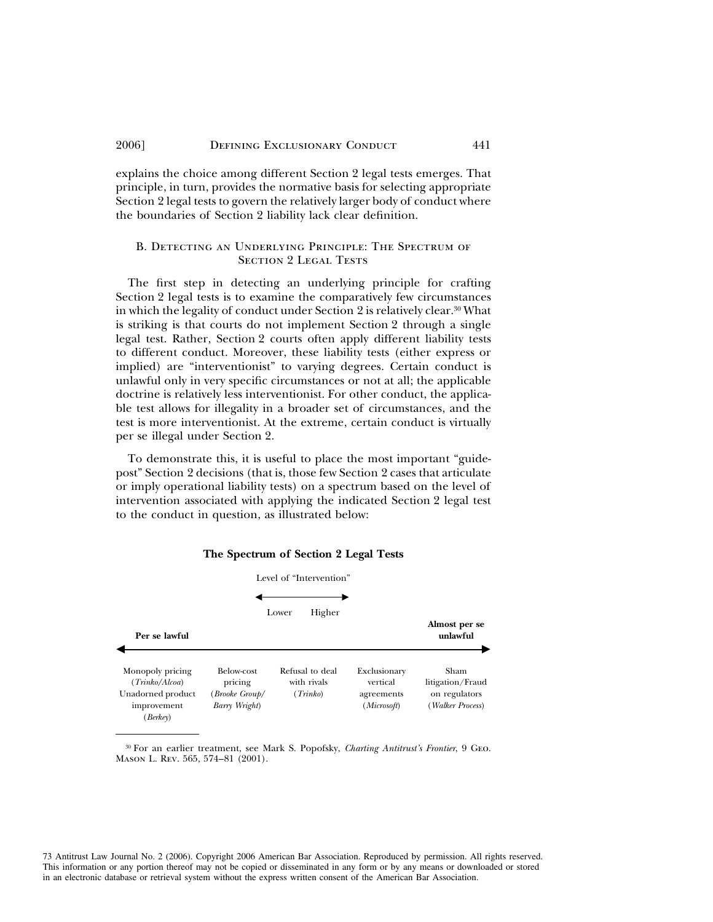explains the choice among different Section 2 legal tests emerges. That principle, in turn, provides the normative basis for selecting appropriate Section 2 legal tests to govern the relatively larger body of conduct where the boundaries of Section 2 liability lack clear definition.

# B. Detecting an Underlying Principle: The Spectrum of SECTION 2 LEGAL TESTS

The first step in detecting an underlying principle for crafting Section 2 legal tests is to examine the comparatively few circumstances in which the legality of conduct under Section 2 is relatively clear.<sup>30</sup> What is striking is that courts do not implement Section 2 through a single legal test. Rather, Section 2 courts often apply different liability tests to different conduct. Moreover, these liability tests (either express or implied) are "interventionist" to varying degrees. Certain conduct is unlawful only in very specific circumstances or not at all; the applicable doctrine is relatively less interventionist. For other conduct, the applicable test allows for illegality in a broader set of circumstances, and the test is more interventionist. At the extreme, certain conduct is virtually per se illegal under Section 2.

To demonstrate this, it is useful to place the most important "guidepost" Section 2 decisions (that is, those few Section 2 cases that articulate or imply operational liability tests) on a spectrum based on the level of intervention associated with applying the indicated Section 2 legal test to the conduct in question, as illustrated below:

| Per se lawful                                                                      |                                                          | Higher<br>Lower                            |                                                       | Almost per se<br>unlawful                                     |
|------------------------------------------------------------------------------------|----------------------------------------------------------|--------------------------------------------|-------------------------------------------------------|---------------------------------------------------------------|
| Monopoly pricing<br>(Trinko/Alcoa)<br>Unadorned product<br>improvement<br>(Berkey) | Below-cost<br>pricing<br>(Brooke Group/<br>Barry Wright) | Refusal to deal<br>with rivals<br>(Trinko) | Exclusionary<br>vertical<br>agreements<br>(Microsoft) | Sham<br>litigation/Fraud<br>on regulators<br>(Walker Process) |

#### **The Spectrum of Section 2 Legal Tests**

<sup>30</sup> For an earlier treatment, see Mark S. Popofsky, *Charting Antitrust's Frontier*, 9 Geo. Mason L. Rev. 565, 574–81 (2001).

73 Antitrust Law Journal No. 2 (2006). Copyright 2006 American Bar Association. Reproduced by permission. All rights reserved. This information or any portion thereof may not be copied or disseminated in any form or by any means or downloaded or stored in an electronic database or retrieval system without the express written consent of the American Bar Association.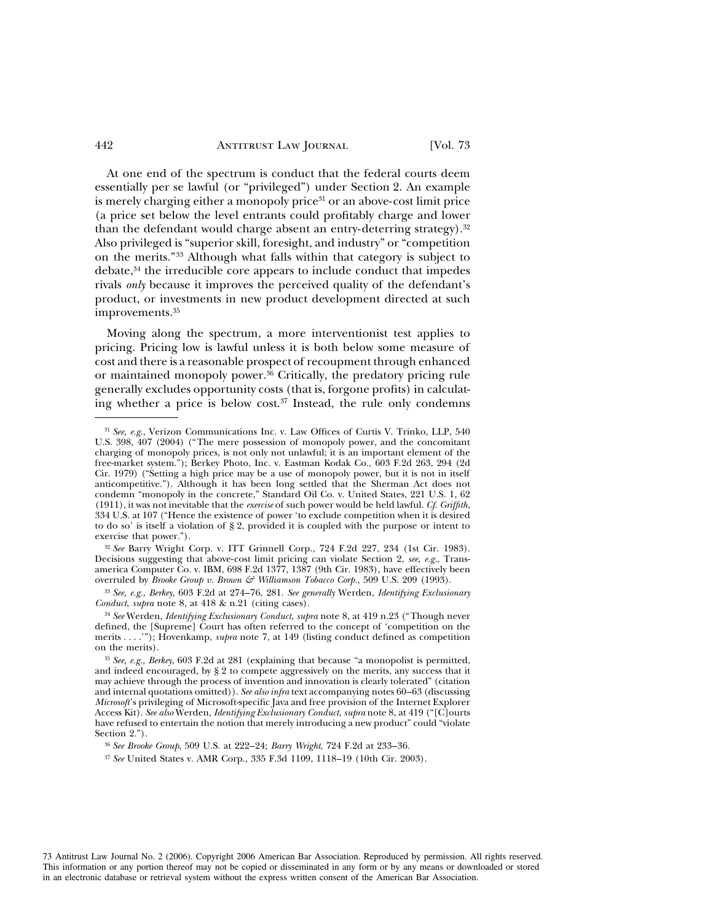At one end of the spectrum is conduct that the federal courts deem essentially per se lawful (or "privileged") under Section 2. An example is merely charging either a monopoly price<sup>31</sup> or an above-cost limit price (a price set below the level entrants could profitably charge and lower than the defendant would charge absent an entry-deterring strategy).<sup>32</sup> Also privileged is "superior skill, foresight, and industry" or "competition on the merits."33 Although what falls within that category is subject to debate,<sup>34</sup> the irreducible core appears to include conduct that impedes rivals *only* because it improves the perceived quality of the defendant's product, or investments in new product development directed at such improvements.<sup>35</sup>

Moving along the spectrum, a more interventionist test applies to pricing. Pricing low is lawful unless it is both below some measure of cost and there is a reasonable prospect of recoupment through enhanced or maintained monopoly power.<sup>36</sup> Critically, the predatory pricing rule generally excludes opportunity costs (that is, forgone profits) in calculating whether a price is below cost. $37$  Instead, the rule only condemns

<sup>32</sup> *See* Barry Wright Corp. v. ITT Grinnell Corp., 724 F.2d 227, 234 (1st Cir. 1983). Decisions suggesting that above-cost limit pricing can violate Section 2, *see, e.g.*, Transamerica Computer Co. v. IBM, 698 F.2d 1377, 1387 (9th Cir. 1983), have effectively been overruled by *Brooke Group v. Brown & Williamson Tobacco Corp.,* 509 U.S. 209 (1993).

<sup>33</sup> *See, e.g.*, *Berkey*, 603 F.2d at 274–76, 281. *See generally* Werden, *Identifying Exclusionary Conduct*, *supra* note 8, at 418 & n.21 (citing cases).

<sup>34</sup> *See* Werden, *Identifying Exclusionary Conduct*, *supra* note 8, at 419 n.23 ("Though never defined, the [Supreme] Court has often referred to the concept of 'competition on the merits . . . .'"); Hovenkamp, *supra* note 7, at 149 (listing conduct defined as competition on the merits).

<sup>31</sup> *See, e.g.*, Verizon Communications Inc. v. Law Offices of Curtis V. Trinko, LLP, 540 U.S. 398, 407 (2004) ("The mere possession of monopoly power, and the concomitant charging of monopoly prices, is not only not unlawful; it is an important element of the free-market system."); Berkey Photo, Inc. v. Eastman Kodak Co., 603 F.2d 263, 294 (2d Cir. 1979) ("Setting a high price may be a use of monopoly power, but it is not in itself anticompetitive."). Although it has been long settled that the Sherman Act does not condemn "monopoly in the concrete," Standard Oil Co. v. United States, 221 U.S. 1, 62 (1911), it was not inevitable that the *exercise* of such power would be held lawful. *Cf. Griffith*, 334 U.S. at 107 ("Hence the existence of power 'to exclude competition when it is desired to do so' is itself a violation of § 2, provided it is coupled with the purpose or intent to exercise that power.").

<sup>35</sup> *See, e.g.*, *Berkey*, 603 F.2d at 281 (explaining that because "a monopolist is permitted, and indeed encouraged, by § 2 to compete aggressively on the merits, any success that it may achieve through the process of invention and innovation is clearly tolerated" (citation and internal quotations omitted)). *See also infra* text accompanying notes 60–63 (discussing *Microsoft*'s privileging of Microsoft-specific Java and free provision of the Internet Explorer Access Kit). *See also* Werden, *Identifying Exclusionary Conduct*, *supra* note 8, at 419 ("[C]ourts have refused to entertain the notion that merely introducing a new product" could "violate Section 2.").

<sup>36</sup> *See Brooke Group*, 509 U.S. at 222–24; *Barry Wright*, 724 F.2d at 233–36.

<sup>37</sup> *See* United States v. AMR Corp., 335 F.3d 1109, 1118–19 (10th Cir. 2003).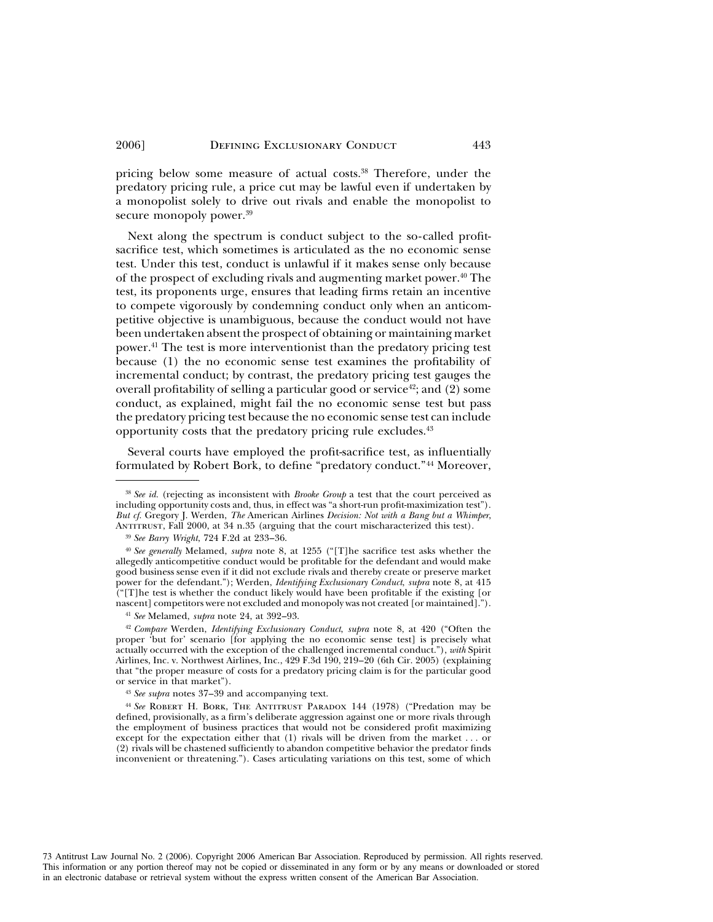pricing below some measure of actual costs.<sup>38</sup> Therefore, under the predatory pricing rule, a price cut may be lawful even if undertaken by a monopolist solely to drive out rivals and enable the monopolist to secure monopoly power.<sup>39</sup>

Next along the spectrum is conduct subject to the so-called profitsacrifice test, which sometimes is articulated as the no economic sense test. Under this test, conduct is unlawful if it makes sense only because of the prospect of excluding rivals and augmenting market power.40 The test, its proponents urge, ensures that leading firms retain an incentive to compete vigorously by condemning conduct only when an anticompetitive objective is unambiguous, because the conduct would not have been undertaken absent the prospect of obtaining or maintaining market power.41 The test is more interventionist than the predatory pricing test because (1) the no economic sense test examines the profitability of incremental conduct; by contrast, the predatory pricing test gauges the overall profitability of selling a particular good or service $42$ ; and (2) some conduct, as explained, might fail the no economic sense test but pass the predatory pricing test because the no economic sense test can include opportunity costs that the predatory pricing rule excludes.43

Several courts have employed the profit-sacrifice test, as influentially formulated by Robert Bork, to define "predatory conduct."<sup>44</sup> Moreover,

<sup>39</sup> *See Barry Wright*, 724 F.2d at 233–36.

<sup>38</sup> *See id.* (rejecting as inconsistent with *Brooke Group* a test that the court perceived as including opportunity costs and, thus, in effect was "a short-run profit-maximization test"). *But cf.* Gregory J. Werden, *The* American Airlines *Decision: Not with a Bang but a Whimper*, ANTITRUST, Fall 2000, at 34 n.35 (arguing that the court mischaracterized this test).

<sup>40</sup> *See generally* Melamed, *supra* note 8, at 1255 ("[T]he sacrifice test asks whether the allegedly anticompetitive conduct would be profitable for the defendant and would make good business sense even if it did not exclude rivals and thereby create or preserve market power for the defendant."); Werden, *Identifying Exclusionary Conduct*, *supra* note 8, at 415 ("[T]he test is whether the conduct likely would have been profitable if the existing [or nascent] competitors were not excluded and monopoly was not created [or maintained]."). <sup>41</sup> *See* Melamed, *supra* note 24, at 392–93.

<sup>42</sup> *Compare* Werden, *Identifying Exclusionary Conduct*, *supra* note 8, at 420 ("Often the

proper 'but for' scenario [for applying the no economic sense test] is precisely what actually occurred with the exception of the challenged incremental conduct."), *with* Spirit Airlines, Inc. v. Northwest Airlines, Inc., 429 F.3d 190, 219–20 (6th Cir. 2005) (explaining that "the proper measure of costs for a predatory pricing claim is for the particular good or service in that market").

<sup>43</sup> *See supra* notes 37–39 and accompanying text.

<sup>44</sup> *See* Robert H. Bork, The Antitrust Paradox 144 (1978) ("Predation may be defined, provisionally, as a firm's deliberate aggression against one or more rivals through the employment of business practices that would not be considered profit maximizing except for the expectation either that (1) rivals will be driven from the market . . . or (2) rivals will be chastened sufficiently to abandon competitive behavior the predator finds inconvenient or threatening."). Cases articulating variations on this test, some of which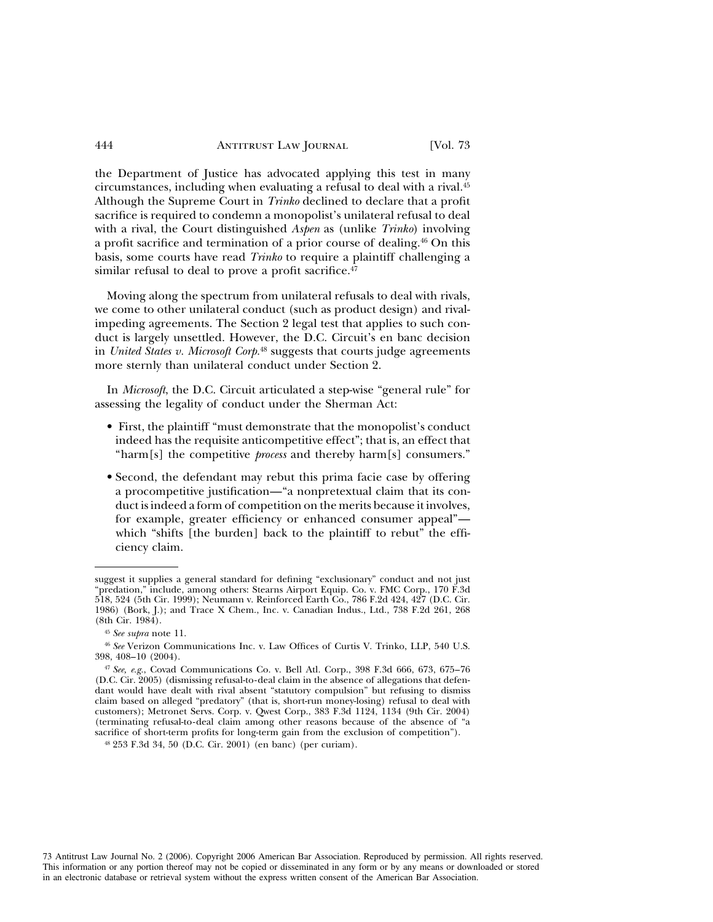the Department of Justice has advocated applying this test in many circumstances, including when evaluating a refusal to deal with a rival.45 Although the Supreme Court in *Trinko* declined to declare that a profit sacrifice is required to condemn a monopolist's unilateral refusal to deal with a rival, the Court distinguished *Aspen* as (unlike *Trinko*) involving a profit sacrifice and termination of a prior course of dealing.<sup>46</sup> On this basis, some courts have read *Trinko* to require a plaintiff challenging a similar refusal to deal to prove a profit sacrifice.<sup>47</sup>

Moving along the spectrum from unilateral refusals to deal with rivals, we come to other unilateral conduct (such as product design) and rivalimpeding agreements. The Section 2 legal test that applies to such conduct is largely unsettled. However, the D.C. Circuit's en banc decision in *United States v. Microsoft Corp.*<sup>48</sup> suggests that courts judge agreements more sternly than unilateral conduct under Section 2.

In *Microsoft*, the D.C. Circuit articulated a step-wise "general rule" for assessing the legality of conduct under the Sherman Act:

- First, the plaintiff "must demonstrate that the monopolist's conduct indeed has the requisite anticompetitive effect"; that is, an effect that "harm[s] the competitive *process* and thereby harm[s] consumers."
- Second, the defendant may rebut this prima facie case by offering a procompetitive justification—"a nonpretextual claim that its conduct is indeed a form of competition on the merits because it involves, for example, greater efficiency or enhanced consumer appeal" which "shifts [the burden] back to the plaintiff to rebut" the efficiency claim.

suggest it supplies a general standard for defining "exclusionary" conduct and not just "predation," include, among others: Stearns Airport Equip. Co. v. FMC Corp., 170 F.3d 518, 524 (5th Cir. 1999); Neumann v. Reinforced Earth Co., 786 F.2d 424, 427 (D.C. Cir. 1986) (Bork, J.); and Trace X Chem., Inc. v. Canadian Indus., Ltd., 738 F.2d 261, 268 (8th Cir. 1984).

<sup>45</sup> *See supra* note 11.

<sup>46</sup> *See* Verizon Communications Inc. v. Law Offices of Curtis V. Trinko, LLP, 540 U.S. 398, 408–10 (2004).

<sup>47</sup> *See, e.g.*, Covad Communications Co. v. Bell Atl. Corp., 398 F.3d 666, 673, 675–76 (D.C. Cir. 2005) (dismissing refusal-to-deal claim in the absence of allegations that defendant would have dealt with rival absent "statutory compulsion" but refusing to dismiss claim based on alleged "predatory" (that is, short-run money-losing) refusal to deal with customers); Metronet Servs. Corp. v. Qwest Corp., 383 F.3d 1124, 1134 (9th Cir. 2004) (terminating refusal-to-deal claim among other reasons because of the absence of "a sacrifice of short-term profits for long-term gain from the exclusion of competition").

<sup>48</sup> 253 F.3d 34, 50 (D.C. Cir. 2001) (en banc) (per curiam).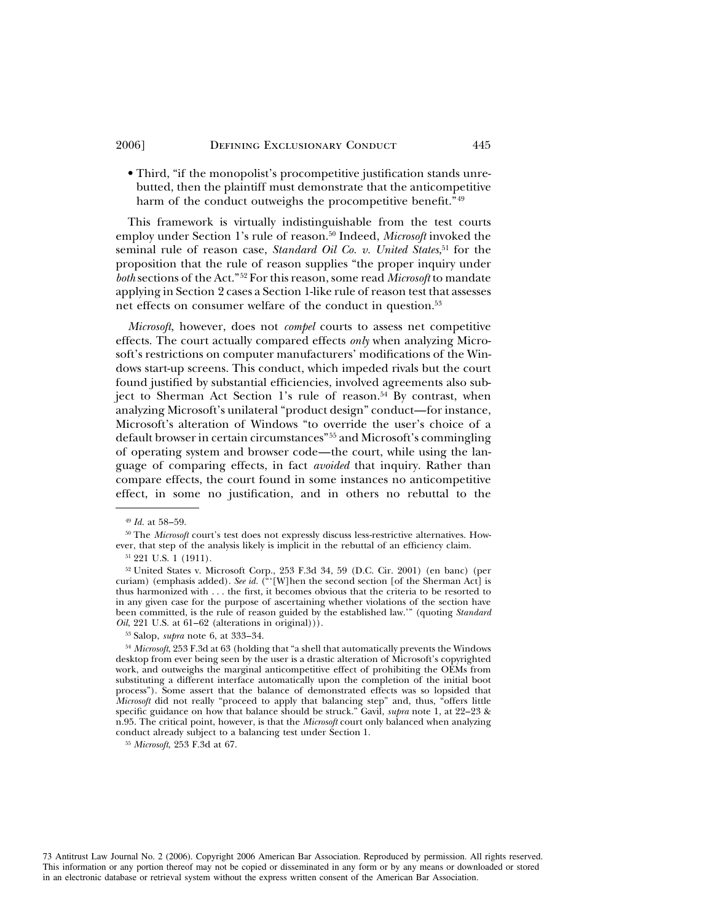• Third, "if the monopolist's procompetitive justification stands unrebutted, then the plaintiff must demonstrate that the anticompetitive harm of the conduct outweighs the procompetitive benefit."<sup>49</sup>

This framework is virtually indistinguishable from the test courts employ under Section 1's rule of reason.50 Indeed, *Microsoft* invoked the seminal rule of reason case, *Standard Oil Co. v. United States*, <sup>51</sup> for the proposition that the rule of reason supplies "the proper inquiry under *both* sections of the Act." <sup>52</sup> For this reason, some read *Microsoft* to mandate applying in Section 2 cases a Section 1-like rule of reason test that assesses net effects on consumer welfare of the conduct in question.53

*Microsoft*, however, does not *compel* courts to assess net competitive effects. The court actually compared effects *only* when analyzing Microsoft's restrictions on computer manufacturers' modifications of the Windows start-up screens. This conduct, which impeded rivals but the court found justified by substantial efficiencies, involved agreements also subject to Sherman Act Section 1's rule of reason.<sup>54</sup> By contrast, when analyzing Microsoft's unilateral "product design" conduct—for instance, Microsoft's alteration of Windows "to override the user's choice of a default browser in certain circumstances"55 and Microsoft's commingling of operating system and browser code—the court, while using the language of comparing effects, in fact *avoided* that inquiry. Rather than compare effects, the court found in some instances no anticompetitive effect, in some no justification, and in others no rebuttal to the

<sup>55</sup> *Microsoft*, 253 F.3d at 67.

73 Antitrust Law Journal No. 2 (2006). Copyright 2006 American Bar Association. Reproduced by permission. All rights reserved. This information or any portion thereof may not be copied or disseminated in any form or by any means or downloaded or stored in an electronic database or retrieval system without the express written consent of the American Bar Association.

<sup>49</sup> *Id.* at 58–59.

<sup>50</sup> The *Microsoft* court's test does not expressly discuss less-restrictive alternatives. However, that step of the analysis likely is implicit in the rebuttal of an efficiency claim.

<sup>51</sup> 221 U.S. 1 (1911).

<sup>52</sup> United States v. Microsoft Corp., 253 F.3d 34, 59 (D.C. Cir. 2001) (en banc) (per curiam) (emphasis added). *See id.* ("'[W]hen the second section [of the Sherman Act] is thus harmonized with . . . the first, it becomes obvious that the criteria to be resorted to in any given case for the purpose of ascertaining whether violations of the section have been committed, is the rule of reason guided by the established law.'" (quoting *Standard Oil*, 221 U.S. at 61–62 (alterations in original))).

<sup>53</sup> Salop, *supra* note 6, at 333–34.

<sup>54</sup> *Microsoft*, 253 F.3d at 63 (holding that "a shell that automatically prevents the Windows desktop from ever being seen by the user is a drastic alteration of Microsoft's copyrighted work, and outweighs the marginal anticompetitive effect of prohibiting the OEMs from substituting a different interface automatically upon the completion of the initial boot process"). Some assert that the balance of demonstrated effects was so lopsided that *Microsoft* did not really "proceed to apply that balancing step" and, thus, "offers little specific guidance on how that balance should be struck." Gavil, *supra* note 1, at 22–23 & n.95. The critical point, however, is that the *Microsoft* court only balanced when analyzing conduct already subject to a balancing test under Section 1.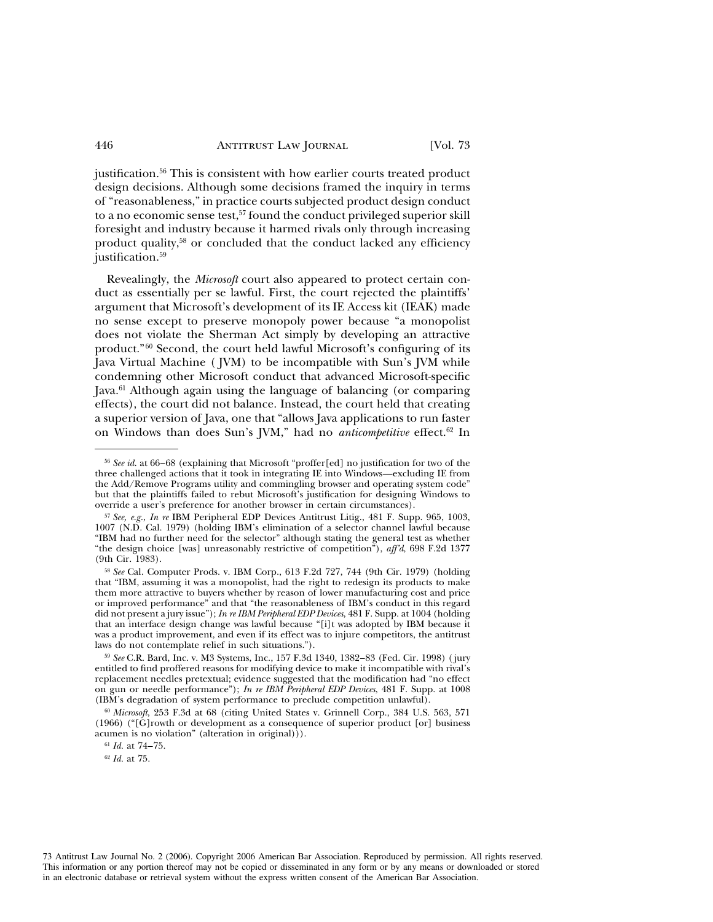justification.<sup>56</sup> This is consistent with how earlier courts treated product design decisions. Although some decisions framed the inquiry in terms of "reasonableness," in practice courts subjected product design conduct to a no economic sense test,<sup>57</sup> found the conduct privileged superior skill foresight and industry because it harmed rivals only through increasing product quality,<sup>58</sup> or concluded that the conduct lacked any efficiency justification.<sup>59</sup>

Revealingly, the *Microsoft* court also appeared to protect certain conduct as essentially per se lawful. First, the court rejected the plaintiffs' argument that Microsoft's development of its IE Access kit (IEAK) made no sense except to preserve monopoly power because "a monopolist does not violate the Sherman Act simply by developing an attractive product."<sup>60</sup> Second, the court held lawful Microsoft's configuring of its Java Virtual Machine ( JVM) to be incompatible with Sun's JVM while condemning other Microsoft conduct that advanced Microsoft-specific Java.61 Although again using the language of balancing (or comparing effects), the court did not balance. Instead, the court held that creating a superior version of Java, one that "allows Java applications to run faster on Windows than does Sun's [VM," had no *anticompetitive* effect.<sup>62</sup> In

<sup>56</sup> *See id.* at 66–68 (explaining that Microsoft "proffer[ed] no justification for two of the three challenged actions that it took in integrating IE into Windows—excluding IE from the Add/Remove Programs utility and commingling browser and operating system code" but that the plaintiffs failed to rebut Microsoft's justification for designing Windows to override a user's preference for another browser in certain circumstances).

<sup>57</sup> *See, e.g.*, *In re* IBM Peripheral EDP Devices Antitrust Litig., 481 F. Supp. 965, 1003, 1007 (N.D. Cal. 1979) (holding IBM's elimination of a selector channel lawful because "IBM had no further need for the selector" although stating the general test as whether "the design choice [was] unreasonably restrictive of competition"), *aff'd*, 698 F.2d 1377 (9th Cir. 1983).

<sup>58</sup> *See* Cal. Computer Prods. v. IBM Corp., 613 F.2d 727, 744 (9th Cir. 1979) (holding that "IBM, assuming it was a monopolist, had the right to redesign its products to make them more attractive to buyers whether by reason of lower manufacturing cost and price or improved performance" and that "the reasonableness of IBM's conduct in this regard did not present a jury issue"); *In re IBM Peripheral EDP Devices*, 481 F. Supp. at 1004 (holding that an interface design change was lawful because "[i]t was adopted by IBM because it was a product improvement, and even if its effect was to injure competitors, the antitrust laws do not contemplate relief in such situations.").

<sup>59</sup> *See* C.R. Bard, Inc. v. M3 Systems, Inc., 157 F.3d 1340, 1382–83 (Fed. Cir. 1998) ( jury entitled to find proffered reasons for modifying device to make it incompatible with rival's replacement needles pretextual; evidence suggested that the modification had "no effect on gun or needle performance"); *In re IBM Peripheral EDP Devices*, 481 F. Supp. at 1008 (IBM's degradation of system performance to preclude competition unlawful).

<sup>60</sup> *Microsoft*, 253 F.3d at 68 (citing United States v. Grinnell Corp., 384 U.S. 563, 571 (1966) ("[G]rowth or development as a consequence of superior product [or] business acumen is no violation" (alteration in original))).

<sup>61</sup> *Id.* at 74–75.

<sup>62</sup> *Id.* at 75.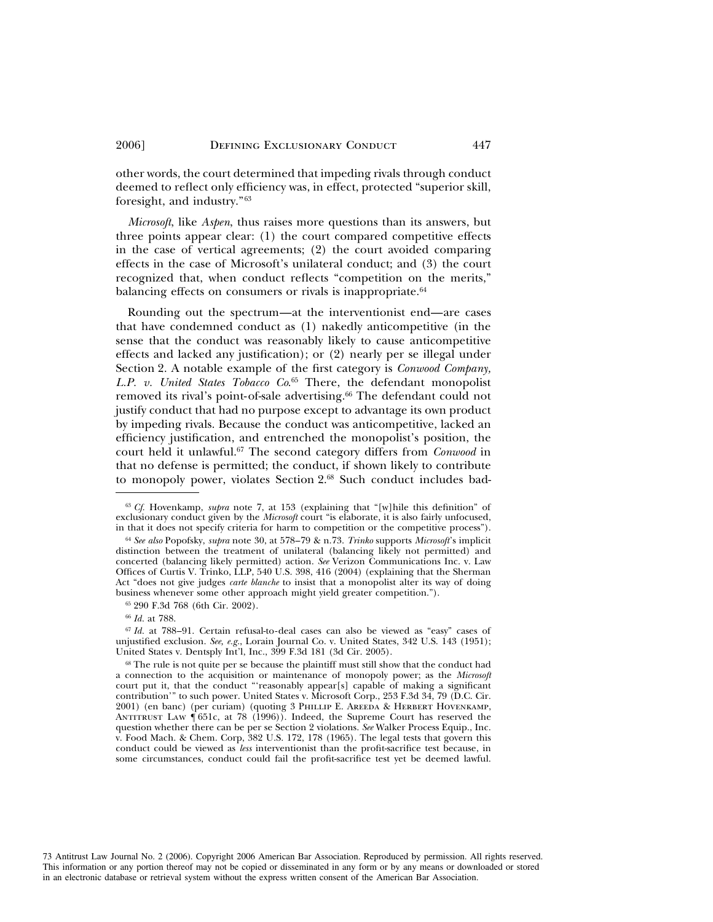other words, the court determined that impeding rivals through conduct deemed to reflect only efficiency was, in effect, protected "superior skill, foresight, and industry."63

*Microsoft*, like *Aspen*, thus raises more questions than its answers, but three points appear clear: (1) the court compared competitive effects in the case of vertical agreements; (2) the court avoided comparing effects in the case of Microsoft's unilateral conduct; and (3) the court recognized that, when conduct reflects "competition on the merits," balancing effects on consumers or rivals is inappropriate.<sup>64</sup>

Rounding out the spectrum—at the interventionist end—are cases that have condemned conduct as (1) nakedly anticompetitive (in the sense that the conduct was reasonably likely to cause anticompetitive effects and lacked any justification); or (2) nearly per se illegal under Section 2. A notable example of the first category is *Conwood Company, L.P. v. United States Tobacco Co*. <sup>65</sup> There, the defendant monopolist removed its rival's point-of-sale advertising.<sup>66</sup> The defendant could not justify conduct that had no purpose except to advantage its own product by impeding rivals. Because the conduct was anticompetitive, lacked an efficiency justification, and entrenched the monopolist's position, the court held it unlawful.67 The second category differs from *Conwood* in that no defense is permitted; the conduct, if shown likely to contribute to monopoly power, violates Section 2.68 Such conduct includes bad-

<sup>63</sup> *Cf.* Hovenkamp, *supra* note 7, at 153 (explaining that "[w]hile this definition" of exclusionary conduct given by the *Microsoft* court "is elaborate, it is also fairly unfocused, in that it does not specify criteria for harm to competition or the competitive process").

<sup>64</sup> *See also* Popofsky, *supra* note 30, at 578–79 & n.73. *Trinko* supports *Microsoft*'s implicit distinction between the treatment of unilateral (balancing likely not permitted) and concerted (balancing likely permitted) action. *See* Verizon Communications Inc. v. Law Offices of Curtis V. Trinko, LLP, 540 U.S. 398, 416 (2004) (explaining that the Sherman Act "does not give judges *carte blanche* to insist that a monopolist alter its way of doing business whenever some other approach might yield greater competition.").

<sup>65</sup> 290 F.3d 768 (6th Cir. 2002).

<sup>66</sup> *Id.* at 788.

<sup>67</sup> *Id.* at 788–91. Certain refusal-to-deal cases can also be viewed as "easy" cases of unjustified exclusion. *See, e.g.*, Lorain Journal Co. v. United States, 342 U.S. 143 (1951); United States v. Dentsply Int'l, Inc., 399 F.3d 181 (3d Cir. 2005).

<sup>&</sup>lt;sup>68</sup> The rule is not quite per se because the plaintiff must still show that the conduct had a connection to the acquisition or maintenance of monopoly power; as the *Microsoft* court put it, that the conduct "'reasonably appear[s] capable of making a significant contribution'" to such power. United States v. Microsoft Corp., 253 F.3d 34, 79 (D.C. Cir. 2001) (en banc) (per curiam) (quoting 3 Phillip E. Areeda & Herbert Hovenkamp, ANTITRUST LAW [651c, at 78 (1996)). Indeed, the Supreme Court has reserved the question whether there can be per se Section 2 violations. *See* Walker Process Equip., Inc. v. Food Mach. & Chem. Corp, 382 U.S. 172, 178 (1965). The legal tests that govern this conduct could be viewed as *less* interventionist than the profit-sacrifice test because, in some circumstances, conduct could fail the profit-sacrifice test yet be deemed lawful.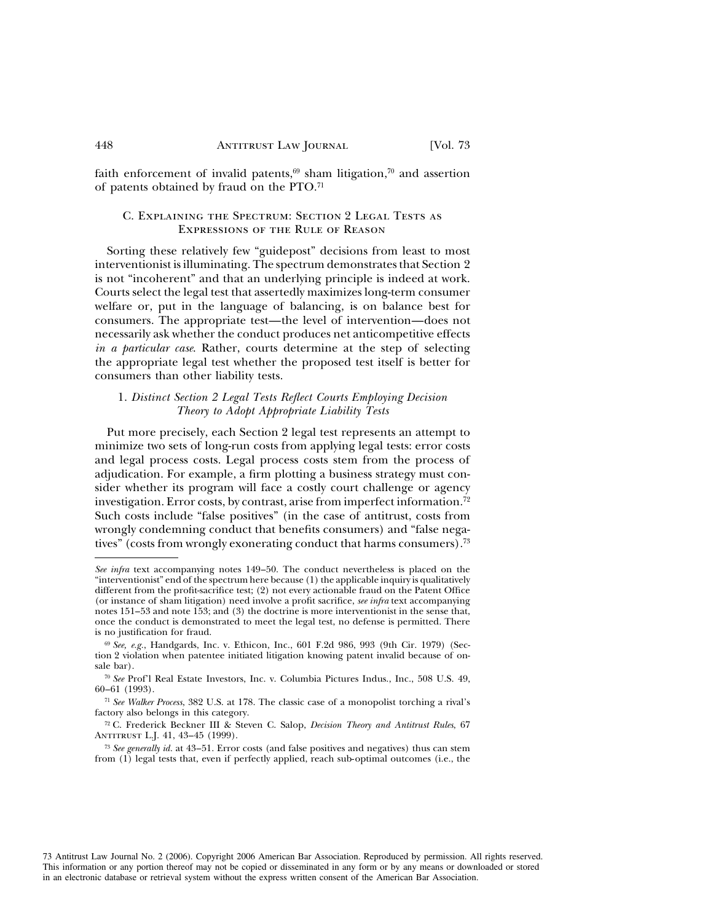faith enforcement of invalid patents, $69$  sham litigation, $70$  and assertion of patents obtained by fraud on the PTO.71

### C. Explaining the Spectrum: Section 2 Legal Tests as Expressions of the Rule of Reason

Sorting these relatively few "guidepost" decisions from least to most interventionist is illuminating. The spectrum demonstrates that Section 2 is not "incoherent" and that an underlying principle is indeed at work. Courts select the legal test that assertedly maximizes long-term consumer welfare or, put in the language of balancing, is on balance best for consumers. The appropriate test—the level of intervention—does not necessarily ask whether the conduct produces net anticompetitive effects *in a particular case*. Rather, courts determine at the step of selecting the appropriate legal test whether the proposed test itself is better for consumers than other liability tests.

# 1. *Distinct Section 2 Legal Tests Reflect Courts Employing Decision Theory to Adopt Appropriate Liability Tests*

Put more precisely, each Section 2 legal test represents an attempt to minimize two sets of long-run costs from applying legal tests: error costs and legal process costs. Legal process costs stem from the process of adjudication. For example, a firm plotting a business strategy must consider whether its program will face a costly court challenge or agency investigation. Error costs, by contrast, arise from imperfect information.72 Such costs include "false positives" (in the case of antitrust, costs from wrongly condemning conduct that benefits consumers) and "false negatives" (costs from wrongly exonerating conduct that harms consumers).73

*See infra* text accompanying notes 149–50. The conduct nevertheless is placed on the "interventionist" end of the spectrum here because (1) the applicable inquiry is qualitatively different from the profit-sacrifice test; (2) not every actionable fraud on the Patent Office (or instance of sham litigation) need involve a profit sacrifice, *see infra* text accompanying notes 151–53 and note 153; and (3) the doctrine is more interventionist in the sense that, once the conduct is demonstrated to meet the legal test, no defense is permitted. There is no justification for fraud.

<sup>69</sup> *See, e.g.*, Handgards, Inc. v. Ethicon, Inc., 601 F.2d 986, 993 (9th Cir. 1979) (Section 2 violation when patentee initiated litigation knowing patent invalid because of onsale bar).

<sup>70</sup> *See* Prof'l Real Estate Investors, Inc. v. Columbia Pictures Indus., Inc., 508 U.S. 49, 60–61 (1993).

<sup>71</sup> *See Walker Process*, 382 U.S. at 178. The classic case of a monopolist torching a rival's factory also belongs in this category.

<sup>72</sup> C. Frederick Beckner III & Steven C. Salop, *Decision Theory and Antitrust Rules*, 67 Antitrust L.J. 41, 43–45 (1999).

<sup>73</sup> *See generally id.* at 43–51. Error costs (and false positives and negatives) thus can stem from (1) legal tests that, even if perfectly applied, reach sub-optimal outcomes (i.e., the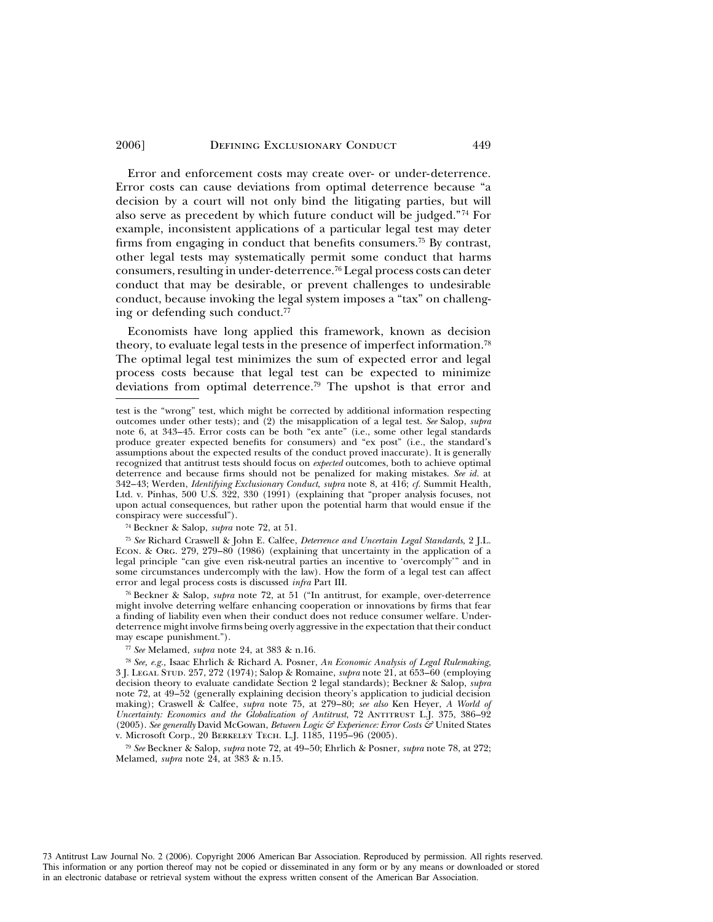Error and enforcement costs may create over- or under-deterrence. Error costs can cause deviations from optimal deterrence because "a decision by a court will not only bind the litigating parties, but will also serve as precedent by which future conduct will be judged."<sup>74</sup> For example, inconsistent applications of a particular legal test may deter firms from engaging in conduct that benefits consumers.75 By contrast, other legal tests may systematically permit some conduct that harms consumers, resulting in under-deterrence.76 Legal process costs can deter conduct that may be desirable, or prevent challenges to undesirable conduct, because invoking the legal system imposes a "tax" on challenging or defending such conduct.77

Economists have long applied this framework, known as decision theory, to evaluate legal tests in the presence of imperfect information.78 The optimal legal test minimizes the sum of expected error and legal process costs because that legal test can be expected to minimize deviations from optimal deterrence.79 The upshot is that error and

test is the "wrong" test, which might be corrected by additional information respecting outcomes under other tests); and (2) the misapplication of a legal test. *See* Salop, *supra* note 6, at 343–45. Error costs can be both "ex ante" (i.e., some other legal standards produce greater expected benefits for consumers) and "ex post" (i.e., the standard's assumptions about the expected results of the conduct proved inaccurate). It is generally recognized that antitrust tests should focus on *expected* outcomes, both to achieve optimal deterrence and because firms should not be penalized for making mistakes. *See id.* at 342–43; Werden, *Identifying Exclusionary Conduct*, *supra* note 8, at 416; *cf.* Summit Health, Ltd. v. Pinhas, 500 U.S. 322, 330 (1991) (explaining that "proper analysis focuses, not upon actual consequences, but rather upon the potential harm that would ensue if the conspiracy were successful").

<sup>74</sup> Beckner & Salop, *supra* note 72, at 51.

<sup>75</sup> *See* Richard Craswell & John E. Calfee, *Deterrence and Uncertain Legal Standards*, 2 J.L. ECON. & ORG. 279, 279-80 (1986) (explaining that uncertainty in the application of a legal principle "can give even risk-neutral parties an incentive to 'overcomply'" and in some circumstances undercomply with the law). How the form of a legal test can affect error and legal process costs is discussed *infra* Part III.

<sup>76</sup> Beckner & Salop, *supra* note 72, at 51 ("In antitrust, for example, over-deterrence might involve deterring welfare enhancing cooperation or innovations by firms that fear a finding of liability even when their conduct does not reduce consumer welfare. Underdeterrence might involve firms being overly aggressive in the expectation that their conduct may escape punishment.").

<sup>77</sup> *See* Melamed, *supra* note 24, at 383 & n.16.

<sup>78</sup> *See, e.g.,* Isaac Ehrlich & Richard A. Posner, *An Economic Analysis of Legal Rulemaking*, 3 J. Legal Stud. 257, 272 (1974); Salop & Romaine, *supra* note 21, at 653–60 (employing decision theory to evaluate candidate Section 2 legal standards); Beckner & Salop, *supra* note 72, at 49–52 (generally explaining decision theory's application to judicial decision making); Craswell & Calfee, *supra* note 75, at 279–80; *see also* Ken Heyer, *A World of Uncertainty: Economics and the Globalization of Antitrust*, 72 ANTITRUST L.J. 375, 386–92 (2005). *See generally* David McGowan, *Between Logic & Experience: Error Costs &* United States v. Microsoft Corp., 20 Berkeley Tech. L.J. 1185, 1195–96 (2005).

<sup>79</sup> *See* Beckner & Salop, *supra* note 72, at 49–50; Ehrlich & Posner, *supra* note 78, at 272; Melamed, *supra* note 24, at 383 & n.15.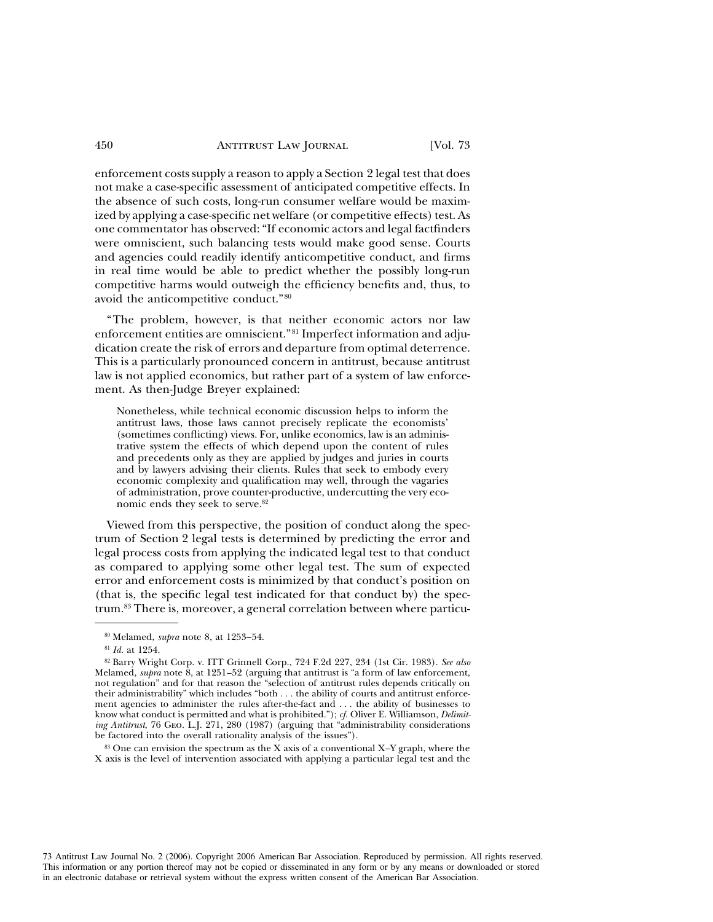enforcement costs supply a reason to apply a Section 2 legal test that does not make a case-specific assessment of anticipated competitive effects. In the absence of such costs, long-run consumer welfare would be maximized by applying a case-specific net welfare (or competitive effects) test. As one commentator has observed: "If economic actors and legal factfinders were omniscient, such balancing tests would make good sense. Courts and agencies could readily identify anticompetitive conduct, and firms in real time would be able to predict whether the possibly long-run competitive harms would outweigh the efficiency benefits and, thus, to avoid the anticompetitive conduct."80

"The problem, however, is that neither economic actors nor law enforcement entities are omniscient." <sup>81</sup> Imperfect information and adjudication create the risk of errors and departure from optimal deterrence. This is a particularly pronounced concern in antitrust, because antitrust law is not applied economics, but rather part of a system of law enforcement. As then-Judge Breyer explained:

Nonetheless, while technical economic discussion helps to inform the antitrust laws, those laws cannot precisely replicate the economists' (sometimes conflicting) views. For, unlike economics, law is an administrative system the effects of which depend upon the content of rules and precedents only as they are applied by judges and juries in courts and by lawyers advising their clients. Rules that seek to embody every economic complexity and qualification may well, through the vagaries of administration, prove counter-productive, undercutting the very economic ends they seek to serve.<sup>82</sup>

Viewed from this perspective, the position of conduct along the spectrum of Section 2 legal tests is determined by predicting the error and legal process costs from applying the indicated legal test to that conduct as compared to applying some other legal test. The sum of expected error and enforcement costs is minimized by that conduct's position on (that is, the specific legal test indicated for that conduct by) the spectrum.83 There is, moreover, a general correlation between where particu-

<sup>83</sup> One can envision the spectrum as the X axis of a conventional X–Y graph, where the X axis is the level of intervention associated with applying a particular legal test and the

73 Antitrust Law Journal No. 2 (2006). Copyright 2006 American Bar Association. Reproduced by permission. All rights reserved. This information or any portion thereof may not be copied or disseminated in any form or by any means or downloaded or stored in an electronic database or retrieval system without the express written consent of the American Bar Association.

<sup>80</sup> Melamed, *supra* note 8, at 1253–54.

<sup>81</sup> *Id.* at 1254.

<sup>82</sup> Barry Wright Corp. v. ITT Grinnell Corp., 724 F.2d 227, 234 (1st Cir. 1983). *See also* Melamed, *supra* note 8, at 1251–52 (arguing that antitrust is "a form of law enforcement, not regulation" and for that reason the "selection of antitrust rules depends critically on their administrability" which includes "both . . . the ability of courts and antitrust enforcement agencies to administer the rules after-the-fact and . . . the ability of businesses to know what conduct is permitted and what is prohibited."); *cf.* Oliver E. Williamson, *Delimiting Antitrust*, 76 Geo. L.J. 271, 280 (1987) (arguing that "administrability considerations be factored into the overall rationality analysis of the issues").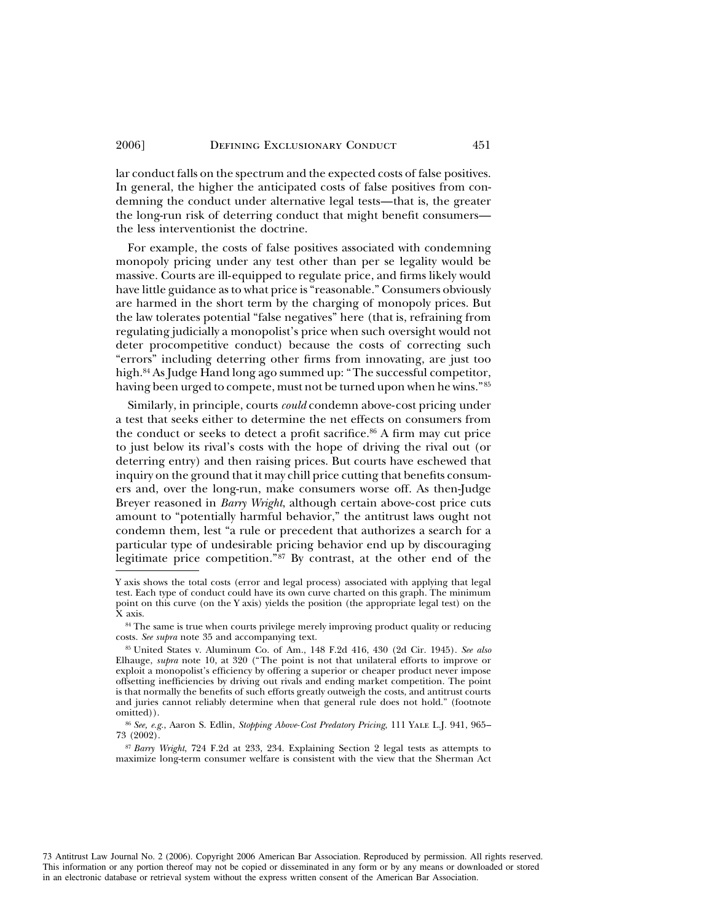lar conduct falls on the spectrum and the expected costs of false positives. In general, the higher the anticipated costs of false positives from condemning the conduct under alternative legal tests—that is, the greater the long-run risk of deterring conduct that might benefit consumers the less interventionist the doctrine.

For example, the costs of false positives associated with condemning monopoly pricing under any test other than per se legality would be massive. Courts are ill-equipped to regulate price, and firms likely would have little guidance as to what price is "reasonable." Consumers obviously are harmed in the short term by the charging of monopoly prices. But the law tolerates potential "false negatives" here (that is, refraining from regulating judicially a monopolist's price when such oversight would not deter procompetitive conduct) because the costs of correcting such "errors" including deterring other firms from innovating, are just too high.84 As Judge Hand long ago summed up: "The successful competitor, having been urged to compete, must not be turned upon when he wins."85

Similarly, in principle, courts *could* condemn above-cost pricing under a test that seeks either to determine the net effects on consumers from the conduct or seeks to detect a profit sacrifice. $86$  A firm may cut price to just below its rival's costs with the hope of driving the rival out (or deterring entry) and then raising prices. But courts have eschewed that inquiry on the ground that it may chill price cutting that benefits consumers and, over the long-run, make consumers worse off. As then-Judge Breyer reasoned in *Barry Wright*, although certain above-cost price cuts amount to "potentially harmful behavior," the antitrust laws ought not condemn them, lest "a rule or precedent that authorizes a search for a particular type of undesirable pricing behavior end up by discouraging legitimate price competition."87 By contrast, at the other end of the

Y axis shows the total costs (error and legal process) associated with applying that legal test. Each type of conduct could have its own curve charted on this graph. The minimum point on this curve (on the Y axis) yields the position (the appropriate legal test) on the X axis.

<sup>&</sup>lt;sup>84</sup> The same is true when courts privilege merely improving product quality or reducing costs. *See supra* note 35 and accompanying text.

<sup>85</sup> United States v. Aluminum Co. of Am., 148 F.2d 416, 430 (2d Cir. 1945). *See also* Elhauge, *supra* note 10, at 320 ("The point is not that unilateral efforts to improve or exploit a monopolist's efficiency by offering a superior or cheaper product never impose offsetting inefficiencies by driving out rivals and ending market competition. The point is that normally the benefits of such efforts greatly outweigh the costs, and antitrust courts and juries cannot reliably determine when that general rule does not hold." (footnote omitted)).

<sup>86</sup> *See, e.g.*, Aaron S. Edlin, *Stopping Above-Cost Predatory Pricing*, 111 Yale L.J. 941, 965– 73 (2002).

<sup>87</sup> *Barry Wright*, 724 F.2d at 233, 234. Explaining Section 2 legal tests as attempts to maximize long-term consumer welfare is consistent with the view that the Sherman Act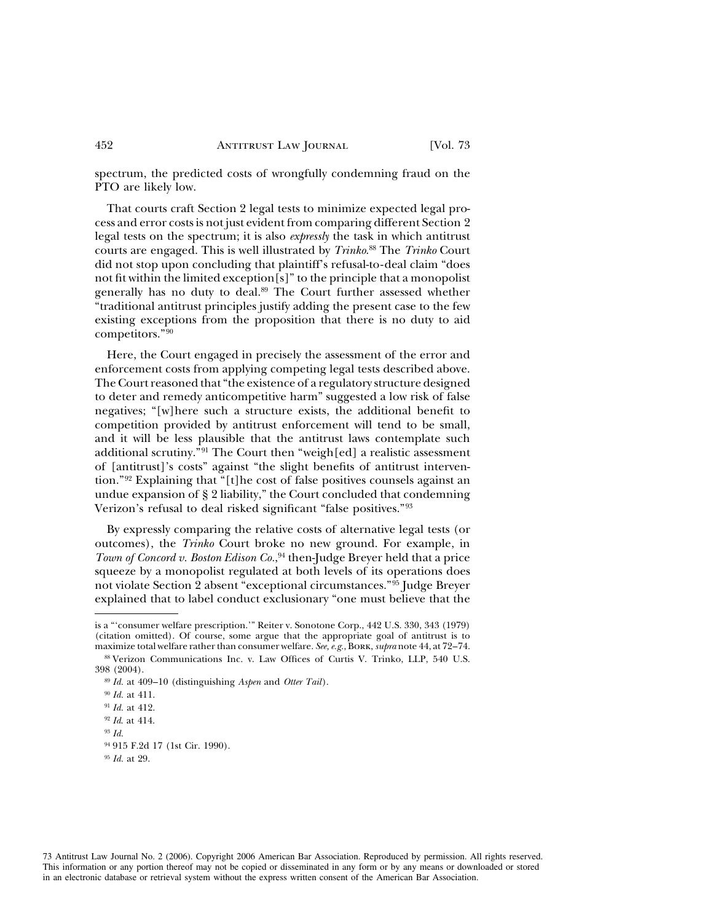spectrum, the predicted costs of wrongfully condemning fraud on the PTO are likely low.

That courts craft Section 2 legal tests to minimize expected legal process and error costs is not just evident from comparing different Section 2 legal tests on the spectrum; it is also *expressly* the task in which antitrust courts are engaged. This is well illustrated by *Trinko*. <sup>88</sup> The *Trinko* Court did not stop upon concluding that plaintiff's refusal-to-deal claim "does not fit within the limited exception[s]" to the principle that a monopolist generally has no duty to deal.<sup>89</sup> The Court further assessed whether "traditional antitrust principles justify adding the present case to the few existing exceptions from the proposition that there is no duty to aid competitors."90

Here, the Court engaged in precisely the assessment of the error and enforcement costs from applying competing legal tests described above. The Court reasoned that "the existence of a regulatory structure designed to deter and remedy anticompetitive harm" suggested a low risk of false negatives; "[w]here such a structure exists, the additional benefit to competition provided by antitrust enforcement will tend to be small, and it will be less plausible that the antitrust laws contemplate such additional scrutiny."<sup>91</sup> The Court then "weigh[ed] a realistic assessment of [antitrust]'s costs" against "the slight benefits of antitrust intervention."92 Explaining that "[t]he cost of false positives counsels against an undue expansion of § 2 liability," the Court concluded that condemning Verizon's refusal to deal risked significant "false positives." <sup>93</sup>

By expressly comparing the relative costs of alternative legal tests (or outcomes), the *Trinko* Court broke no new ground. For example, in *Town of Concord v. Boston Edison Co.*, <sup>94</sup> then-Judge Breyer held that a price squeeze by a monopolist regulated at both levels of its operations does not violate Section 2 absent "exceptional circumstances." <sup>95</sup> Judge Breyer explained that to label conduct exclusionary "one must believe that the

is a "'consumer welfare prescription.'" Reiter v. Sonotone Corp., 442 U.S. 330, 343 (1979) (citation omitted). Of course, some argue that the appropriate goal of antitrust is to maximize total welfare rather than consumer welfare. *See, e.g.*, Bork, *supra* note 44, at 72–74.

<sup>88</sup> Verizon Communications Inc. v. Law Offices of Curtis V. Trinko, LLP, 540 U.S. 398 (2004).

<sup>89</sup> *Id.* at 409–10 (distinguishing *Aspen* and *Otter Tail*).

<sup>90</sup> *Id.* at 411.

<sup>91</sup> *Id.* at 412.

<sup>92</sup> *Id*. at 414.

<sup>93</sup> *Id.*

<sup>94</sup> 915 F.2d 17 (1st Cir. 1990).

<sup>95</sup> *Id.* at 29.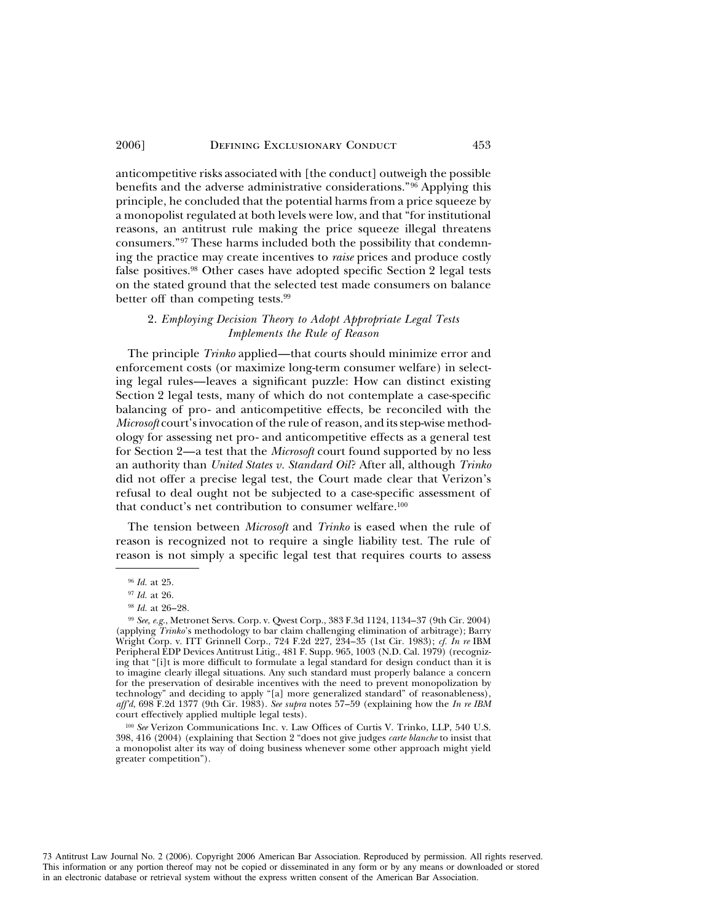anticompetitive risks associated with [the conduct] outweigh the possible benefits and the adverse administrative considerations."96 Applying this principle, he concluded that the potential harms from a price squeeze by a monopolist regulated at both levels were low, and that "for institutional reasons, an antitrust rule making the price squeeze illegal threatens consumers."97 These harms included both the possibility that condemning the practice may create incentives to *raise* prices and produce costly false positives.<sup>98</sup> Other cases have adopted specific Section 2 legal tests on the stated ground that the selected test made consumers on balance better off than competing tests.99

# 2. *Employing Decision Theory to Adopt Appropriate Legal Tests Implements the Rule of Reason*

The principle *Trinko* applied—that courts should minimize error and enforcement costs (or maximize long-term consumer welfare) in selecting legal rules—leaves a significant puzzle: How can distinct existing Section 2 legal tests, many of which do not contemplate a case-specific balancing of pro- and anticompetitive effects, be reconciled with the *Microsoft* court's invocation of the rule of reason, and its step-wise methodology for assessing net pro- and anticompetitive effects as a general test for Section 2—a test that the *Microsoft* court found supported by no less an authority than *United States v. Standard Oil*? After all, although *Trinko* did not offer a precise legal test, the Court made clear that Verizon's refusal to deal ought not be subjected to a case-specific assessment of that conduct's net contribution to consumer welfare.<sup>100</sup>

The tension between *Microsoft* and *Trinko* is eased when the rule of reason is recognized not to require a single liability test. The rule of reason is not simply a specific legal test that requires courts to assess

<sup>100</sup> *See* Verizon Communications Inc. v. Law Offices of Curtis V. Trinko, LLP, 540 U.S. 398, 416 (2004) (explaining that Section 2 "does not give judges *carte blanche* to insist that a monopolist alter its way of doing business whenever some other approach might yield greater competition").

73 Antitrust Law Journal No. 2 (2006). Copyright 2006 American Bar Association. Reproduced by permission. All rights reserved. This information or any portion thereof may not be copied or disseminated in any form or by any means or downloaded or stored in an electronic database or retrieval system without the express written consent of the American Bar Association.

<sup>96</sup> *Id.* at 25.

<sup>97</sup> *Id.* at 26.

<sup>98</sup> *Id.* at 26–28.

<sup>99</sup> *See, e.g.*, Metronet Servs. Corp. v. Qwest Corp., 383 F.3d 1124, 1134–37 (9th Cir. 2004) (applying *Trinko*'s methodology to bar claim challenging elimination of arbitrage); Barry Wright Corp. v. ITT Grinnell Corp., 724 F.2d 227, 234–35 (1st Cir. 1983); *cf. In re* IBM Peripheral EDP Devices Antitrust Litig., 481 F. Supp. 965, 1003 (N.D. Cal. 1979) (recognizing that "[i]t is more difficult to formulate a legal standard for design conduct than it is to imagine clearly illegal situations. Any such standard must properly balance a concern for the preservation of desirable incentives with the need to prevent monopolization by technology" and deciding to apply "[a] more generalized standard" of reasonableness), *aff'd*, 698 F.2d 1377 (9th Cir. 1983). *See supra* notes 57–59 (explaining how the *In re IBM* court effectively applied multiple legal tests).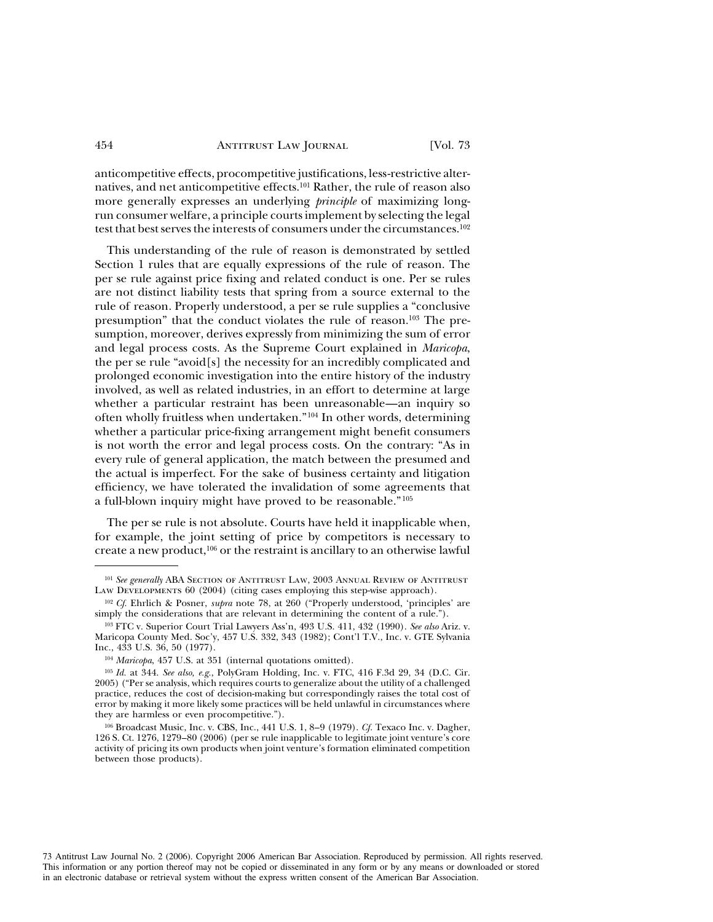# 454 Antitrust Law Journal [Vol. 73

anticompetitive effects, procompetitive justifications, less-restrictive alternatives, and net anticompetitive effects.101 Rather, the rule of reason also more generally expresses an underlying *principle* of maximizing longrun consumer welfare, a principle courts implement by selecting the legal test that best serves the interests of consumers under the circumstances.<sup>102</sup>

This understanding of the rule of reason is demonstrated by settled Section 1 rules that are equally expressions of the rule of reason. The per se rule against price fixing and related conduct is one. Per se rules are not distinct liability tests that spring from a source external to the rule of reason. Properly understood, a per se rule supplies a "conclusive presumption" that the conduct violates the rule of reason.<sup>103</sup> The presumption, moreover, derives expressly from minimizing the sum of error and legal process costs. As the Supreme Court explained in *Maricopa*, the per se rule "avoid[s] the necessity for an incredibly complicated and prolonged economic investigation into the entire history of the industry involved, as well as related industries, in an effort to determine at large whether a particular restraint has been unreasonable—an inquiry so often wholly fruitless when undertaken."104 In other words, determining whether a particular price-fixing arrangement might benefit consumers is not worth the error and legal process costs. On the contrary: "As in every rule of general application, the match between the presumed and the actual is imperfect. For the sake of business certainty and litigation efficiency, we have tolerated the invalidation of some agreements that a full-blown inquiry might have proved to be reasonable." <sup>105</sup>

The per se rule is not absolute. Courts have held it inapplicable when, for example, the joint setting of price by competitors is necessary to create a new product, $106$  or the restraint is ancillary to an otherwise lawful

<sup>&</sup>lt;sup>101</sup> See generally ABA SECTION OF ANTITRUST LAW, 2003 ANNUAL REVIEW OF ANTITRUST LAW DEVELOPMENTS 60 (2004) (citing cases employing this step-wise approach).

<sup>102</sup> *Cf.* Ehrlich & Posner, *supra* note 78, at 260 ("Properly understood, 'principles' are simply the considerations that are relevant in determining the content of a rule.").

<sup>103</sup> FTC v. Superior Court Trial Lawyers Ass'n, 493 U.S. 411, 432 (1990). *See also* Ariz. v. Maricopa County Med. Soc'y, 457 U.S. 332, 343 (1982); Cont'l T.V., Inc. v. GTE Sylvania Inc., 433 U.S. 36, 50 (1977).

<sup>104</sup> *Maricopa*, 457 U.S. at 351 (internal quotations omitted).

<sup>105</sup> *Id.* at 344. *See also, e.g.*, PolyGram Holding, Inc. v. FTC, 416 F.3d 29, 34 (D.C. Cir. 2005) ("Per se analysis, which requires courts to generalize about the utility of a challenged practice, reduces the cost of decision-making but correspondingly raises the total cost of error by making it more likely some practices will be held unlawful in circumstances where they are harmless or even procompetitive.").

<sup>106</sup> Broadcast Music, Inc. v. CBS, Inc., 441 U.S. 1, 8–9 (1979). *Cf.* Texaco Inc. v. Dagher, 126 S. Ct. 1276, 1279–80 (2006) (per se rule inapplicable to legitimate joint venture's core activity of pricing its own products when joint venture's formation eliminated competition between those products).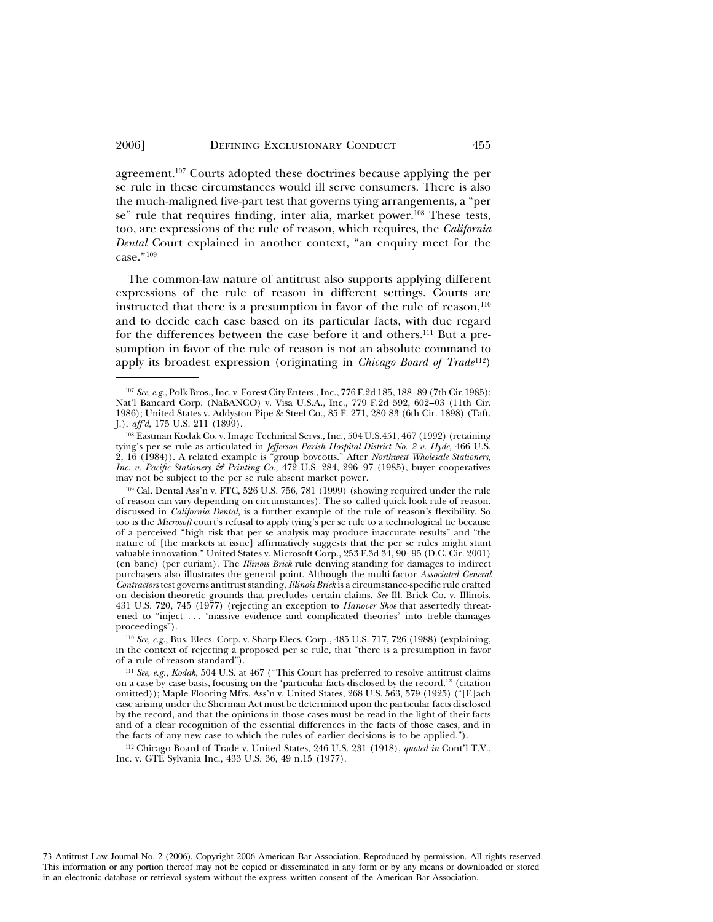agreement.107 Courts adopted these doctrines because applying the per se rule in these circumstances would ill serve consumers. There is also the much-maligned five-part test that governs tying arrangements, a "per se" rule that requires finding, inter alia, market power.<sup>108</sup> These tests, too, are expressions of the rule of reason, which requires, the *California Dental* Court explained in another context, "an enquiry meet for the case."109

The common-law nature of antitrust also supports applying different expressions of the rule of reason in different settings. Courts are instructed that there is a presumption in favor of the rule of reason, $110$ and to decide each case based on its particular facts, with due regard for the differences between the case before it and others.111 But a presumption in favor of the rule of reason is not an absolute command to apply its broadest expression (originating in *Chicago Board of Trade*<sup>112</sup>)

<sup>107</sup> *See, e.g.*, Polk Bros., Inc. v. Forest City Enters., Inc., 776 F.2d 185, 188–89 (7th Cir.1985); Nat'l Bancard Corp. (NaBANCO) v. Visa U.S.A., Inc., 779 F.2d 592, 602–03 (11th Cir. 1986); United States v. Addyston Pipe & Steel Co., 85 F. 271, 280-83 (6th Cir. 1898) (Taft, J.), *aff'd*, 175 U.S. 211 (1899).

<sup>108</sup> Eastman Kodak Co. v. Image Technical Servs., Inc., 504 U.S.451, 467 (1992) (retaining tying's per se rule as articulated in *Jefferson Parish Hospital District No. 2 v. Hyde,* 466 U.S. 2, 16 (1984)). A related example is "group boycotts." After *Northwest Wholesale Stationers, Inc. v. Pacific Stationery & Printing Co.,* 472 U.S. 284, 296–97 (1985), buyer cooperatives may not be subject to the per se rule absent market power.

<sup>109</sup> Cal. Dental Ass'n v. FTC, 526 U.S. 756, 781 (1999) (showing required under the rule of reason can vary depending on circumstances). The so-called quick look rule of reason, discussed in *California Dental*, is a further example of the rule of reason's flexibility. So too is the *Microsoft* court's refusal to apply tying's per se rule to a technological tie because of a perceived "high risk that per se analysis may produce inaccurate results" and "the nature of [the markets at issue] affirmatively suggests that the per se rules might stunt valuable innovation." United States v. Microsoft Corp., 253 F.3d 34, 90–95 (D.C. Cir. 2001) (en banc) (per curiam). The *Illinois Brick* rule denying standing for damages to indirect purchasers also illustrates the general point. Although the multi-factor *Associated General Contractors* test governs antitrust standing, *Illinois Brick* is a circumstance-specific rule crafted on decision-theoretic grounds that precludes certain claims. *See* Ill. Brick Co. v. Illinois, 431 U.S. 720, 745 (1977) (rejecting an exception to *Hanover Shoe* that assertedly threatened to "inject . . . 'massive evidence and complicated theories' into treble-damages proceedings").

<sup>110</sup> *See, e.g.*, Bus. Elecs. Corp. v. Sharp Elecs. Corp., 485 U.S. 717, 726 (1988) (explaining, in the context of rejecting a proposed per se rule, that "there is a presumption in favor of a rule-of-reason standard").

<sup>111</sup> *See, e.g.*, *Kodak*, 504 U.S. at 467 ("This Court has preferred to resolve antitrust claims on a case-by-case basis, focusing on the 'particular facts disclosed by the record.'" (citation omitted)); Maple Flooring Mfrs. Ass'n v. United States, 268 U.S. 563, 579 (1925) ("[E]ach case arising under the Sherman Act must be determined upon the particular facts disclosed by the record, and that the opinions in those cases must be read in the light of their facts and of a clear recognition of the essential differences in the facts of those cases, and in the facts of any new case to which the rules of earlier decisions is to be applied.").

<sup>112</sup> Chicago Board of Trade v. United States, 246 U.S. 231 (1918), *quoted in* Cont'l T.V., Inc. v. GTE Sylvania Inc., 433 U.S. 36, 49 n.15 (1977).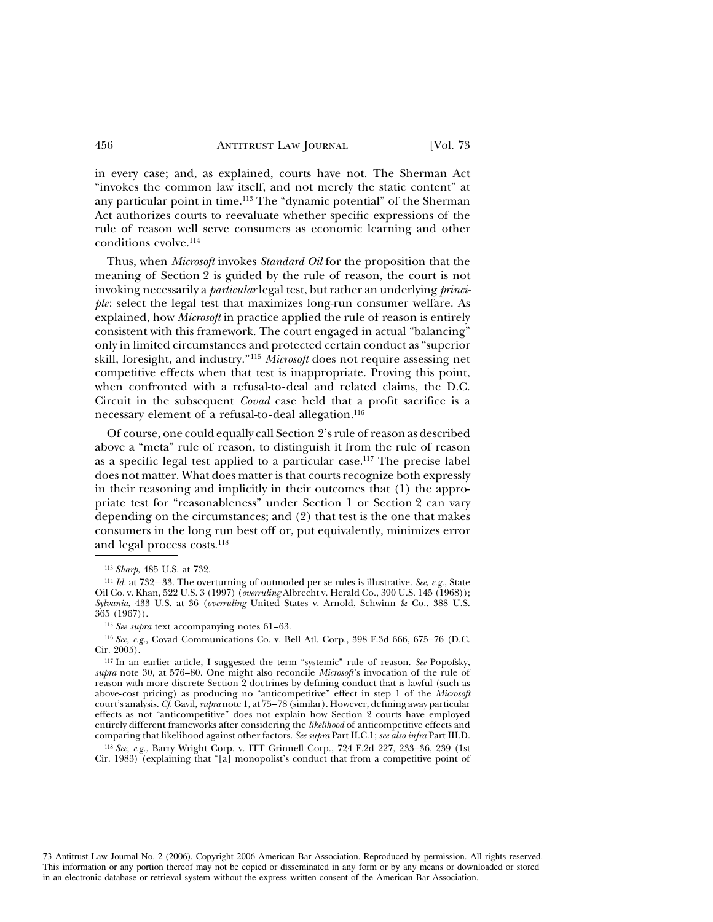in every case; and, as explained, courts have not. The Sherman Act "invokes the common law itself, and not merely the static content" at any particular point in time.<sup>113</sup> The "dynamic potential" of the Sherman Act authorizes courts to reevaluate whether specific expressions of the rule of reason well serve consumers as economic learning and other conditions evolve.114

Thus, when *Microsoft* invokes *Standard Oil* for the proposition that the meaning of Section 2 is guided by the rule of reason, the court is not invoking necessarily a *particular* legal test, but rather an underlying *principle*: select the legal test that maximizes long-run consumer welfare. As explained, how *Microsoft* in practice applied the rule of reason is entirely consistent with this framework. The court engaged in actual "balancing" only in limited circumstances and protected certain conduct as "superior skill, foresight, and industry."115 *Microsoft* does not require assessing net competitive effects when that test is inappropriate. Proving this point, when confronted with a refusal-to-deal and related claims, the D.C. Circuit in the subsequent *Covad* case held that a profit sacrifice is a necessary element of a refusal-to-deal allegation.<sup>116</sup>

Of course, one could equally call Section 2's rule of reason as described above a "meta" rule of reason, to distinguish it from the rule of reason as a specific legal test applied to a particular case.<sup>117</sup> The precise label does not matter. What does matter is that courts recognize both expressly in their reasoning and implicitly in their outcomes that (1) the appropriate test for "reasonableness" under Section 1 or Section 2 can vary depending on the circumstances; and (2) that test is the one that makes consumers in the long run best off or, put equivalently, minimizes error and legal process costs.118

<sup>113</sup> *Sharp*, 485 U.S. at 732.

<sup>114</sup> *Id.* at 732–-33. The overturning of outmoded per se rules is illustrative. *See, e.g.*, State Oil Co. v. Khan, 522 U.S. 3 (1997) (*overruling* Albrecht v. Herald Co., 390 U.S. 145 (1968)); *Sylvania*, 433 U.S. at 36 (*overruling* United States v. Arnold, Schwinn & Co., 388 U.S. 365 (1967)).

<sup>115</sup> *See supra* text accompanying notes 61–63.

<sup>116</sup> *See, e.g.*, Covad Communications Co. v. Bell Atl. Corp., 398 F.3d 666, 675–76 (D.C. Cir. 2005).

<sup>117</sup> In an earlier article, I suggested the term "systemic" rule of reason. *See* Popofsky, *supra* note 30, at 576–80. One might also reconcile *Microsoft*'s invocation of the rule of reason with more discrete Section 2 doctrines by defining conduct that is lawful (such as above-cost pricing) as producing no "anticompetitive" effect in step 1 of the *Microsoft* court's analysis. *Cf.* Gavil,*supra* note 1, at 75–78 (similar). However, defining away particular effects as not "anticompetitive" does not explain how Section 2 courts have employed entirely different frameworks after considering the *likelihood* of anticompetitive effects and comparing that likelihood against other factors. *See supra* Part II.C.1; *see also infra* Part III.D.

<sup>118</sup> *See, e.g.*, Barry Wright Corp. v. ITT Grinnell Corp., 724 F.2d 227, 233–36, 239 (1st Cir. 1983) (explaining that "[a] monopolist's conduct that from a competitive point of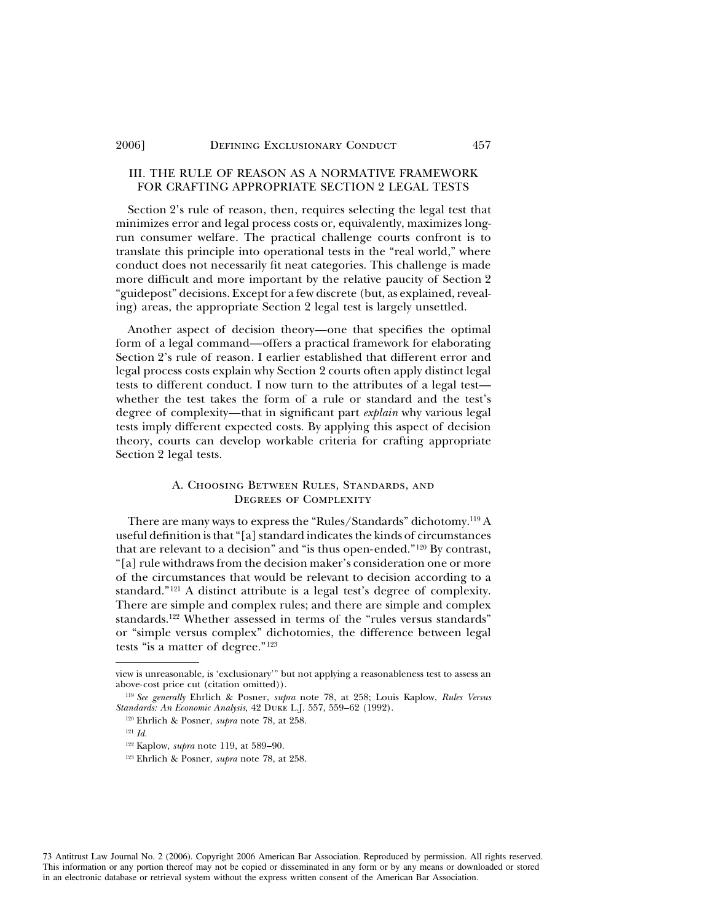# III. THE RULE OF REASON AS A NORMATIVE FRAMEWORK FOR CRAFTING APPROPRIATE SECTION 2 LEGAL TESTS

Section 2's rule of reason, then, requires selecting the legal test that minimizes error and legal process costs or, equivalently, maximizes longrun consumer welfare. The practical challenge courts confront is to translate this principle into operational tests in the "real world," where conduct does not necessarily fit neat categories. This challenge is made more difficult and more important by the relative paucity of Section 2 "guidepost" decisions. Except for a few discrete (but, as explained, revealing) areas, the appropriate Section 2 legal test is largely unsettled.

Another aspect of decision theory—one that specifies the optimal form of a legal command—offers a practical framework for elaborating Section 2's rule of reason. I earlier established that different error and legal process costs explain why Section 2 courts often apply distinct legal tests to different conduct. I now turn to the attributes of a legal test whether the test takes the form of a rule or standard and the test's degree of complexity—that in significant part *explain* why various legal tests imply different expected costs. By applying this aspect of decision theory, courts can develop workable criteria for crafting appropriate Section 2 legal tests.

# A. Choosing Between Rules, Standards, and Degrees of Complexity

There are many ways to express the "Rules/Standards" dichotomy.119 A useful definition is that "[a] standard indicates the kinds of circumstances that are relevant to a decision" and "is thus open-ended."120 By contrast, "[a] rule withdraws from the decision maker's consideration one or more of the circumstances that would be relevant to decision according to a standard."121 A distinct attribute is a legal test's degree of complexity. There are simple and complex rules; and there are simple and complex standards.122 Whether assessed in terms of the "rules versus standards" or "simple versus complex" dichotomies, the difference between legal tests "is a matter of degree." <sup>123</sup>

view is unreasonable, is 'exclusionary'" but not applying a reasonableness test to assess an above-cost price cut (citation omitted)).

<sup>119</sup> *See generally* Ehrlich & Posner, *supra* note 78, at 258; Louis Kaplow, *Rules Versus Standards: An Economic Analysis*, 42 Duke L.J. 557, 559–62 (1992).

<sup>120</sup> Ehrlich & Posner, *supra* note 78, at 258.

<sup>121</sup> *Id.*

<sup>122</sup> Kaplow, *supra* note 119, at 589–90.

<sup>123</sup> Ehrlich & Posner, *supra* note 78, at 258.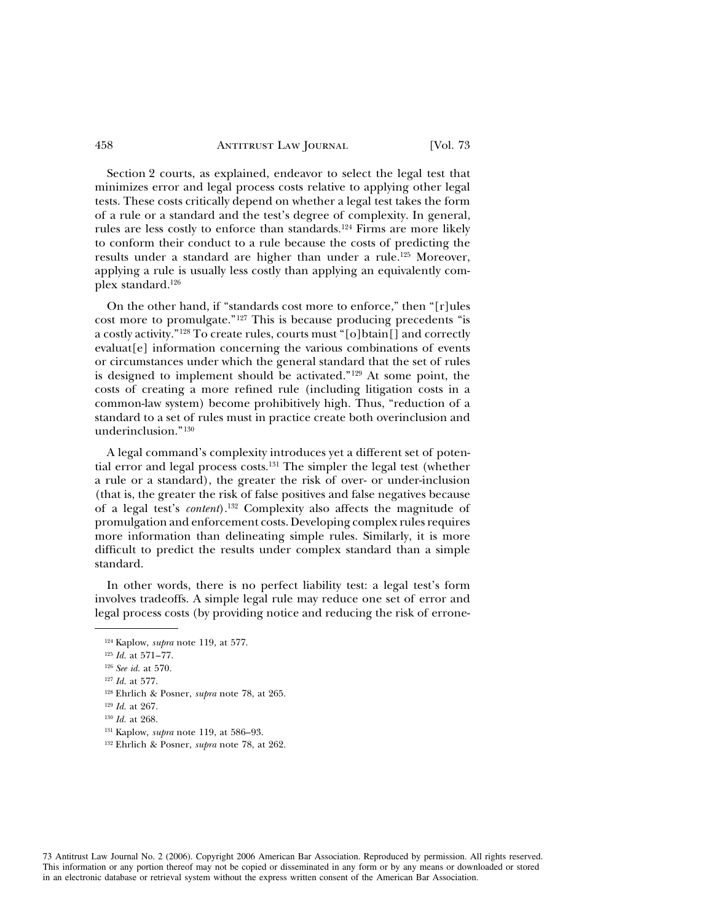Section 2 courts, as explained, endeavor to select the legal test that minimizes error and legal process costs relative to applying other legal tests. These costs critically depend on whether a legal test takes the form of a rule or a standard and the test's degree of complexity. In general, rules are less costly to enforce than standards.<sup>124</sup> Firms are more likely to conform their conduct to a rule because the costs of predicting the results under a standard are higher than under a rule.<sup>125</sup> Moreover, applying a rule is usually less costly than applying an equivalently complex standard.126

On the other hand, if "standards cost more to enforce," then "[r]ules cost more to promulgate."<sup>127</sup> This is because producing precedents "is a costly activity."128 To create rules, courts must "[o]btain[] and correctly evaluat[e] information concerning the various combinations of events or circumstances under which the general standard that the set of rules is designed to implement should be activated."129 At some point, the costs of creating a more refined rule (including litigation costs in a common-law system) become prohibitively high. Thus, "reduction of a standard to a set of rules must in practice create both overinclusion and underinclusion."130

A legal command's complexity introduces yet a different set of potential error and legal process costs.<sup>131</sup> The simpler the legal test (whether a rule or a standard), the greater the risk of over- or under-inclusion (that is, the greater the risk of false positives and false negatives because of a legal test's *content*).132 Complexity also affects the magnitude of promulgation and enforcement costs. Developing complex rules requires more information than delineating simple rules. Similarly, it is more difficult to predict the results under complex standard than a simple standard.

In other words, there is no perfect liability test: a legal test's form involves tradeoffs. A simple legal rule may reduce one set of error and legal process costs (by providing notice and reducing the risk of errone-

<sup>124</sup> Kaplow, *supra* note 119, at 577.

<sup>125</sup> *Id.* at 571–77.

<sup>126</sup> *See id.* at 570.

<sup>127</sup> *Id.* at 577.

<sup>128</sup> Ehrlich & Posner, *supra* note 78, at 265.

<sup>129</sup> *Id.* at 267.

<sup>130</sup> *Id.* at 268.

<sup>131</sup> Kaplow, *supra* note 119, at 586–93.

<sup>132</sup> Ehrlich & Posner, *supra* note 78, at 262.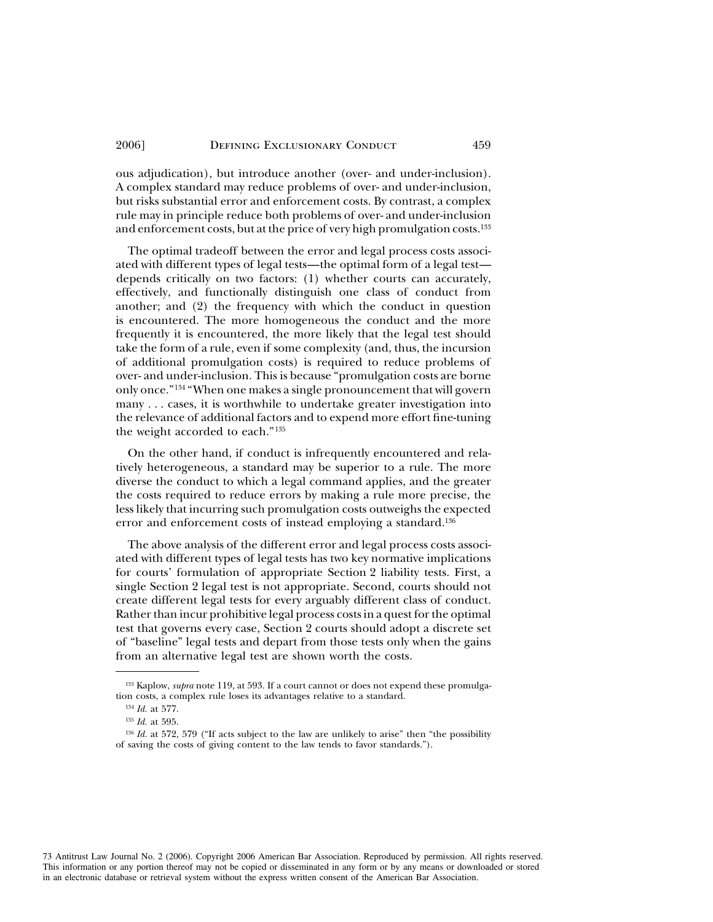ous adjudication), but introduce another (over- and under-inclusion). A complex standard may reduce problems of over- and under-inclusion, but risks substantial error and enforcement costs. By contrast, a complex rule may in principle reduce both problems of over- and under-inclusion and enforcement costs, but at the price of very high promulgation costs.133

The optimal tradeoff between the error and legal process costs associated with different types of legal tests—the optimal form of a legal test depends critically on two factors: (1) whether courts can accurately, effectively, and functionally distinguish one class of conduct from another; and (2) the frequency with which the conduct in question is encountered. The more homogeneous the conduct and the more frequently it is encountered, the more likely that the legal test should take the form of a rule, even if some complexity (and, thus, the incursion of additional promulgation costs) is required to reduce problems of over- and under-inclusion. This is because "promulgation costs are borne only once."134 "When one makes a single pronouncement that will govern many . . . cases, it is worthwhile to undertake greater investigation into the relevance of additional factors and to expend more effort fine-tuning the weight accorded to each."<sup>135</sup>

On the other hand, if conduct is infrequently encountered and relatively heterogeneous, a standard may be superior to a rule. The more diverse the conduct to which a legal command applies, and the greater the costs required to reduce errors by making a rule more precise, the less likely that incurring such promulgation costs outweighs the expected error and enforcement costs of instead employing a standard.136

The above analysis of the different error and legal process costs associated with different types of legal tests has two key normative implications for courts' formulation of appropriate Section 2 liability tests. First, a single Section 2 legal test is not appropriate. Second, courts should not create different legal tests for every arguably different class of conduct. Rather than incur prohibitive legal process costs in a quest for the optimal test that governs every case, Section 2 courts should adopt a discrete set of "baseline" legal tests and depart from those tests only when the gains from an alternative legal test are shown worth the costs.

73 Antitrust Law Journal No. 2 (2006). Copyright 2006 American Bar Association. Reproduced by permission. All rights reserved. This information or any portion thereof may not be copied or disseminated in any form or by any means or downloaded or stored in an electronic database or retrieval system without the express written consent of the American Bar Association.

<sup>&</sup>lt;sup>133</sup> Kaplow, *supra* note 119, at 593. If a court cannot or does not expend these promulgation costs, a complex rule loses its advantages relative to a standard.

<sup>134</sup> *Id.* at 577.

<sup>135</sup> *Id.* at 595.

<sup>&</sup>lt;sup>136</sup> *Id.* at 572, 579 ("If acts subject to the law are unlikely to arise" then "the possibility of saving the costs of giving content to the law tends to favor standards.").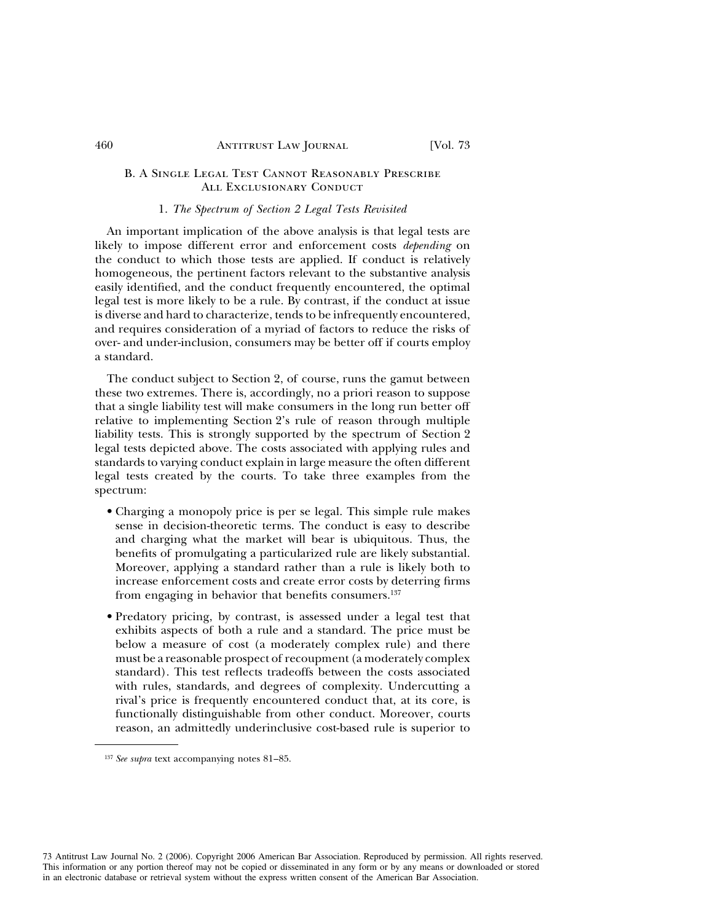# B. A Single Legal Test Cannot Reasonably Prescribe All Exclusionary Conduct

#### 1. *The Spectrum of Section 2 Legal Tests Revisited*

An important implication of the above analysis is that legal tests are likely to impose different error and enforcement costs *depending* on the conduct to which those tests are applied. If conduct is relatively homogeneous, the pertinent factors relevant to the substantive analysis easily identified, and the conduct frequently encountered, the optimal legal test is more likely to be a rule. By contrast, if the conduct at issue is diverse and hard to characterize, tends to be infrequently encountered, and requires consideration of a myriad of factors to reduce the risks of over- and under-inclusion, consumers may be better off if courts employ a standard.

The conduct subject to Section 2, of course, runs the gamut between these two extremes. There is, accordingly, no a priori reason to suppose that a single liability test will make consumers in the long run better off relative to implementing Section 2's rule of reason through multiple liability tests. This is strongly supported by the spectrum of Section 2 legal tests depicted above. The costs associated with applying rules and standards to varying conduct explain in large measure the often different legal tests created by the courts. To take three examples from the spectrum:

- Charging a monopoly price is per se legal. This simple rule makes sense in decision-theoretic terms. The conduct is easy to describe and charging what the market will bear is ubiquitous. Thus, the benefits of promulgating a particularized rule are likely substantial. Moreover, applying a standard rather than a rule is likely both to increase enforcement costs and create error costs by deterring firms from engaging in behavior that benefits consumers.<sup>137</sup>
- Predatory pricing, by contrast, is assessed under a legal test that exhibits aspects of both a rule and a standard. The price must be below a measure of cost (a moderately complex rule) and there must be a reasonable prospect of recoupment (a moderately complex standard). This test reflects tradeoffs between the costs associated with rules, standards, and degrees of complexity. Undercutting a rival's price is frequently encountered conduct that, at its core, is functionally distinguishable from other conduct. Moreover, courts reason, an admittedly underinclusive cost-based rule is superior to

<sup>137</sup> *See supra* text accompanying notes 81–85.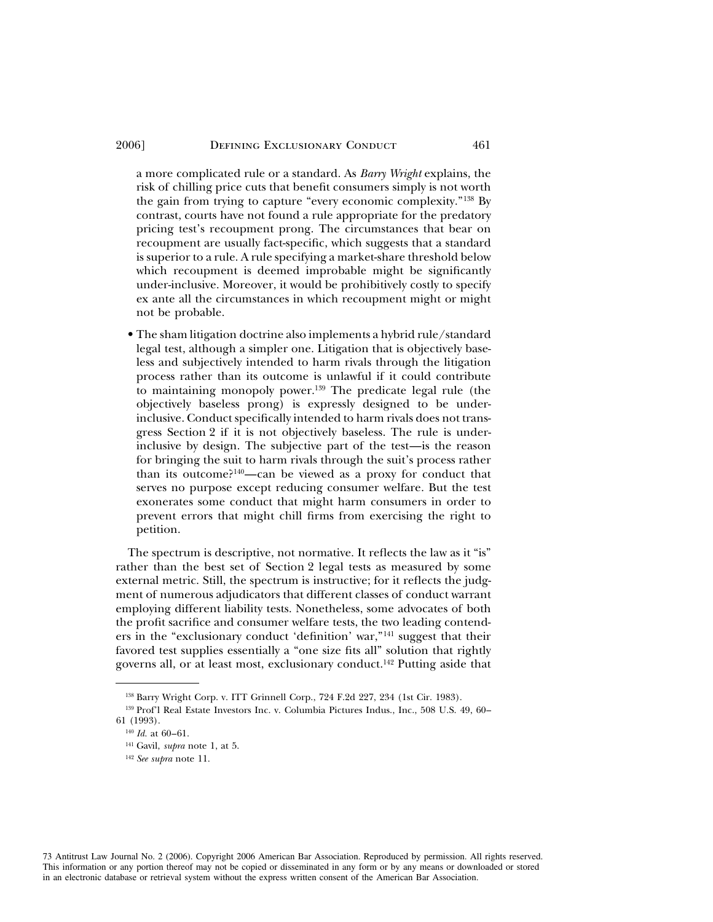a more complicated rule or a standard. As *Barry Wright* explains, the risk of chilling price cuts that benefit consumers simply is not worth the gain from trying to capture "every economic complexity."138 By contrast, courts have not found a rule appropriate for the predatory pricing test's recoupment prong. The circumstances that bear on recoupment are usually fact-specific, which suggests that a standard is superior to a rule. A rule specifying a market-share threshold below which recoupment is deemed improbable might be significantly under-inclusive. Moreover, it would be prohibitively costly to specify ex ante all the circumstances in which recoupment might or might not be probable.

• The sham litigation doctrine also implements a hybrid rule/standard legal test, although a simpler one. Litigation that is objectively baseless and subjectively intended to harm rivals through the litigation process rather than its outcome is unlawful if it could contribute to maintaining monopoly power.139 The predicate legal rule (the objectively baseless prong) is expressly designed to be underinclusive. Conduct specifically intended to harm rivals does not transgress Section 2 if it is not objectively baseless. The rule is underinclusive by design. The subjective part of the test—is the reason for bringing the suit to harm rivals through the suit's process rather than its outcome? $140$ —can be viewed as a proxy for conduct that serves no purpose except reducing consumer welfare. But the test exonerates some conduct that might harm consumers in order to prevent errors that might chill firms from exercising the right to petition.

The spectrum is descriptive, not normative. It reflects the law as it "is" rather than the best set of Section 2 legal tests as measured by some external metric. Still, the spectrum is instructive; for it reflects the judgment of numerous adjudicators that different classes of conduct warrant employing different liability tests. Nonetheless, some advocates of both the profit sacrifice and consumer welfare tests, the two leading contenders in the "exclusionary conduct 'definition' war,"141 suggest that their favored test supplies essentially a "one size fits all" solution that rightly governs all, or at least most, exclusionary conduct.142 Putting aside that

<sup>138</sup> Barry Wright Corp. v. ITT Grinnell Corp., 724 F.2d 227, 234 (1st Cir. 1983).

<sup>139</sup> Prof'l Real Estate Investors Inc. v. Columbia Pictures Indus., Inc., 508 U.S. 49, 60– 61 (1993).

<sup>140</sup> *Id.* at 60–61.

<sup>141</sup> Gavil, *supra* note 1, at 5.

<sup>142</sup> *See supra* note 11.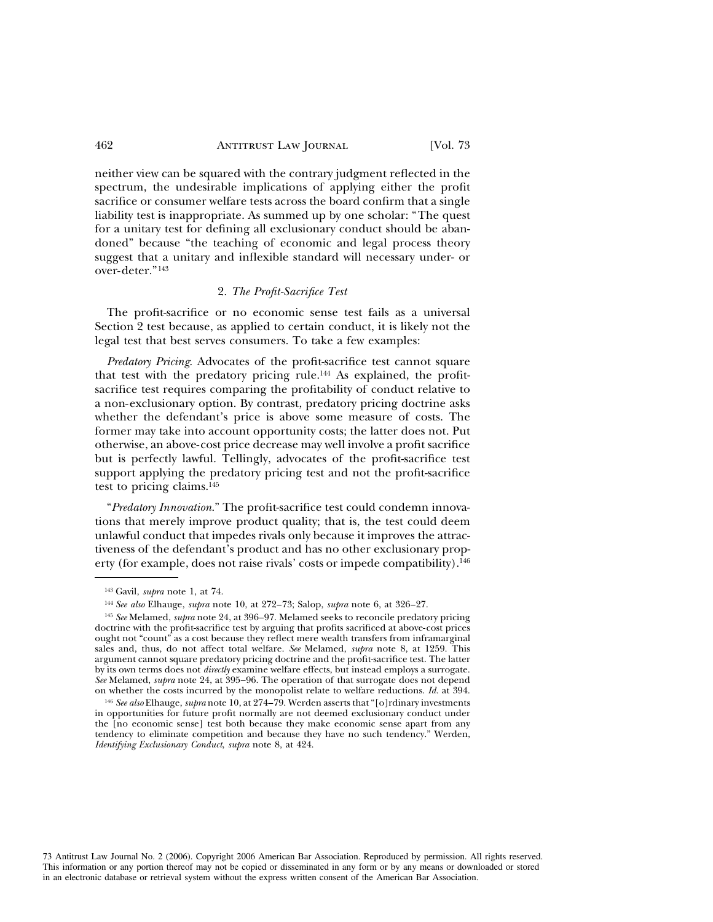neither view can be squared with the contrary judgment reflected in the spectrum, the undesirable implications of applying either the profit sacrifice or consumer welfare tests across the board confirm that a single liability test is inappropriate. As summed up by one scholar: "The quest for a unitary test for defining all exclusionary conduct should be abandoned" because "the teaching of economic and legal process theory suggest that a unitary and inflexible standard will necessary under- or over-deter." <sup>143</sup>

#### 2. *The Profit-Sacrifice Test*

The profit-sacrifice or no economic sense test fails as a universal Section 2 test because, as applied to certain conduct, it is likely not the legal test that best serves consumers. To take a few examples:

*Predatory Pricing*. Advocates of the profit-sacrifice test cannot square that test with the predatory pricing rule.<sup>144</sup> As explained, the profitsacrifice test requires comparing the profitability of conduct relative to a non-exclusionary option. By contrast, predatory pricing doctrine asks whether the defendant's price is above some measure of costs. The former may take into account opportunity costs; the latter does not. Put otherwise, an above-cost price decrease may well involve a profit sacrifice but is perfectly lawful. Tellingly, advocates of the profit-sacrifice test support applying the predatory pricing test and not the profit-sacrifice test to pricing claims.145

"*Predatory Innovation*." The profit-sacrifice test could condemn innovations that merely improve product quality; that is, the test could deem unlawful conduct that impedes rivals only because it improves the attractiveness of the defendant's product and has no other exclusionary property (for example, does not raise rivals' costs or impede compatibility).<sup>146</sup>

<sup>143</sup> Gavil, *supra* note 1, at 74.

<sup>144</sup> *See also* Elhauge, *supra* note 10, at 272–73; Salop, *supra* note 6, at 326–27.

<sup>145</sup> *See* Melamed, *supra* note 24, at 396–97. Melamed seeks to reconcile predatory pricing doctrine with the profit-sacrifice test by arguing that profits sacrificed at above-cost prices ought not "count" as a cost because they reflect mere wealth transfers from inframarginal sales and, thus, do not affect total welfare. *See* Melamed, *supra* note 8, at 1259. This argument cannot square predatory pricing doctrine and the profit-sacrifice test. The latter by its own terms does not *directly* examine welfare effects, but instead employs a surrogate. *See* Melamed, *supra* note 24, at 395–96. The operation of that surrogate does not depend on whether the costs incurred by the monopolist relate to welfare reductions. *Id.* at 394.

<sup>146</sup> *See also* Elhauge, *supra* note 10, at 274–79. Werden asserts that "[o]rdinary investments in opportunities for future profit normally are not deemed exclusionary conduct under the [no economic sense] test both because they make economic sense apart from any tendency to eliminate competition and because they have no such tendency." Werden, *Identifying Exclusionary Conduct*, *supra* note 8, at 424.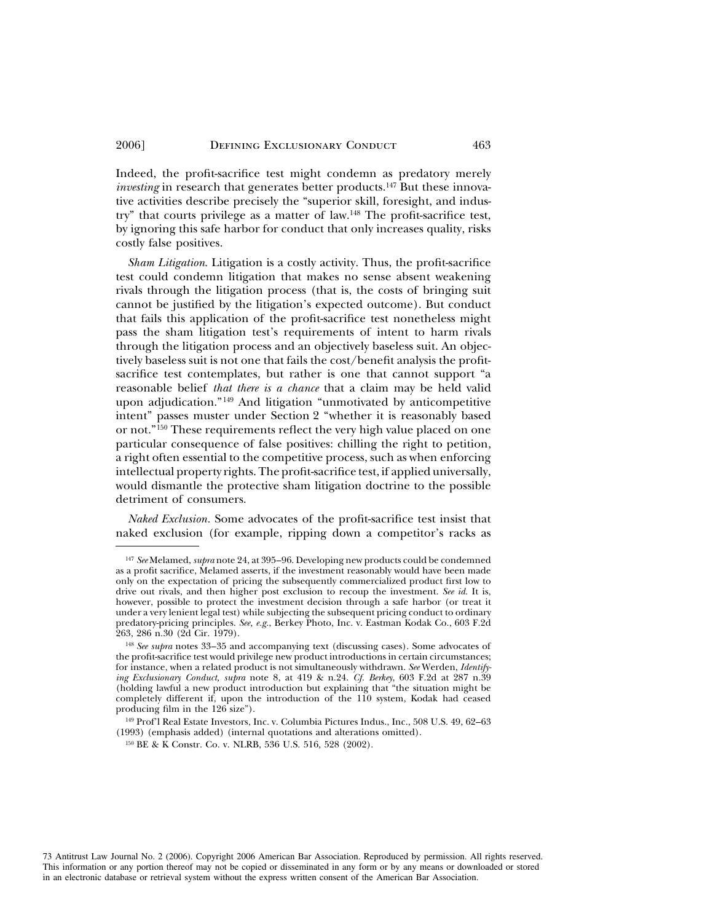Indeed, the profit-sacrifice test might condemn as predatory merely *investing* in research that generates better products.<sup>147</sup> But these innovative activities describe precisely the "superior skill, foresight, and industry" that courts privilege as a matter of law.148 The profit-sacrifice test, by ignoring this safe harbor for conduct that only increases quality, risks costly false positives.

*Sham Litigation*. Litigation is a costly activity. Thus, the profit-sacrifice test could condemn litigation that makes no sense absent weakening rivals through the litigation process (that is, the costs of bringing suit cannot be justified by the litigation's expected outcome). But conduct that fails this application of the profit-sacrifice test nonetheless might pass the sham litigation test's requirements of intent to harm rivals through the litigation process and an objectively baseless suit. An objectively baseless suit is not one that fails the cost/benefit analysis the profitsacrifice test contemplates, but rather is one that cannot support "a reasonable belief *that there is a chance* that a claim may be held valid upon adjudication." <sup>149</sup> And litigation "unmotivated by anticompetitive intent" passes muster under Section 2 "whether it is reasonably based or not."150 These requirements reflect the very high value placed on one particular consequence of false positives: chilling the right to petition, a right often essential to the competitive process, such as when enforcing intellectual property rights. The profit-sacrifice test, if applied universally, would dismantle the protective sham litigation doctrine to the possible detriment of consumers.

*Naked Exclusion.* Some advocates of the profit-sacrifice test insist that naked exclusion (for example, ripping down a competitor's racks as

<sup>147</sup> *See* Melamed, *supra* note 24, at 395–96. Developing new products could be condemned as a profit sacrifice, Melamed asserts, if the investment reasonably would have been made only on the expectation of pricing the subsequently commercialized product first low to drive out rivals, and then higher post exclusion to recoup the investment. *See id.* It is, however, possible to protect the investment decision through a safe harbor (or treat it under a very lenient legal test) while subjecting the subsequent pricing conduct to ordinary predatory-pricing principles. *See, e.g.*, Berkey Photo, Inc. v. Eastman Kodak Co., 603 F.2d 263, 286 n.30 (2d Cir. 1979).

<sup>148</sup> *See supra* notes 33–35 and accompanying text (discussing cases). Some advocates of the profit-sacrifice test would privilege new product introductions in certain circumstances; for instance, when a related product is not simultaneously withdrawn. *See* Werden, *Identifying Exclusionary Conduct, supra* note 8, at 419 & n.24. *Cf. Berkey*, 603 F.2d at 287 n.39 (holding lawful a new product introduction but explaining that "the situation might be completely different if, upon the introduction of the 110 system, Kodak had ceased producing film in the 126 size").

<sup>149</sup> Prof'l Real Estate Investors, Inc. v. Columbia Pictures Indus., Inc., 508 U.S. 49, 62–63 (1993) (emphasis added) (internal quotations and alterations omitted).

<sup>150</sup> BE & K Constr. Co. v. NLRB, 536 U.S. 516, 528 (2002).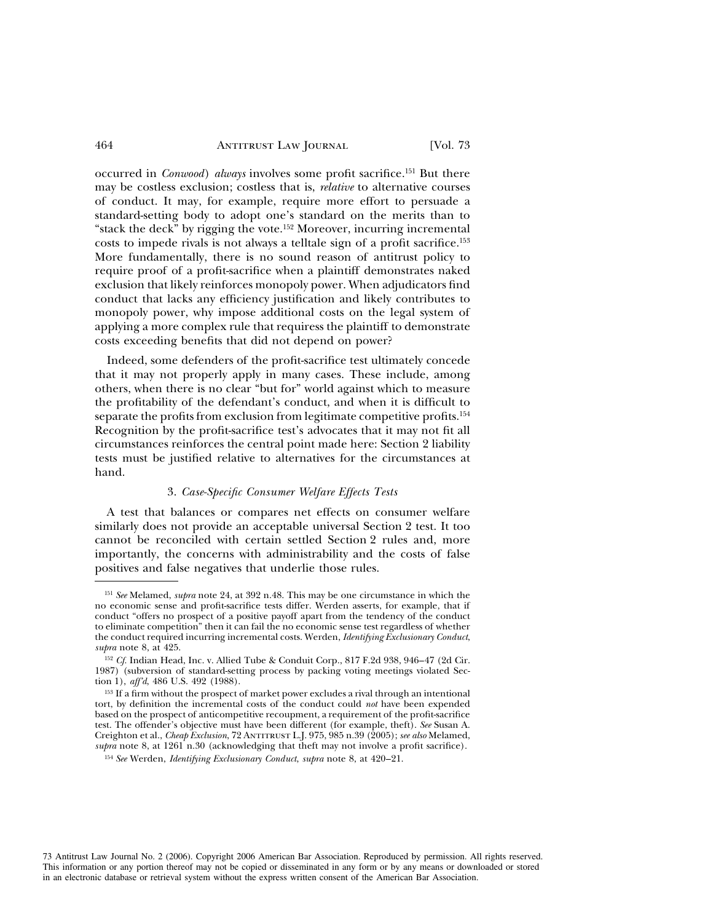# 464 Antitrust Law Journal [Vol. 73

occurred in *Conwood*) *always* involves some profit sacrifice.151 But there may be costless exclusion; costless that is, *relative* to alternative courses of conduct. It may, for example, require more effort to persuade a standard-setting body to adopt one's standard on the merits than to "stack the deck" by rigging the vote.152 Moreover, incurring incremental costs to impede rivals is not always a telltale sign of a profit sacrifice.153 More fundamentally, there is no sound reason of antitrust policy to require proof of a profit-sacrifice when a plaintiff demonstrates naked exclusion that likely reinforces monopoly power. When adjudicators find conduct that lacks any efficiency justification and likely contributes to monopoly power, why impose additional costs on the legal system of applying a more complex rule that requiress the plaintiff to demonstrate costs exceeding benefits that did not depend on power?

Indeed, some defenders of the profit-sacrifice test ultimately concede that it may not properly apply in many cases. These include, among others, when there is no clear "but for" world against which to measure the profitability of the defendant's conduct, and when it is difficult to separate the profits from exclusion from legitimate competitive profits.<sup>154</sup> Recognition by the profit-sacrifice test's advocates that it may not fit all circumstances reinforces the central point made here: Section 2 liability tests must be justified relative to alternatives for the circumstances at hand.

# 3. *Case-Specific Consumer Welfare Effects Tests*

A test that balances or compares net effects on consumer welfare similarly does not provide an acceptable universal Section 2 test. It too cannot be reconciled with certain settled Section 2 rules and, more importantly, the concerns with administrability and the costs of false positives and false negatives that underlie those rules.

<sup>151</sup> *See* Melamed, *supra* note 24, at 392 n.48. This may be one circumstance in which the no economic sense and profit-sacrifice tests differ. Werden asserts, for example, that if conduct "offers no prospect of a positive payoff apart from the tendency of the conduct to eliminate competition" then it can fail the no economic sense test regardless of whether the conduct required incurring incremental costs. Werden, *Identifying Exclusionary Conduct*, *supra* note 8, at 425.

<sup>&</sup>lt;sup>152</sup> *Cf.* Indian Head, Inc. v. Allied Tube & Conduit Corp., 817 F.2d 938, 946-47 (2d Cir. 1987) (subversion of standard-setting process by packing voting meetings violated Section 1), *aff'd*, 486 U.S. 492 (1988).

<sup>&</sup>lt;sup>153</sup> If a firm without the prospect of market power excludes a rival through an intentional tort, by definition the incremental costs of the conduct could *not* have been expended based on the prospect of anticompetitive recoupment, a requirement of the profit-sacrifice test. The offender's objective must have been different (for example, theft). *See* Susan A. Creighton et al., *Cheap Exclusion*, 72 Antitrust L.J. 975, 985 n.39 (2005); *see also* Melamed, *supra* note 8, at 1261 n.30 (acknowledging that theft may not involve a profit sacrifice).

<sup>154</sup> *See* Werden, *Identifying Exclusionary Conduct*, *supra* note 8, at 420–21.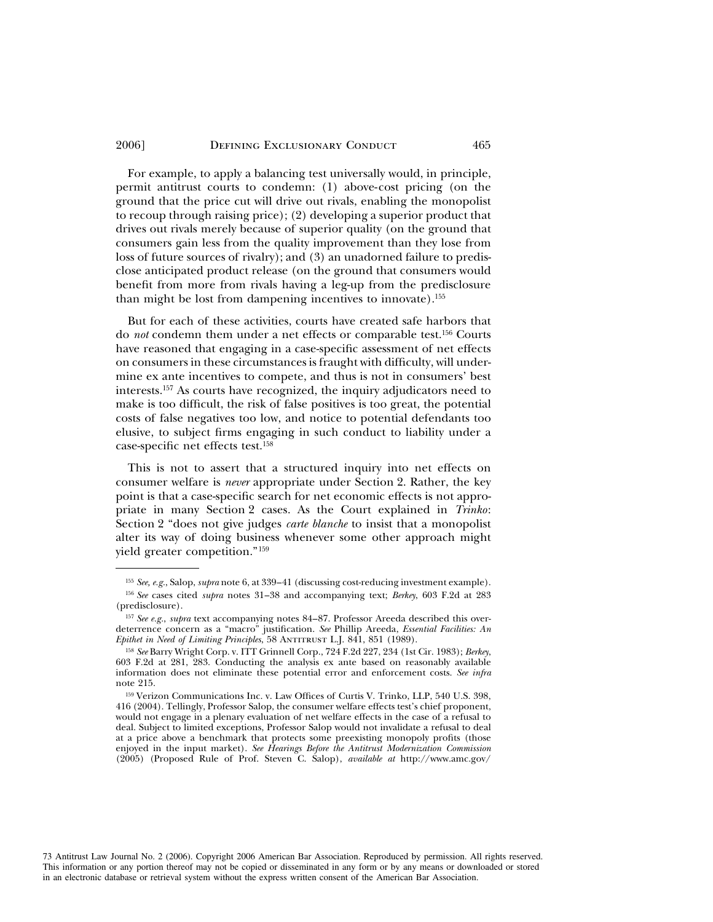For example, to apply a balancing test universally would, in principle, permit antitrust courts to condemn: (1) above-cost pricing (on the ground that the price cut will drive out rivals, enabling the monopolist to recoup through raising price); (2) developing a superior product that drives out rivals merely because of superior quality (on the ground that consumers gain less from the quality improvement than they lose from loss of future sources of rivalry); and (3) an unadorned failure to predisclose anticipated product release (on the ground that consumers would benefit from more from rivals having a leg-up from the predisclosure than might be lost from dampening incentives to innovate).155

But for each of these activities, courts have created safe harbors that do *not* condemn them under a net effects or comparable test.156 Courts have reasoned that engaging in a case-specific assessment of net effects on consumers in these circumstances is fraught with difficulty, will undermine ex ante incentives to compete, and thus is not in consumers' best interests.157 As courts have recognized, the inquiry adjudicators need to make is too difficult, the risk of false positives is too great, the potential costs of false negatives too low, and notice to potential defendants too elusive, to subject firms engaging in such conduct to liability under a case-specific net effects test.158

This is not to assert that a structured inquiry into net effects on consumer welfare is *never* appropriate under Section 2. Rather, the key point is that a case-specific search for net economic effects is not appropriate in many Section 2 cases. As the Court explained in *Trinko*: Section 2 "does not give judges *carte blanche* to insist that a monopolist alter its way of doing business whenever some other approach might yield greater competition." <sup>159</sup>

<sup>155</sup> *See, e.g.*, Salop, *supra* note 6, at 339–41 (discussing cost-reducing investment example). <sup>156</sup> *See* cases cited *supra* notes 31–38 and accompanying text; *Berkey*, 603 F.2d at 283 (predisclosure).

<sup>157</sup> *See e.g.*, *supra* text accompanying notes 84–87. Professor Areeda described this overdeterrence concern as a "macro" justification. *See* Phillip Areeda, *Essential Facilities: An Epithet in Need of Limiting Principles*, 58 ANTITRUST L.J. 841, 851 (1989).

<sup>158</sup> *See* Barry Wright Corp. v. ITT Grinnell Corp., 724 F.2d 227, 234 (1st Cir. 1983); *Berkey*, 603 F.2d at 281, 283. Conducting the analysis ex ante based on reasonably available information does not eliminate these potential error and enforcement costs. *See infra* note 215.

<sup>159</sup> Verizon Communications Inc. v. Law Offices of Curtis V. Trinko, LLP, 540 U.S. 398, 416 (2004). Tellingly, Professor Salop, the consumer welfare effects test's chief proponent, would not engage in a plenary evaluation of net welfare effects in the case of a refusal to deal. Subject to limited exceptions, Professor Salop would not invalidate a refusal to deal at a price above a benchmark that protects some preexisting monopoly profits (those enjoyed in the input market). *See Hearings Before the Antitrust Modernization Commission* (2005) (Proposed Rule of Prof. Steven C. Salop), *available at* http://www.amc.gov/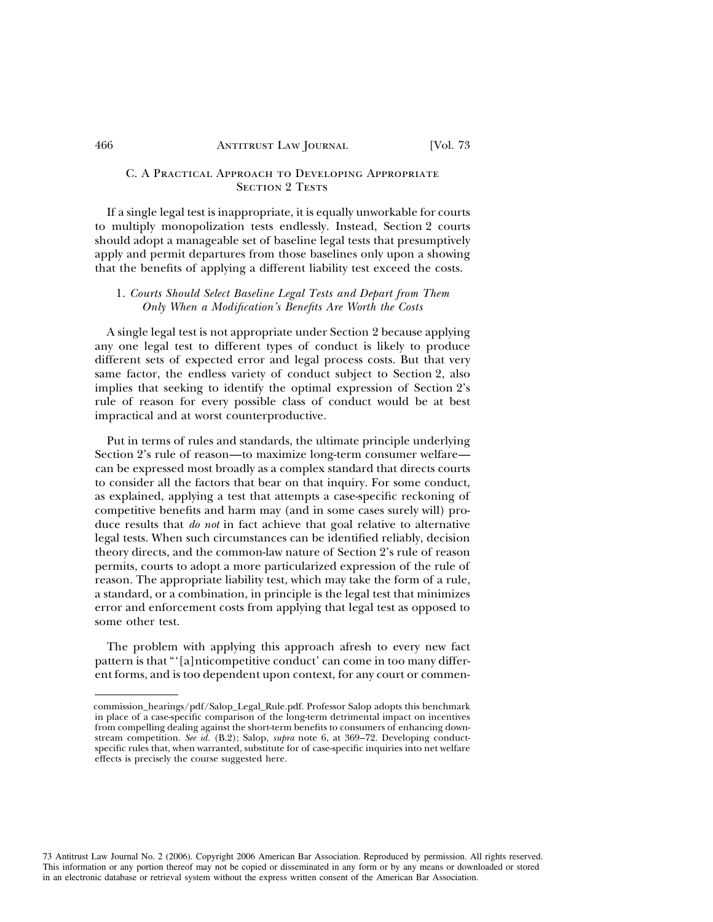# C. A Practical Approach to Developing Appropriate **SECTION 2 TESTS**

If a single legal test is inappropriate, it is equally unworkable for courts to multiply monopolization tests endlessly. Instead, Section 2 courts should adopt a manageable set of baseline legal tests that presumptively apply and permit departures from those baselines only upon a showing that the benefits of applying a different liability test exceed the costs.

# 1. *Courts Should Select Baseline Legal Tests and Depart from Them Only When a Modification's Benefits Are Worth the Costs*

A single legal test is not appropriate under Section 2 because applying any one legal test to different types of conduct is likely to produce different sets of expected error and legal process costs. But that very same factor, the endless variety of conduct subject to Section 2, also implies that seeking to identify the optimal expression of Section 2's rule of reason for every possible class of conduct would be at best impractical and at worst counterproductive.

Put in terms of rules and standards, the ultimate principle underlying Section 2's rule of reason—to maximize long-term consumer welfare can be expressed most broadly as a complex standard that directs courts to consider all the factors that bear on that inquiry. For some conduct, as explained, applying a test that attempts a case-specific reckoning of competitive benefits and harm may (and in some cases surely will) produce results that *do not* in fact achieve that goal relative to alternative legal tests. When such circumstances can be identified reliably, decision theory directs, and the common-law nature of Section 2's rule of reason permits, courts to adopt a more particularized expression of the rule of reason. The appropriate liability test, which may take the form of a rule, a standard, or a combination, in principle is the legal test that minimizes error and enforcement costs from applying that legal test as opposed to some other test.

The problem with applying this approach afresh to every new fact pattern is that "'[a]nticompetitive conduct' can come in too many different forms, and is too dependent upon context, for any court or commen-

commission\_hearings/pdf/Salop\_Legal\_Rule.pdf. Professor Salop adopts this benchmark in place of a case-specific comparison of the long-term detrimental impact on incentives from compelling dealing against the short-term benefits to consumers of enhancing downstream competition. *See id.* (B.2); Salop, *supra* note 6, at 369–72. Developing conductspecific rules that, when warranted, substitute for of case-specific inquiries into net welfare effects is precisely the course suggested here.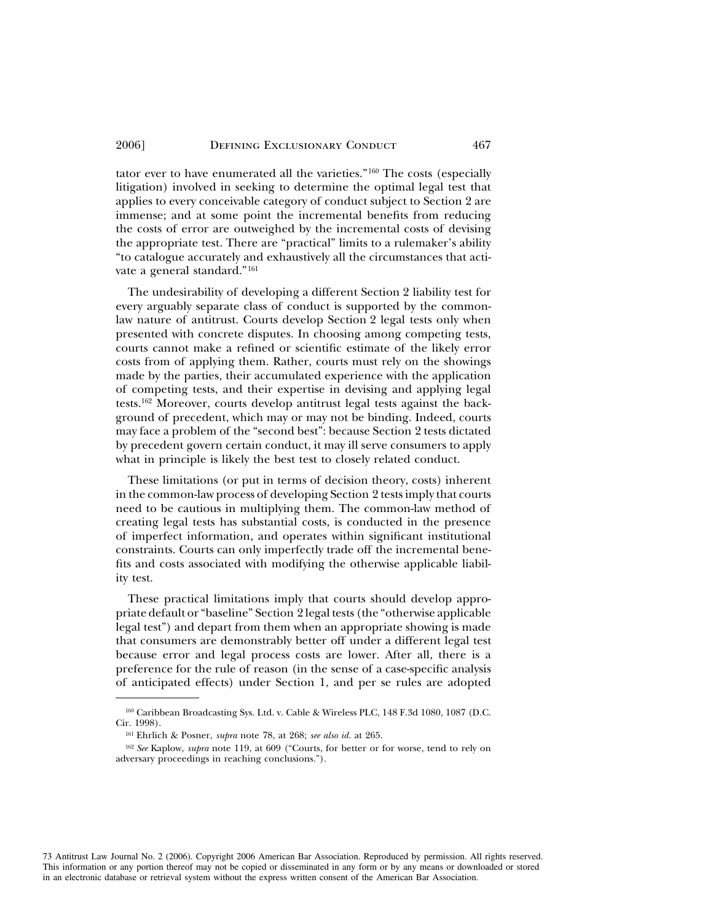tator ever to have enumerated all the varieties."160 The costs (especially litigation) involved in seeking to determine the optimal legal test that applies to every conceivable category of conduct subject to Section 2 are immense; and at some point the incremental benefits from reducing the costs of error are outweighed by the incremental costs of devising the appropriate test. There are "practical" limits to a rulemaker's ability "to catalogue accurately and exhaustively all the circumstances that activate a general standard." <sup>161</sup>

The undesirability of developing a different Section 2 liability test for every arguably separate class of conduct is supported by the commonlaw nature of antitrust. Courts develop Section 2 legal tests only when presented with concrete disputes. In choosing among competing tests, courts cannot make a refined or scientific estimate of the likely error costs from of applying them. Rather, courts must rely on the showings made by the parties, their accumulated experience with the application of competing tests, and their expertise in devising and applying legal tests.162 Moreover, courts develop antitrust legal tests against the background of precedent, which may or may not be binding. Indeed, courts may face a problem of the "second best": because Section 2 tests dictated by precedent govern certain conduct, it may ill serve consumers to apply what in principle is likely the best test to closely related conduct.

These limitations (or put in terms of decision theory, costs) inherent in the common-law process of developing Section 2 tests imply that courts need to be cautious in multiplying them. The common-law method of creating legal tests has substantial costs, is conducted in the presence of imperfect information, and operates within significant institutional constraints. Courts can only imperfectly trade off the incremental benefits and costs associated with modifying the otherwise applicable liability test.

These practical limitations imply that courts should develop appropriate default or "baseline" Section 2 legal tests (the "otherwise applicable legal test") and depart from them when an appropriate showing is made that consumers are demonstrably better off under a different legal test because error and legal process costs are lower. After all, there is a preference for the rule of reason (in the sense of a case-specific analysis of anticipated effects) under Section 1, and per se rules are adopted

<sup>160</sup> Caribbean Broadcasting Sys. Ltd. v. Cable & Wireless PLC, 148 F.3d 1080, 1087 (D.C. Cir. 1998).

<sup>161</sup> Ehrlich & Posner, *supra* note 78, at 268; *see also id.* at 265.

<sup>162</sup> *See* Kaplow, *supra* note 119, at 609 ("Courts, for better or for worse, tend to rely on adversary proceedings in reaching conclusions.").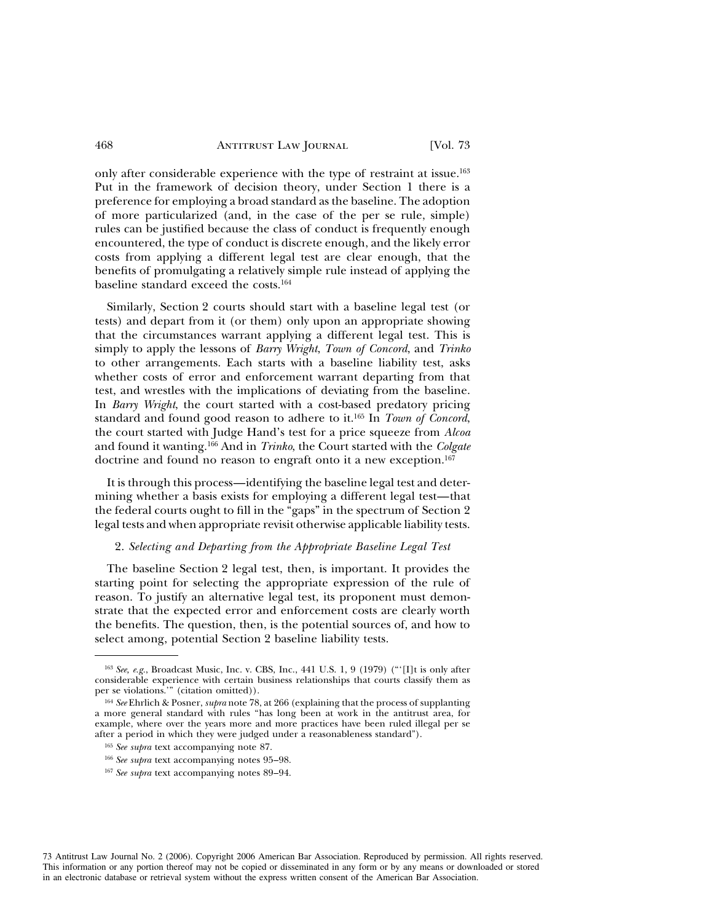only after considerable experience with the type of restraint at issue.<sup>163</sup> Put in the framework of decision theory, under Section 1 there is a preference for employing a broad standard as the baseline. The adoption of more particularized (and, in the case of the per se rule, simple) rules can be justified because the class of conduct is frequently enough encountered, the type of conduct is discrete enough, and the likely error costs from applying a different legal test are clear enough, that the benefits of promulgating a relatively simple rule instead of applying the baseline standard exceed the costs.164

Similarly, Section 2 courts should start with a baseline legal test (or tests) and depart from it (or them) only upon an appropriate showing that the circumstances warrant applying a different legal test. This is simply to apply the lessons of *Barry Wright*, *Town of Concord*, and *Trinko* to other arrangements. Each starts with a baseline liability test, asks whether costs of error and enforcement warrant departing from that test, and wrestles with the implications of deviating from the baseline. In *Barry Wright*, the court started with a cost-based predatory pricing standard and found good reason to adhere to it.165 In *Town of Concord*, the court started with Judge Hand's test for a price squeeze from *Alcoa* and found it wanting.166 And in *Trinko*, the Court started with the *Colgate* doctrine and found no reason to engraft onto it a new exception.<sup>167</sup>

It is through this process—identifying the baseline legal test and determining whether a basis exists for employing a different legal test—that the federal courts ought to fill in the "gaps" in the spectrum of Section 2 legal tests and when appropriate revisit otherwise applicable liability tests.

#### 2. *Selecting and Departing from the Appropriate Baseline Legal Test*

The baseline Section 2 legal test, then, is important. It provides the starting point for selecting the appropriate expression of the rule of reason. To justify an alternative legal test, its proponent must demonstrate that the expected error and enforcement costs are clearly worth the benefits. The question, then, is the potential sources of, and how to select among, potential Section 2 baseline liability tests.

<sup>&</sup>lt;sup>163</sup> See, e.g., Broadcast Music, Inc. v. CBS, Inc., 441 U.S. 1, 9 (1979) ("[I]t is only after considerable experience with certain business relationships that courts classify them as per se violations.'" (citation omitted)).

<sup>164</sup> *See* Ehrlich & Posner, *supra* note 78, at 266 (explaining that the process of supplanting a more general standard with rules "has long been at work in the antitrust area, for example, where over the years more and more practices have been ruled illegal per se after a period in which they were judged under a reasonableness standard").

<sup>165</sup> *See supra* text accompanying note 87.

<sup>166</sup> *See supra* text accompanying notes 95–98.

<sup>167</sup> *See supra* text accompanying notes 89–94.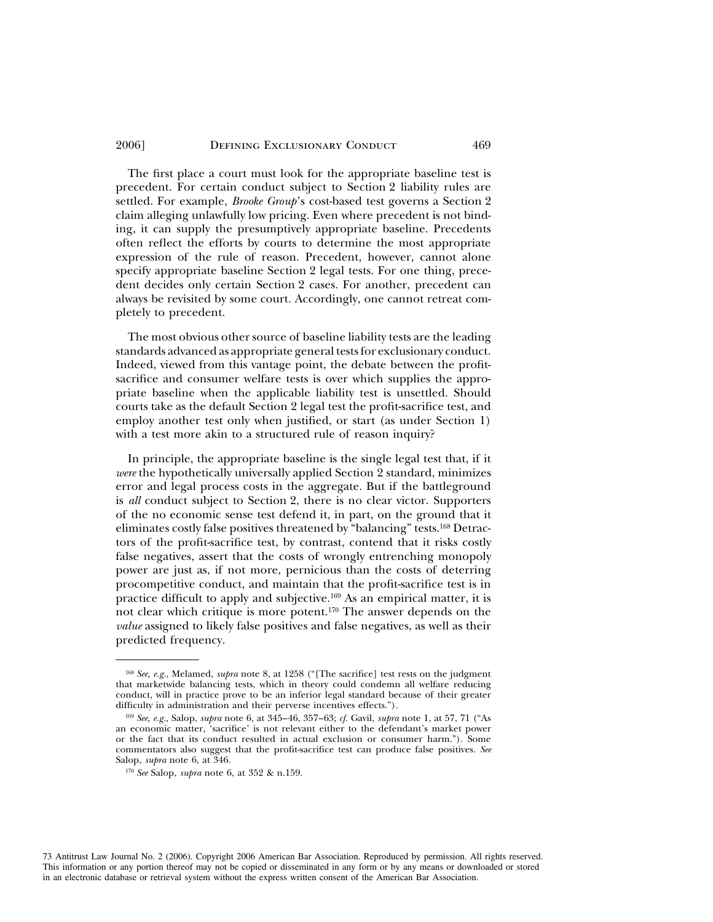The first place a court must look for the appropriate baseline test is precedent. For certain conduct subject to Section 2 liability rules are settled. For example, *Brooke Group*'s cost-based test governs a Section 2 claim alleging unlawfully low pricing. Even where precedent is not binding, it can supply the presumptively appropriate baseline. Precedents often reflect the efforts by courts to determine the most appropriate expression of the rule of reason. Precedent, however, cannot alone specify appropriate baseline Section 2 legal tests. For one thing, precedent decides only certain Section 2 cases. For another, precedent can always be revisited by some court. Accordingly, one cannot retreat completely to precedent.

The most obvious other source of baseline liability tests are the leading standards advanced as appropriate general tests for exclusionary conduct. Indeed, viewed from this vantage point, the debate between the profitsacrifice and consumer welfare tests is over which supplies the appropriate baseline when the applicable liability test is unsettled. Should courts take as the default Section 2 legal test the profit-sacrifice test, and employ another test only when justified, or start (as under Section 1) with a test more akin to a structured rule of reason inquiry?

In principle, the appropriate baseline is the single legal test that, if it *were* the hypothetically universally applied Section 2 standard, minimizes error and legal process costs in the aggregate. But if the battleground is *all* conduct subject to Section 2, there is no clear victor. Supporters of the no economic sense test defend it, in part, on the ground that it eliminates costly false positives threatened by "balancing" tests.168 Detractors of the profit-sacrifice test, by contrast, contend that it risks costly false negatives, assert that the costs of wrongly entrenching monopoly power are just as, if not more, pernicious than the costs of deterring procompetitive conduct, and maintain that the profit-sacrifice test is in practice difficult to apply and subjective.169 As an empirical matter, it is not clear which critique is more potent.170 The answer depends on the *value* assigned to likely false positives and false negatives, as well as their predicted frequency.

<sup>168</sup> *See, e.g.*, Melamed, *supra* note 8, at 1258 ("[The sacrifice] test rests on the judgment that marketwide balancing tests, which in theory could condemn all welfare reducing conduct, will in practice prove to be an inferior legal standard because of their greater difficulty in administration and their perverse incentives effects.").

<sup>169</sup> *See, e.g.*, Salop, *supra* note 6, at 345–46, 357–63; *cf.* Gavil, *supra* note 1, at 57, 71 ("As an economic matter, 'sacrifice' is not relevant either to the defendant's market power or the fact that its conduct resulted in actual exclusion or consumer harm."). Some commentators also suggest that the profit-sacrifice test can produce false positives. *See* Salop, *supra* note 6, at 346.

<sup>170</sup> *See* Salop, *supra* note 6, at 352 & n.159.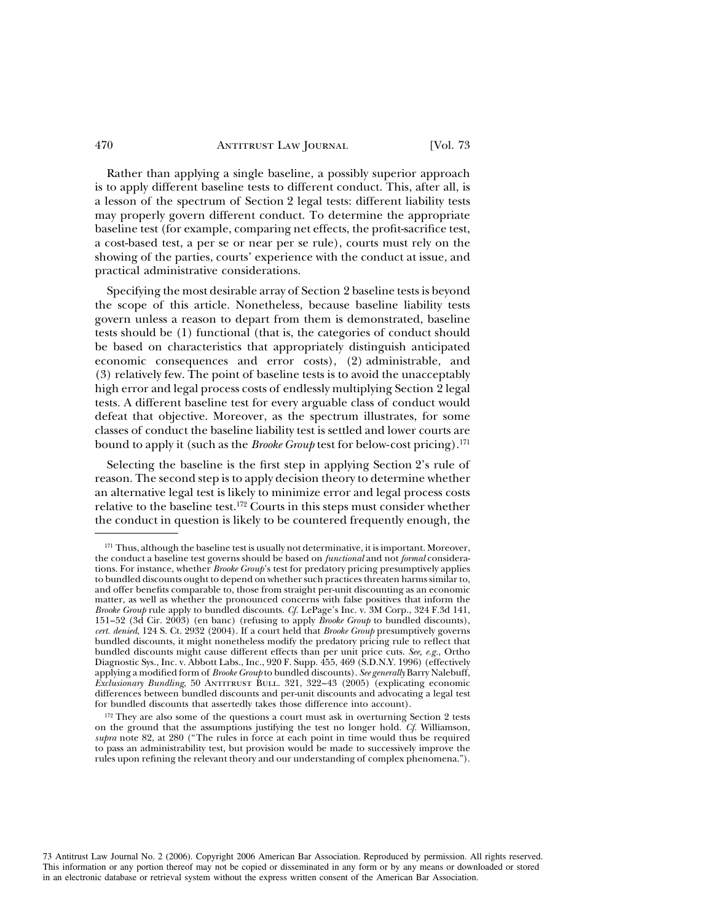# 470 **ANTITRUST LAW JOURNAL** [Vol. 73

Rather than applying a single baseline, a possibly superior approach is to apply different baseline tests to different conduct. This, after all, is a lesson of the spectrum of Section 2 legal tests: different liability tests may properly govern different conduct. To determine the appropriate baseline test (for example, comparing net effects, the profit-sacrifice test, a cost-based test, a per se or near per se rule), courts must rely on the showing of the parties, courts' experience with the conduct at issue, and practical administrative considerations.

Specifying the most desirable array of Section 2 baseline tests is beyond the scope of this article. Nonetheless, because baseline liability tests govern unless a reason to depart from them is demonstrated, baseline tests should be (1) functional (that is, the categories of conduct should be based on characteristics that appropriately distinguish anticipated economic consequences and error costs), (2) administrable, and (3) relatively few. The point of baseline tests is to avoid the unacceptably high error and legal process costs of endlessly multiplying Section 2 legal tests. A different baseline test for every arguable class of conduct would defeat that objective. Moreover, as the spectrum illustrates, for some classes of conduct the baseline liability test is settled and lower courts are bound to apply it (such as the *Brooke Group* test for below-cost pricing).171

Selecting the baseline is the first step in applying Section 2's rule of reason. The second step is to apply decision theory to determine whether an alternative legal test is likely to minimize error and legal process costs relative to the baseline test.<sup>172</sup> Courts in this steps must consider whether the conduct in question is likely to be countered frequently enough, the

 $171$  Thus, although the baseline test is usually not determinative, it is important. Moreover, the conduct a baseline test governs should be based on *functional* and not *formal* considerations. For instance, whether *Brooke Group*'s test for predatory pricing presumptively applies to bundled discounts ought to depend on whether such practices threaten harms similar to, and offer benefits comparable to, those from straight per-unit discounting as an economic matter, as well as whether the pronounced concerns with false positives that inform the *Brooke Group* rule apply to bundled discounts. *Cf.* LePage's Inc. v. 3M Corp., 324 F.3d 141, 151–52 (3d Cir. 2003) (en banc) (refusing to apply *Brooke Group* to bundled discounts), *cert. denied*, 124 S. Ct. 2932 (2004). If a court held that *Brooke Group* presumptively governs bundled discounts, it might nonetheless modify the predatory pricing rule to reflect that bundled discounts might cause different effects than per unit price cuts. *See, e.g.*, Ortho Diagnostic Sys., Inc. v. Abbott Labs., Inc., 920 F. Supp. 455, 469 (S.D.N.Y. 1996) (effectively applying a modified form of *Brooke Group* to bundled discounts). *See generally* Barry Nalebuff, *Exclusionary Bundling*, 50 ANTITRUST BULL. 321, 322-43 (2005) (explicating economic differences between bundled discounts and per-unit discounts and advocating a legal test for bundled discounts that assertedly takes those difference into account).

<sup>&</sup>lt;sup>172</sup> They are also some of the questions a court must ask in overturning Section 2 tests on the ground that the assumptions justifying the test no longer hold. *Cf.* Williamson, *supra* note 82, at 280 ("The rules in force at each point in time would thus be required to pass an administrability test, but provision would be made to successively improve the rules upon refining the relevant theory and our understanding of complex phenomena.").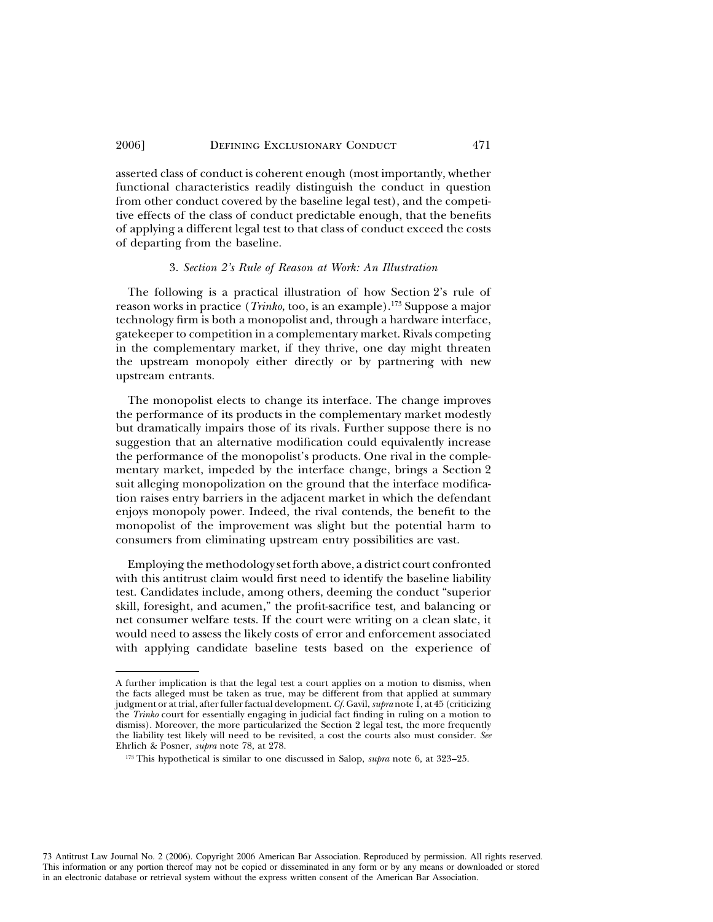asserted class of conduct is coherent enough (most importantly, whether functional characteristics readily distinguish the conduct in question from other conduct covered by the baseline legal test), and the competitive effects of the class of conduct predictable enough, that the benefits of applying a different legal test to that class of conduct exceed the costs of departing from the baseline.

### 3. *Section 2's Rule of Reason at Work: An Illustration*

The following is a practical illustration of how Section 2's rule of reason works in practice (*Trinko*, too, is an example).173 Suppose a major technology firm is both a monopolist and, through a hardware interface, gatekeeper to competition in a complementary market. Rivals competing in the complementary market, if they thrive, one day might threaten the upstream monopoly either directly or by partnering with new upstream entrants.

The monopolist elects to change its interface. The change improves the performance of its products in the complementary market modestly but dramatically impairs those of its rivals. Further suppose there is no suggestion that an alternative modification could equivalently increase the performance of the monopolist's products. One rival in the complementary market, impeded by the interface change, brings a Section 2 suit alleging monopolization on the ground that the interface modification raises entry barriers in the adjacent market in which the defendant enjoys monopoly power. Indeed, the rival contends, the benefit to the monopolist of the improvement was slight but the potential harm to consumers from eliminating upstream entry possibilities are vast.

Employing the methodology set forth above, a district court confronted with this antitrust claim would first need to identify the baseline liability test. Candidates include, among others, deeming the conduct "superior skill, foresight, and acumen," the profit-sacrifice test, and balancing or net consumer welfare tests. If the court were writing on a clean slate, it would need to assess the likely costs of error and enforcement associated with applying candidate baseline tests based on the experience of

A further implication is that the legal test a court applies on a motion to dismiss, when the facts alleged must be taken as true, may be different from that applied at summary judgment or at trial, after fuller factual development. *Cf.* Gavil, *supra* note 1, at 45 (criticizing the *Trinko* court for essentially engaging in judicial fact finding in ruling on a motion to dismiss). Moreover, the more particularized the Section 2 legal test, the more frequently the liability test likely will need to be revisited, a cost the courts also must consider. *See* Ehrlich & Posner, *supra* note 78, at 278.

<sup>173</sup> This hypothetical is similar to one discussed in Salop, *supra* note 6, at 323–25.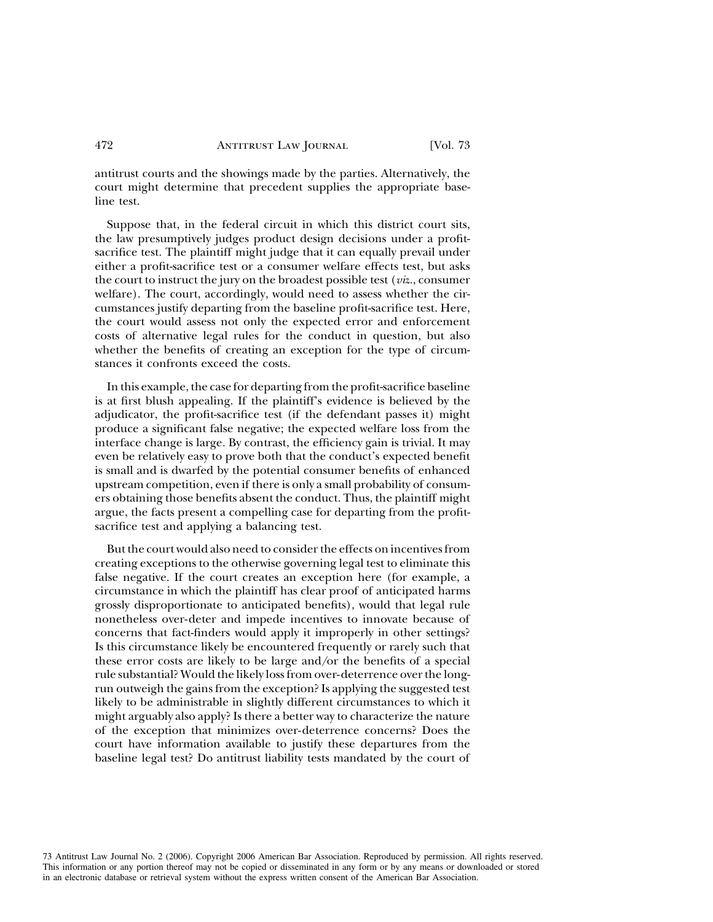antitrust courts and the showings made by the parties. Alternatively, the court might determine that precedent supplies the appropriate baseline test.

Suppose that, in the federal circuit in which this district court sits, the law presumptively judges product design decisions under a profitsacrifice test. The plaintiff might judge that it can equally prevail under either a profit-sacrifice test or a consumer welfare effects test, but asks the court to instruct the jury on the broadest possible test (*viz.*, consumer welfare). The court, accordingly, would need to assess whether the circumstances justify departing from the baseline profit-sacrifice test. Here, the court would assess not only the expected error and enforcement costs of alternative legal rules for the conduct in question, but also whether the benefits of creating an exception for the type of circumstances it confronts exceed the costs.

In this example, the case for departing from the profit-sacrifice baseline is at first blush appealing. If the plaintiff's evidence is believed by the adjudicator, the profit-sacrifice test (if the defendant passes it) might produce a significant false negative; the expected welfare loss from the interface change is large. By contrast, the efficiency gain is trivial. It may even be relatively easy to prove both that the conduct's expected benefit is small and is dwarfed by the potential consumer benefits of enhanced upstream competition, even if there is only a small probability of consumers obtaining those benefits absent the conduct. Thus, the plaintiff might argue, the facts present a compelling case for departing from the profitsacrifice test and applying a balancing test.

But the court would also need to consider the effects on incentives from creating exceptions to the otherwise governing legal test to eliminate this false negative. If the court creates an exception here (for example, a circumstance in which the plaintiff has clear proof of anticipated harms grossly disproportionate to anticipated benefits), would that legal rule nonetheless over-deter and impede incentives to innovate because of concerns that fact-finders would apply it improperly in other settings? Is this circumstance likely be encountered frequently or rarely such that these error costs are likely to be large and/or the benefits of a special rule substantial? Would the likely loss from over-deterrence over the longrun outweigh the gains from the exception? Is applying the suggested test likely to be administrable in slightly different circumstances to which it might arguably also apply? Is there a better way to characterize the nature of the exception that minimizes over-deterrence concerns? Does the court have information available to justify these departures from the baseline legal test? Do antitrust liability tests mandated by the court of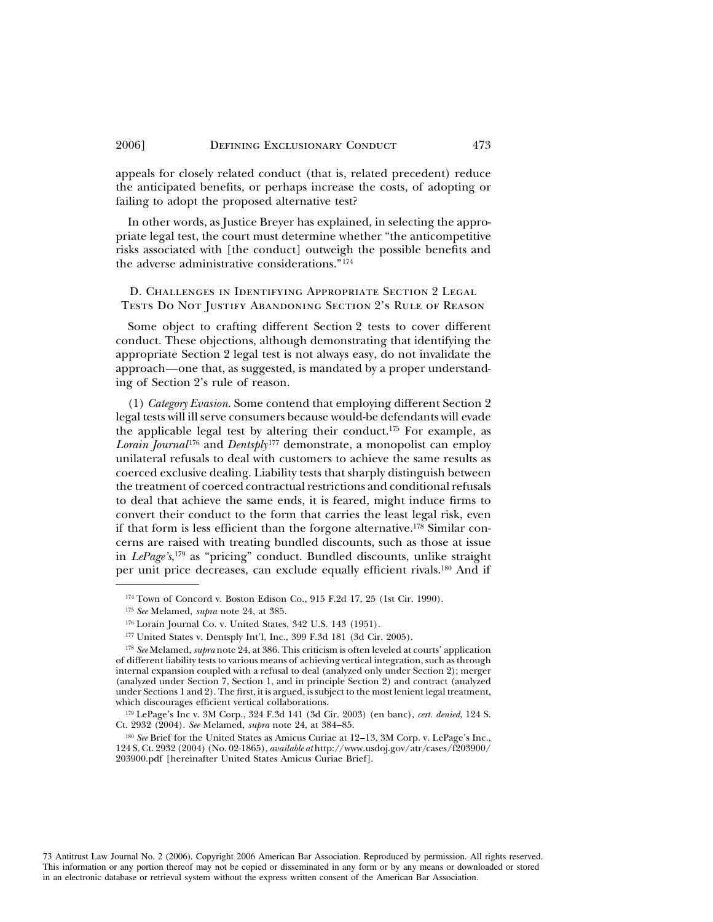appeals for closely related conduct (that is, related precedent) reduce the anticipated benefits, or perhaps increase the costs, of adopting or failing to adopt the proposed alternative test?

In other words, as Justice Breyer has explained, in selecting the appropriate legal test, the court must determine whether "the anticompetitive risks associated with [the conduct] outweigh the possible benefits and the adverse administrative considerations."174

### D. Challenges in Identifying Appropriate Section 2 Legal Tests Do Not Justify Abandoning Section 2's Rule of Reason

Some object to crafting different Section 2 tests to cover different conduct. These objections, although demonstrating that identifying the appropriate Section 2 legal test is not always easy, do not invalidate the approach—one that, as suggested, is mandated by a proper understanding of Section 2's rule of reason.

(1) *Category Evasion*. Some contend that employing different Section 2 legal tests will ill serve consumers because would-be defendants will evade the applicable legal test by altering their conduct.175 For example, as *Lorain Journal*<sup>176</sup> and *Dentsply*<sup>177</sup> demonstrate, a monopolist can employ unilateral refusals to deal with customers to achieve the same results as coerced exclusive dealing. Liability tests that sharply distinguish between the treatment of coerced contractual restrictions and conditional refusals to deal that achieve the same ends, it is feared, might induce firms to convert their conduct to the form that carries the least legal risk, even if that form is less efficient than the forgone alternative.178 Similar concerns are raised with treating bundled discounts, such as those at issue in *LePage's*, <sup>179</sup> as "pricing" conduct. Bundled discounts, unlike straight per unit price decreases, can exclude equally efficient rivals.180 And if

<sup>174</sup> Town of Concord v. Boston Edison Co., 915 F.2d 17, 25 (1st Cir. 1990).

<sup>175</sup> *See* Melamed, *supra* note 24, at 385.

<sup>176</sup> Lorain Journal Co. v. United States, 342 U.S. 143 (1951).

<sup>177</sup> United States v. Dentsply Int'l, Inc., 399 F.3d 181 (3d Cir. 2005).

<sup>178</sup> *See* Melamed, *supra* note 24, at 386. This criticism is often leveled at courts' application of different liability tests to various means of achieving vertical integration, such as through internal expansion coupled with a refusal to deal (analyzed only under Section 2); merger (analyzed under Section 7, Section 1, and in principle Section 2) and contract (analyzed under Sections 1 and 2). The first, it is argued, is subject to the most lenient legal treatment, which discourages efficient vertical collaborations.

<sup>179</sup> LePage's Inc v. 3M Corp., 324 F.3d 141 (3d Cir. 2003) (en banc), *cert. denied*, 124 S. Ct. 2932 (2004). *See* Melamed, *supra* note 24, at 384–85.

<sup>180</sup> *See* Brief for the United States as Amicus Curiae at 12–13, 3M Corp. v. LePage's Inc., 124 S. Ct. 2932 (2004) (No. 02-1865), *available at* http://www.usdoj.gov/atr/cases/f203900/ 203900.pdf [hereinafter United States Amicus Curiae Brief].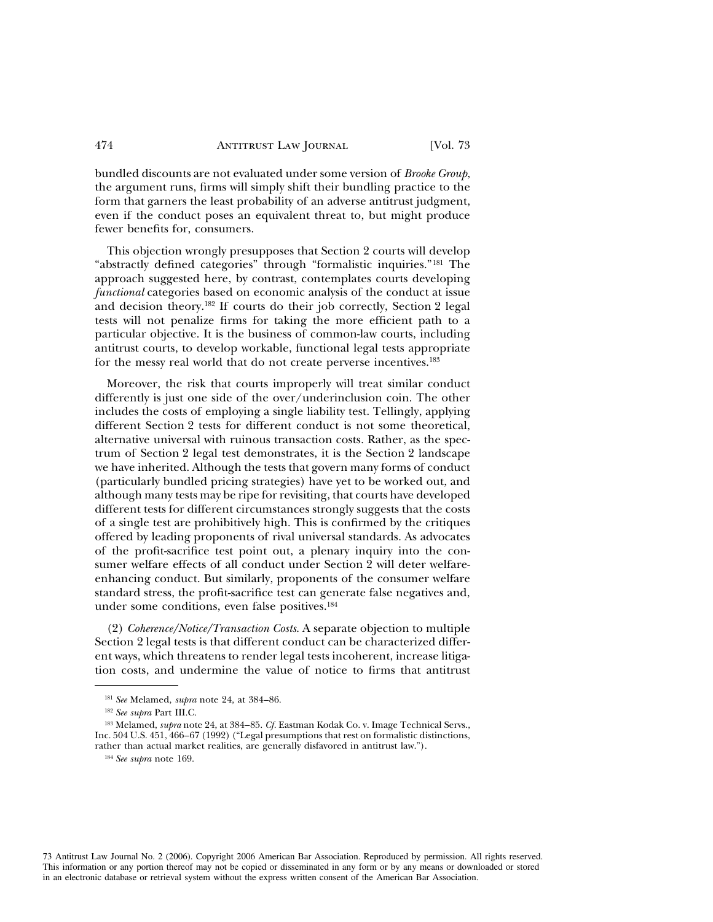bundled discounts are not evaluated under some version of *Brooke Group*, the argument runs, firms will simply shift their bundling practice to the form that garners the least probability of an adverse antitrust judgment, even if the conduct poses an equivalent threat to, but might produce fewer benefits for, consumers.

This objection wrongly presupposes that Section 2 courts will develop "abstractly defined categories" through "formalistic inquiries." <sup>181</sup> The approach suggested here, by contrast, contemplates courts developing *functional* categories based on economic analysis of the conduct at issue and decision theory.182 If courts do their job correctly, Section 2 legal tests will not penalize firms for taking the more efficient path to a particular objective. It is the business of common-law courts, including antitrust courts, to develop workable, functional legal tests appropriate for the messy real world that do not create perverse incentives.183

Moreover, the risk that courts improperly will treat similar conduct differently is just one side of the over/underinclusion coin. The other includes the costs of employing a single liability test. Tellingly, applying different Section 2 tests for different conduct is not some theoretical, alternative universal with ruinous transaction costs. Rather, as the spectrum of Section 2 legal test demonstrates, it is the Section 2 landscape we have inherited. Although the tests that govern many forms of conduct (particularly bundled pricing strategies) have yet to be worked out, and although many tests may be ripe for revisiting, that courts have developed different tests for different circumstances strongly suggests that the costs of a single test are prohibitively high. This is confirmed by the critiques offered by leading proponents of rival universal standards. As advocates of the profit-sacrifice test point out, a plenary inquiry into the consumer welfare effects of all conduct under Section 2 will deter welfareenhancing conduct. But similarly, proponents of the consumer welfare standard stress, the profit-sacrifice test can generate false negatives and, under some conditions, even false positives.184

(2) *Coherence/Notice/Transaction Costs*. A separate objection to multiple Section 2 legal tests is that different conduct can be characterized different ways, which threatens to render legal tests incoherent, increase litigation costs, and undermine the value of notice to firms that antitrust

<sup>181</sup> *See* Melamed, *supra* note 24, at 384–86.

<sup>182</sup> *See supra* Part III.C.

<sup>183</sup> Melamed, *supra* note 24, at 384–85. *Cf.* Eastman Kodak Co. v. Image Technical Servs., Inc. 504 U.S. 451, 466–67 (1992) ("Legal presumptions that rest on formalistic distinctions, rather than actual market realities, are generally disfavored in antitrust law.").

<sup>184</sup> *See supra* note 169.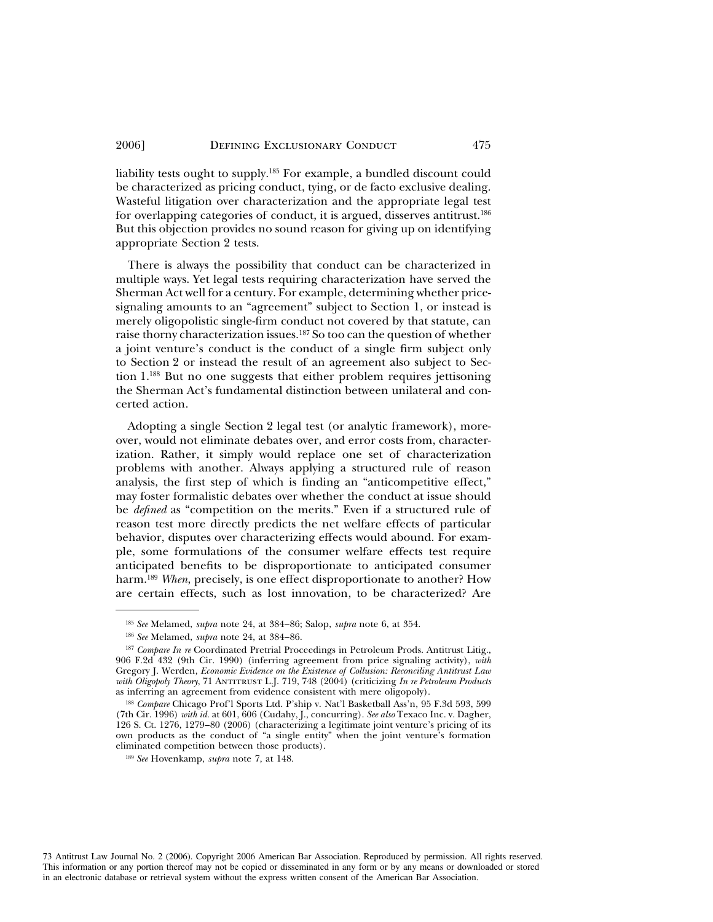liability tests ought to supply.185 For example, a bundled discount could be characterized as pricing conduct, tying, or de facto exclusive dealing. Wasteful litigation over characterization and the appropriate legal test for overlapping categories of conduct, it is argued, disserves antitrust.<sup>186</sup> But this objection provides no sound reason for giving up on identifying appropriate Section 2 tests.

There is always the possibility that conduct can be characterized in multiple ways. Yet legal tests requiring characterization have served the Sherman Act well for a century. For example, determining whether pricesignaling amounts to an "agreement" subject to Section 1, or instead is merely oligopolistic single-firm conduct not covered by that statute, can raise thorny characterization issues.187 So too can the question of whether a joint venture's conduct is the conduct of a single firm subject only to Section 2 or instead the result of an agreement also subject to Section 1.188 But no one suggests that either problem requires jettisoning the Sherman Act's fundamental distinction between unilateral and concerted action.

Adopting a single Section 2 legal test (or analytic framework), moreover, would not eliminate debates over, and error costs from, characterization. Rather, it simply would replace one set of characterization problems with another. Always applying a structured rule of reason analysis, the first step of which is finding an "anticompetitive effect," may foster formalistic debates over whether the conduct at issue should be *defined* as "competition on the merits." Even if a structured rule of reason test more directly predicts the net welfare effects of particular behavior, disputes over characterizing effects would abound. For example, some formulations of the consumer welfare effects test require anticipated benefits to be disproportionate to anticipated consumer harm.189 *When*, precisely, is one effect disproportionate to another? How are certain effects, such as lost innovation, to be characterized? Are

<sup>185</sup> *See* Melamed, *supra* note 24, at 384–86; Salop, *supra* note 6, at 354.

<sup>186</sup> *See* Melamed, *supra* note 24, at 384–86.

<sup>&</sup>lt;sup>187</sup> *Compare In re* Coordinated Pretrial Proceedings in Petroleum Prods. Antitrust Litig., 906 F.2d 432 (9th Cir. 1990) (inferring agreement from price signaling activity), *with* Gregory J. Werden, *Economic Evidence on the Existence of Collusion: Reconciling Antitrust Law with Oligopoly Theory*, 71 ANTITRUST L.J. 719, 748 (2004) (criticizing *In re Petroleum Products* as inferring an agreement from evidence consistent with mere oligopoly).

<sup>&</sup>lt;sup>188</sup> *Compare* Chicago Prof'l Sports Ltd. P'ship v. Nat'l Basketball Ass'n, 95 F.3d 593, 599 (7th Cir. 1996) *with id.* at 601, 606 (Cudahy, J., concurring). *See also* Texaco Inc. v. Dagher, 126 S. Ct. 1276, 1279–80 (2006) (characterizing a legitimate joint venture's pricing of its own products as the conduct of "a single entity" when the joint venture's formation eliminated competition between those products).

<sup>189</sup> *See* Hovenkamp, *supra* note 7, at 148.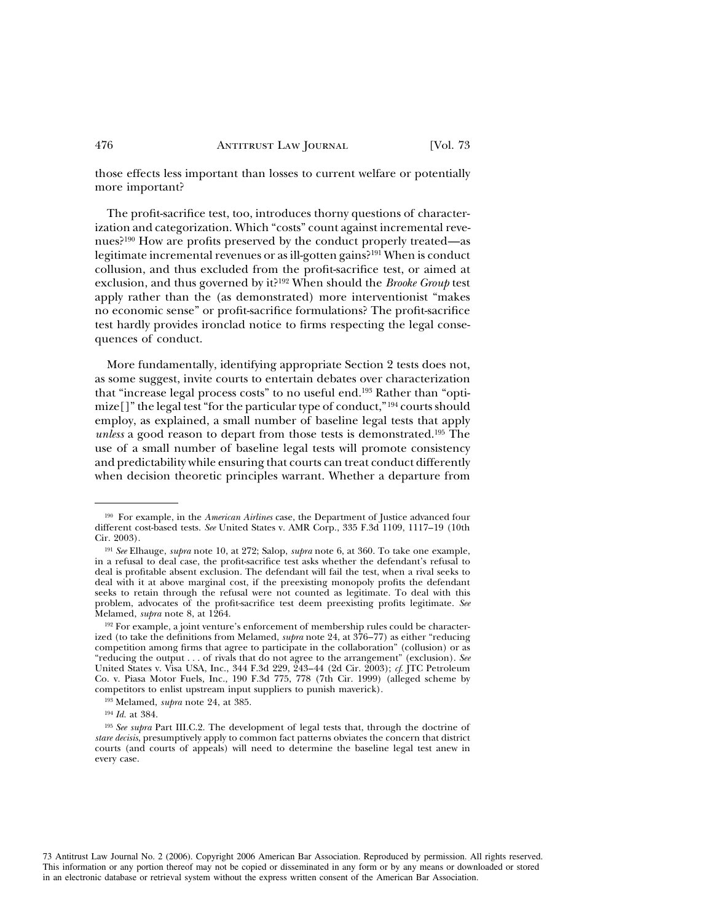those effects less important than losses to current welfare or potentially more important?

The profit-sacrifice test, too, introduces thorny questions of characterization and categorization. Which "costs" count against incremental revenues?190 How are profits preserved by the conduct properly treated—as legitimate incremental revenues or as ill-gotten gains?191 When is conduct collusion, and thus excluded from the profit-sacrifice test, or aimed at exclusion, and thus governed by it?192 When should the *Brooke Group* test apply rather than the (as demonstrated) more interventionist "makes no economic sense" or profit-sacrifice formulations? The profit-sacrifice test hardly provides ironclad notice to firms respecting the legal consequences of conduct.

More fundamentally, identifying appropriate Section 2 tests does not, as some suggest, invite courts to entertain debates over characterization that "increase legal process costs" to no useful end.193 Rather than "optimize<sup>[]"</sup> the legal test "for the particular type of conduct,"<sup>194</sup> courts should employ, as explained, a small number of baseline legal tests that apply *unless* a good reason to depart from those tests is demonstrated.195 The use of a small number of baseline legal tests will promote consistency and predictability while ensuring that courts can treat conduct differently when decision theoretic principles warrant. Whether a departure from

<sup>190</sup> For example, in the *American Airlines* case, the Department of Justice advanced four different cost-based tests. *See* United States v. AMR Corp., 335 F.3d 1109, 1117–19 (10th Cir. 2003).

<sup>191</sup> *See* Elhauge, *supra* note 10, at 272; Salop, *supra* note 6, at 360. To take one example, in a refusal to deal case, the profit-sacrifice test asks whether the defendant's refusal to deal is profitable absent exclusion. The defendant will fail the test, when a rival seeks to deal with it at above marginal cost, if the preexisting monopoly profits the defendant seeks to retain through the refusal were not counted as legitimate. To deal with this problem, advocates of the profit-sacrifice test deem preexisting profits legitimate. *See* Melamed, *supra* note 8, at 1264.

<sup>&</sup>lt;sup>192</sup> For example, a joint venture's enforcement of membership rules could be characterized (to take the definitions from Melamed, *supra* note 24, at 376–77) as either "reducing competition among firms that agree to participate in the collaboration" (collusion) or as "reducing the output . . . of rivals that do not agree to the arrangement" (exclusion). *See* United States v. Visa USA, Inc., 344 F.3d 229, 243–44 (2d Cir. 2003); *cf*. JTC Petroleum Co. v. Piasa Motor Fuels, Inc., 190 F.3d 775, 778 (7th Cir. 1999) (alleged scheme by competitors to enlist upstream input suppliers to punish maverick).

<sup>193</sup> Melamed, *supra* note 24, at 385.

<sup>194</sup> *Id.* at 384.

<sup>195</sup> *See supra* Part III.C.2. The development of legal tests that, through the doctrine of *stare decisis*, presumptively apply to common fact patterns obviates the concern that district courts (and courts of appeals) will need to determine the baseline legal test anew in every case.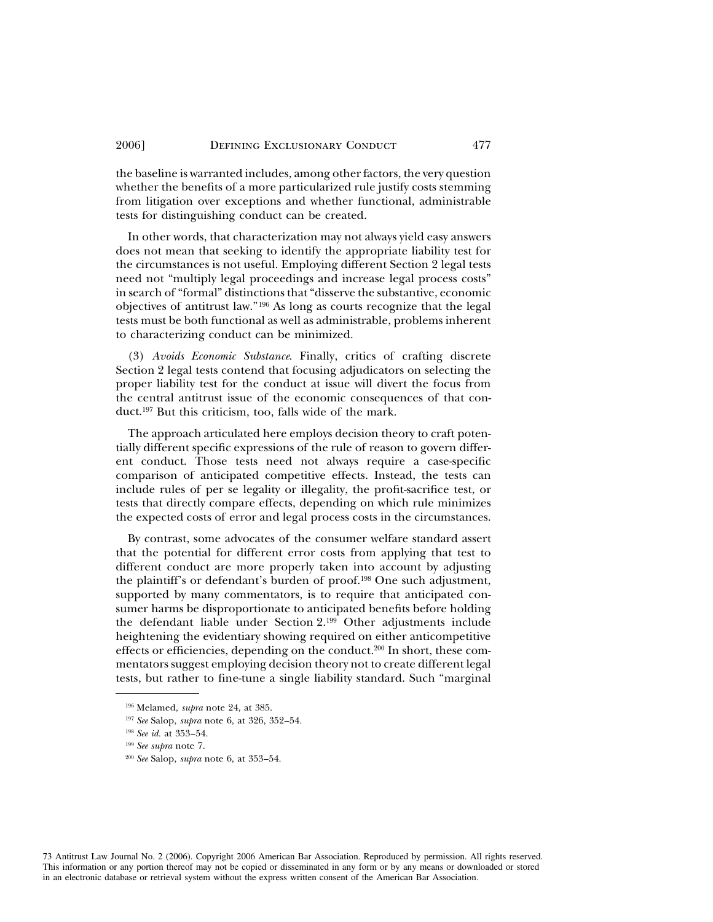the baseline is warranted includes, among other factors, the very question whether the benefits of a more particularized rule justify costs stemming from litigation over exceptions and whether functional, administrable tests for distinguishing conduct can be created.

In other words, that characterization may not always yield easy answers does not mean that seeking to identify the appropriate liability test for the circumstances is not useful. Employing different Section 2 legal tests need not "multiply legal proceedings and increase legal process costs" in search of "formal" distinctions that "disserve the substantive, economic objectives of antitrust law."196 As long as courts recognize that the legal tests must be both functional as well as administrable, problems inherent to characterizing conduct can be minimized.

(3) *Avoids Economic Substance*. Finally, critics of crafting discrete Section 2 legal tests contend that focusing adjudicators on selecting the proper liability test for the conduct at issue will divert the focus from the central antitrust issue of the economic consequences of that conduct.197 But this criticism, too, falls wide of the mark.

The approach articulated here employs decision theory to craft potentially different specific expressions of the rule of reason to govern different conduct. Those tests need not always require a case-specific comparison of anticipated competitive effects. Instead, the tests can include rules of per se legality or illegality, the profit-sacrifice test, or tests that directly compare effects, depending on which rule minimizes the expected costs of error and legal process costs in the circumstances.

By contrast, some advocates of the consumer welfare standard assert that the potential for different error costs from applying that test to different conduct are more properly taken into account by adjusting the plaintiff's or defendant's burden of proof.198 One such adjustment, supported by many commentators, is to require that anticipated consumer harms be disproportionate to anticipated benefits before holding the defendant liable under Section 2.199 Other adjustments include heightening the evidentiary showing required on either anticompetitive effects or efficiencies, depending on the conduct.200 In short, these commentators suggest employing decision theory not to create different legal tests, but rather to fine-tune a single liability standard. Such "marginal

<sup>196</sup> Melamed, *supra* note 24, at 385.

<sup>197</sup> *See* Salop, *supra* note 6, at 326, 352–54.

<sup>198</sup> *See id.* at 353–54.

<sup>199</sup> *See supra* note 7.

<sup>200</sup> *See* Salop, *supra* note 6, at 353–54.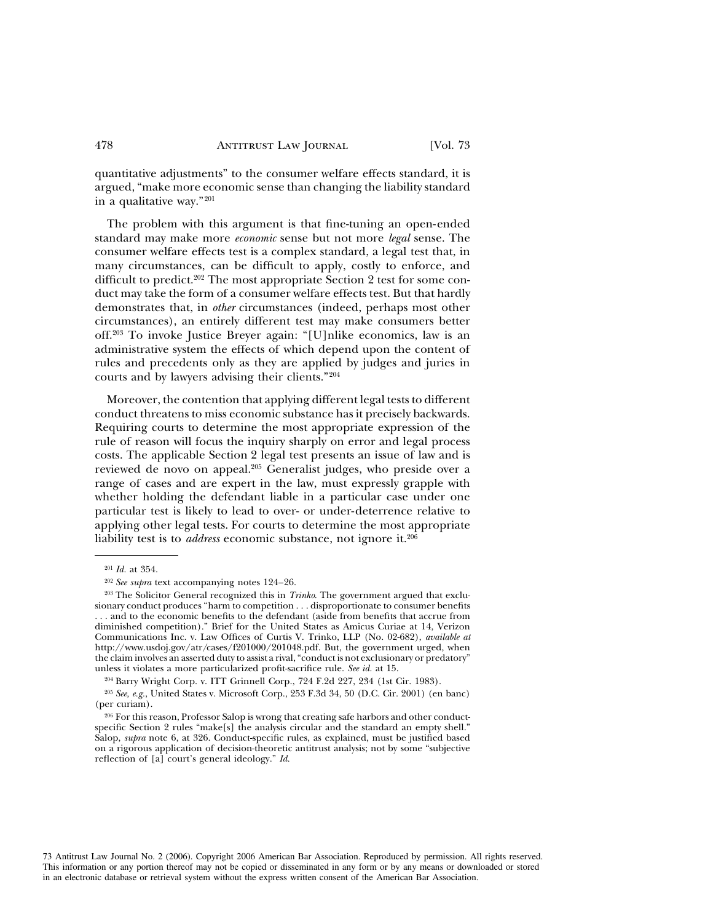quantitative adjustments" to the consumer welfare effects standard, it is argued, "make more economic sense than changing the liability standard in a qualitative way."201

The problem with this argument is that fine-tuning an open-ended standard may make more *economic* sense but not more *legal* sense. The consumer welfare effects test is a complex standard, a legal test that, in many circumstances, can be difficult to apply, costly to enforce, and difficult to predict.<sup>202</sup> The most appropriate Section 2 test for some conduct may take the form of a consumer welfare effects test. But that hardly demonstrates that, in *other* circumstances (indeed, perhaps most other circumstances), an entirely different test may make consumers better off.203 To invoke Justice Breyer again: "[U]nlike economics, law is an administrative system the effects of which depend upon the content of rules and precedents only as they are applied by judges and juries in courts and by lawyers advising their clients."204

Moreover, the contention that applying different legal tests to different conduct threatens to miss economic substance has it precisely backwards. Requiring courts to determine the most appropriate expression of the rule of reason will focus the inquiry sharply on error and legal process costs. The applicable Section 2 legal test presents an issue of law and is reviewed de novo on appeal.205 Generalist judges, who preside over a range of cases and are expert in the law, must expressly grapple with whether holding the defendant liable in a particular case under one particular test is likely to lead to over- or under-deterrence relative to applying other legal tests. For courts to determine the most appropriate liability test is to *address* economic substance, not ignore it.206

<sup>204</sup> Barry Wright Corp. v. ITT Grinnell Corp., 724 F.2d 227, 234 (1st Cir. 1983).

<sup>205</sup> *See, e.g.*, United States v. Microsoft Corp., 253 F.3d 34, 50 (D.C. Cir. 2001) (en banc) (per curiam).

<sup>206</sup> For this reason, Professor Salop is wrong that creating safe harbors and other conductspecific Section 2 rules "make[s] the analysis circular and the standard an empty shell." Salop, *supra* note 6, at 326. Conduct-specific rules, as explained, must be justified based on a rigorous application of decision-theoretic antitrust analysis; not by some "subjective reflection of [a] court's general ideology." *Id.*

<sup>201</sup> *Id.* at 354.

<sup>202</sup> *See supra* text accompanying notes 124–26.

<sup>203</sup> The Solicitor General recognized this in *Trinko*. The government argued that exclusionary conduct produces "harm to competition . . . disproportionate to consumer benefits . . . and to the economic benefits to the defendant (aside from benefits that accrue from diminished competition)." Brief for the United States as Amicus Curiae at 14, Verizon Communications Inc. v. Law Offices of Curtis V. Trinko, LLP (No. 02-682), *available at* http://www.usdoj.gov/atr/cases/f201000/201048.pdf. But, the government urged, when the claim involves an asserted duty to assist a rival, "conduct is not exclusionary or predatory" unless it violates a more particularized profit-sacrifice rule. *See id.* at 15.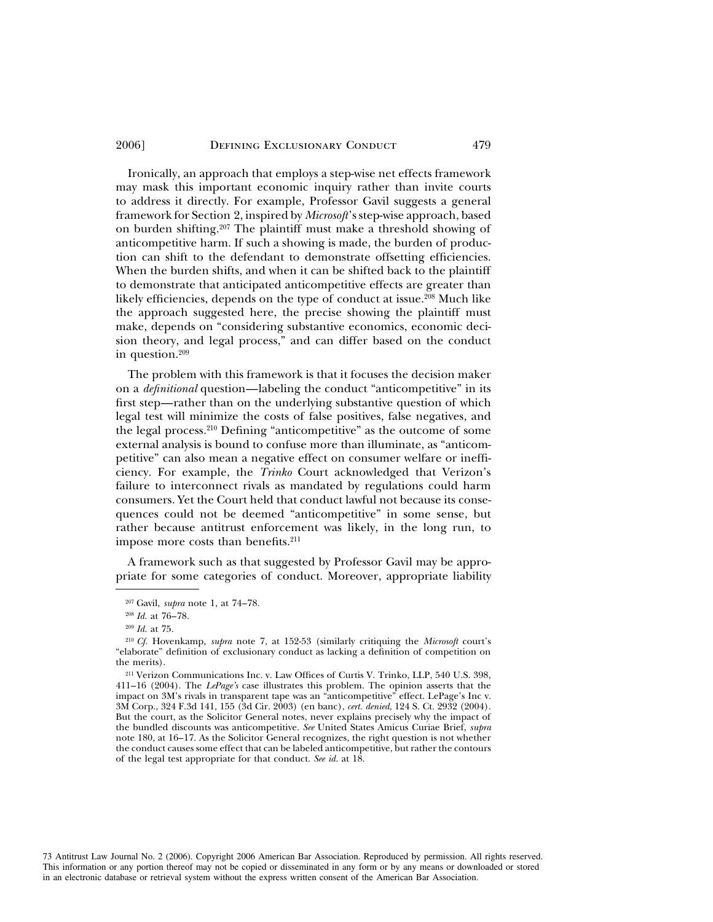Ironically, an approach that employs a step-wise net effects framework may mask this important economic inquiry rather than invite courts to address it directly. For example, Professor Gavil suggests a general framework for Section 2, inspired by *Microsoft*'s step-wise approach, based on burden shifting.207 The plaintiff must make a threshold showing of anticompetitive harm. If such a showing is made, the burden of production can shift to the defendant to demonstrate offsetting efficiencies. When the burden shifts, and when it can be shifted back to the plaintiff to demonstrate that anticipated anticompetitive effects are greater than likely efficiencies, depends on the type of conduct at issue.<sup>208</sup> Much like the approach suggested here, the precise showing the plaintiff must make, depends on "considering substantive economics, economic decision theory, and legal process," and can differ based on the conduct in question.209

The problem with this framework is that it focuses the decision maker on a *definitional* question—labeling the conduct "anticompetitive" in its first step—rather than on the underlying substantive question of which legal test will minimize the costs of false positives, false negatives, and the legal process.210 Defining "anticompetitive" as the outcome of some external analysis is bound to confuse more than illuminate, as "anticompetitive" can also mean a negative effect on consumer welfare or inefficiency. For example, the *Trinko* Court acknowledged that Verizon's failure to interconnect rivals as mandated by regulations could harm consumers. Yet the Court held that conduct lawful not because its consequences could not be deemed "anticompetitive" in some sense, but rather because antitrust enforcement was likely, in the long run, to impose more costs than benefits.<sup>211</sup>

A framework such as that suggested by Professor Gavil may be appropriate for some categories of conduct. Moreover, appropriate liability

<sup>207</sup> Gavil, *supra* note 1, at 74–78.

<sup>208</sup> *Id.* at 76–78.

<sup>209</sup> *Id.* at 75.

<sup>&</sup>lt;sup>210</sup> *Cf.* Hovenkamp, *supra* note 7, at 152-53 (similarly critiquing the *Microsoft* court's "elaborate" definition of exclusionary conduct as lacking a definition of competition on the merits).

<sup>211</sup> Verizon Communications Inc. v. Law Offices of Curtis V. Trinko, LLP, 540 U.S. 398, 411–16 (2004). The *LePage's* case illustrates this problem. The opinion asserts that the impact on 3M's rivals in transparent tape was an "anticompetitive" effect. LePage's Inc v. 3M Corp., 324 F.3d 141, 155 (3d Cir. 2003) (en banc), *cert. denied*, 124 S. Ct. 2932 (2004). But the court, as the Solicitor General notes, never explains precisely why the impact of the bundled discounts was anticompetitive. *See* United States Amicus Curiae Brief, *supra* note 180, at 16–17. As the Solicitor General recognizes, the right question is not whether the conduct causes some effect that can be labeled anticompetitive, but rather the contours of the legal test appropriate for that conduct. *See id.* at 18.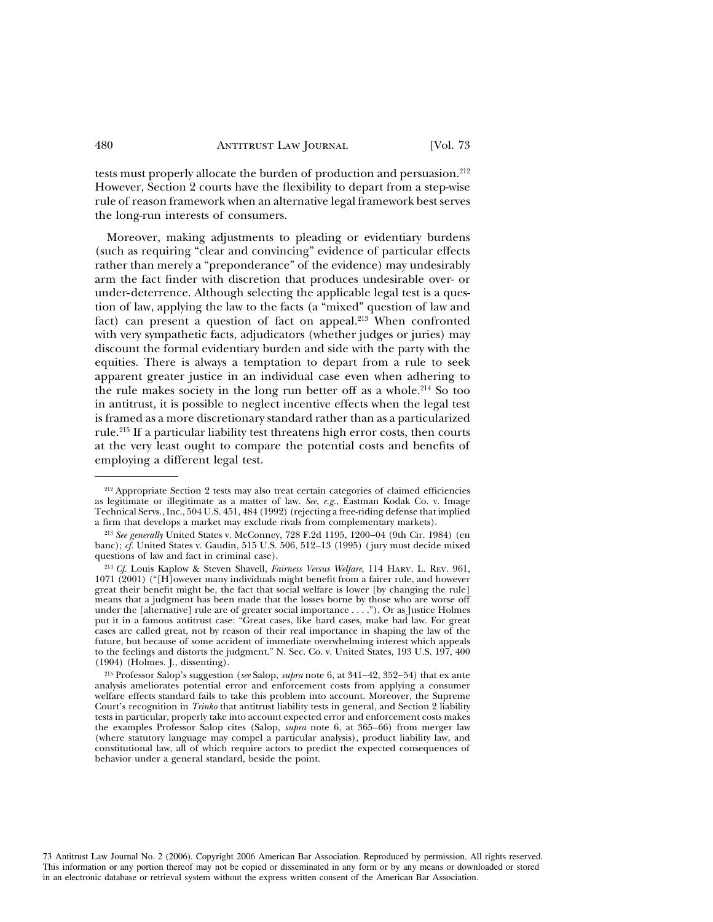tests must properly allocate the burden of production and persuasion.<sup>212</sup> However, Section 2 courts have the flexibility to depart from a step-wise rule of reason framework when an alternative legal framework best serves the long-run interests of consumers.

Moreover, making adjustments to pleading or evidentiary burdens (such as requiring "clear and convincing" evidence of particular effects rather than merely a "preponderance" of the evidence) may undesirably arm the fact finder with discretion that produces undesirable over- or under-deterrence. Although selecting the applicable legal test is a question of law, applying the law to the facts (a "mixed" question of law and fact) can present a question of fact on appeal.<sup>213</sup> When confronted with very sympathetic facts, adjudicators (whether judges or juries) may discount the formal evidentiary burden and side with the party with the equities. There is always a temptation to depart from a rule to seek apparent greater justice in an individual case even when adhering to the rule makes society in the long run better off as a whole.214 So too in antitrust, it is possible to neglect incentive effects when the legal test is framed as a more discretionary standard rather than as a particularized rule.215 If a particular liability test threatens high error costs, then courts at the very least ought to compare the potential costs and benefits of employing a different legal test.

<sup>212</sup> Appropriate Section 2 tests may also treat certain categories of claimed efficiencies as legitimate or illegitimate as a matter of law. *See, e.g.*, Eastman Kodak Co. v. Image Technical Servs., Inc., 504 U.S. 451, 484 (1992) (rejecting a free-riding defense that implied a firm that develops a market may exclude rivals from complementary markets).

<sup>213</sup> *See generally* United States v. McConney, 728 F.2d 1195, 1200–04 (9th Cir. 1984) (en banc); *cf.* United States v. Gaudin, 515 U.S. 506, 512–13 (1995) ( jury must decide mixed questions of law and fact in criminal case).

<sup>214</sup> *Cf.* Louis Kaplow & Steven Shavell, *Fairness Versus Welfare*, 114 Harv. L. Rev. 961, 1071 (2001) ("[H]owever many individuals might benefit from a fairer rule, and however great their benefit might be, the fact that social welfare is lower [by changing the rule] means that a judgment has been made that the losses borne by those who are worse off under the [alternative] rule are of greater social importance...."). Or as Justice Holmes put it in a famous antitrust case: "Great cases, like hard cases, make bad law. For great cases are called great, not by reason of their real importance in shaping the law of the future, but because of some accident of immediate overwhelming interest which appeals to the feelings and distorts the judgment." N. Sec. Co. v. United States, 193 U.S.  $197,400$ (1904) (Holmes. J., dissenting).

<sup>215</sup> Professor Salop's suggestion (*see* Salop, *supra* note 6, at 341–42, 352–54) that ex ante analysis ameliorates potential error and enforcement costs from applying a consumer welfare effects standard fails to take this problem into account. Moreover, the Supreme Court's recognition in *Trinko* that antitrust liability tests in general, and Section 2 liability tests in particular, properly take into account expected error and enforcement costs makes the examples Professor Salop cites (Salop, *supra* note 6, at 365–66) from merger law (where statutory language may compel a particular analysis), product liability law, and constitutional law, all of which require actors to predict the expected consequences of behavior under a general standard, beside the point.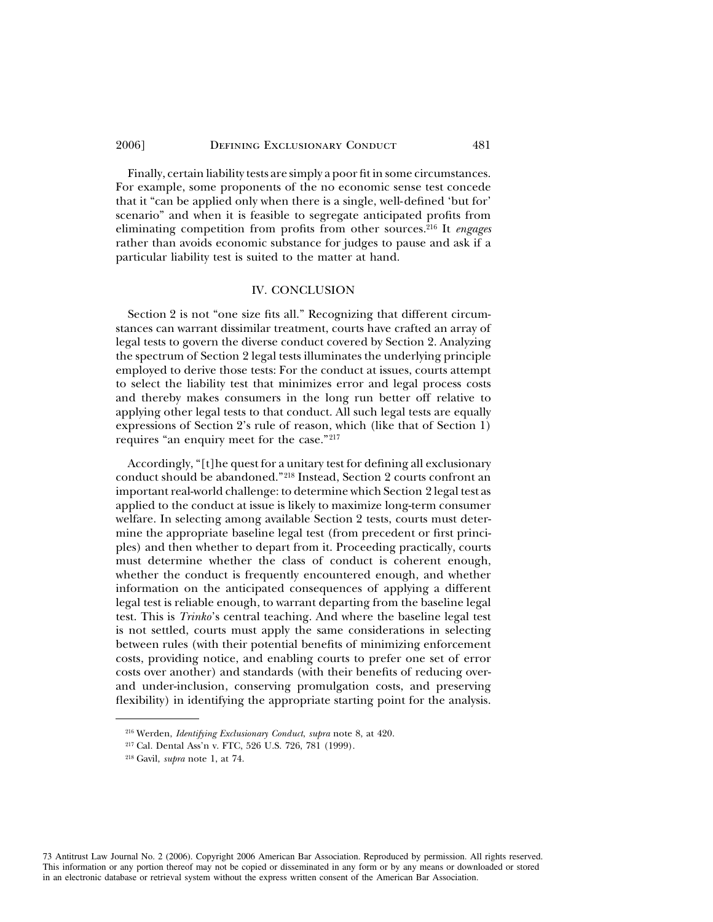Finally, certain liability tests are simply a poor fit in some circumstances. For example, some proponents of the no economic sense test concede that it "can be applied only when there is a single, well-defined 'but for' scenario" and when it is feasible to segregate anticipated profits from eliminating competition from profits from other sources.<sup>216</sup> It *engages* rather than avoids economic substance for judges to pause and ask if a particular liability test is suited to the matter at hand.

# IV. CONCLUSION

Section 2 is not "one size fits all." Recognizing that different circumstances can warrant dissimilar treatment, courts have crafted an array of legal tests to govern the diverse conduct covered by Section 2. Analyzing the spectrum of Section 2 legal tests illuminates the underlying principle employed to derive those tests: For the conduct at issues, courts attempt to select the liability test that minimizes error and legal process costs and thereby makes consumers in the long run better off relative to applying other legal tests to that conduct. All such legal tests are equally expressions of Section 2's rule of reason, which (like that of Section 1) requires "an enquiry meet for the case." <sup>217</sup>

Accordingly, "[t]he quest for a unitary test for defining all exclusionary conduct should be abandoned."218 Instead, Section 2 courts confront an important real-world challenge: to determine which Section 2 legal test as applied to the conduct at issue is likely to maximize long-term consumer welfare. In selecting among available Section 2 tests, courts must determine the appropriate baseline legal test (from precedent or first principles) and then whether to depart from it. Proceeding practically, courts must determine whether the class of conduct is coherent enough, whether the conduct is frequently encountered enough, and whether information on the anticipated consequences of applying a different legal test is reliable enough, to warrant departing from the baseline legal test. This is *Trinko*'s central teaching. And where the baseline legal test is not settled, courts must apply the same considerations in selecting between rules (with their potential benefits of minimizing enforcement costs, providing notice, and enabling courts to prefer one set of error costs over another) and standards (with their benefits of reducing overand under-inclusion, conserving promulgation costs, and preserving flexibility) in identifying the appropriate starting point for the analysis.

<sup>216</sup> Werden, *Identifying Exclusionary Conduct*, *supra* note 8, at 420.

<sup>217</sup> Cal. Dental Ass'n v. FTC, 526 U.S. 726, 781 (1999).

<sup>218</sup> Gavil, *supra* note 1, at 74.